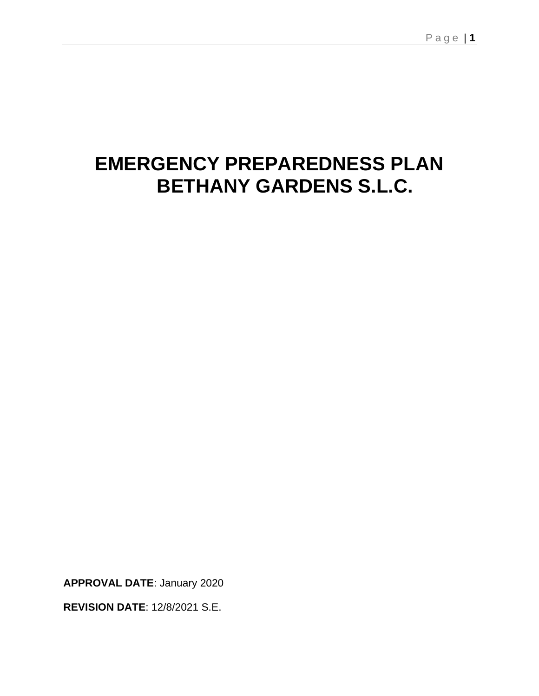# **EMERGENCY PREPAREDNESS PLAN BETHANY GARDENS S.L.C.**

**APPROVAL DATE**: January 2020

**REVISION DATE**: 12/8/2021 S.E.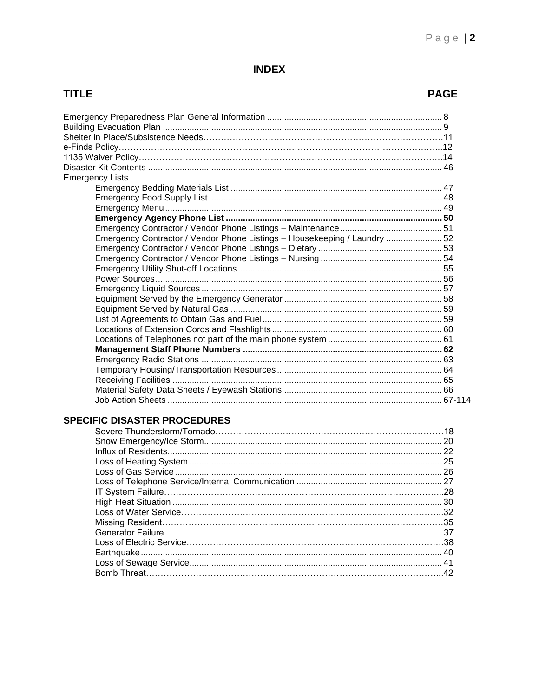# **INDEX**

# **TITLE**

# **PAGE**

| <b>Emergency Lists</b>                                                    |  |
|---------------------------------------------------------------------------|--|
|                                                                           |  |
|                                                                           |  |
|                                                                           |  |
|                                                                           |  |
|                                                                           |  |
| Emergency Contractor / Vendor Phone Listings - Housekeeping / Laundry  52 |  |
|                                                                           |  |
|                                                                           |  |
|                                                                           |  |
|                                                                           |  |
|                                                                           |  |
|                                                                           |  |
|                                                                           |  |
|                                                                           |  |
|                                                                           |  |
|                                                                           |  |
|                                                                           |  |
|                                                                           |  |
|                                                                           |  |
|                                                                           |  |
|                                                                           |  |
|                                                                           |  |
|                                                                           |  |

# **SPECIFIC DISASTER PROCEDURES**

| .20 |
|-----|
|     |
| .25 |
|     |
|     |
|     |
|     |
|     |
|     |
|     |
|     |
|     |
|     |
|     |
|     |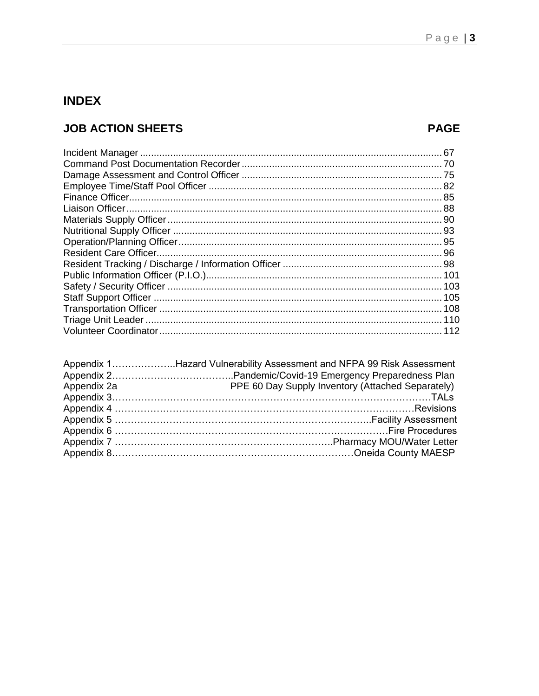# **INDEX**

# **JOB ACTION SHEETS**

# **PAGE**

|             | Appendix 1Hazard Vulnerability Assessment and NFPA 99 Risk Assessment |
|-------------|-----------------------------------------------------------------------|
|             |                                                                       |
| Appendix 2a | PPE 60 Day Supply Inventory (Attached Separately)                     |
|             |                                                                       |
|             |                                                                       |
|             |                                                                       |
|             |                                                                       |
|             |                                                                       |
|             |                                                                       |
|             |                                                                       |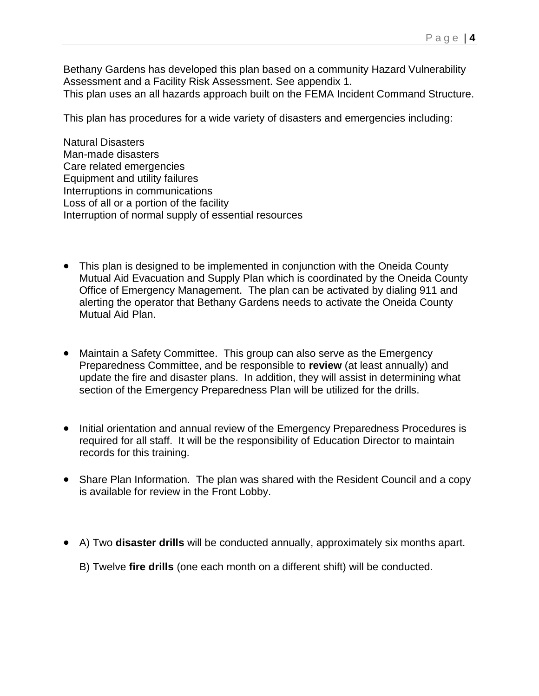Bethany Gardens has developed this plan based on a community Hazard Vulnerability Assessment and a Facility Risk Assessment. See appendix 1. This plan uses an all hazards approach built on the FEMA Incident Command Structure.

This plan has procedures for a wide variety of disasters and emergencies including:

Natural Disasters Man-made disasters Care related emergencies Equipment and utility failures Interruptions in communications Loss of all or a portion of the facility Interruption of normal supply of essential resources

- This plan is designed to be implemented in conjunction with the Oneida County Mutual Aid Evacuation and Supply Plan which is coordinated by the Oneida County Office of Emergency Management. The plan can be activated by dialing 911 and alerting the operator that Bethany Gardens needs to activate the Oneida County Mutual Aid Plan.
- Maintain a Safety Committee. This group can also serve as the Emergency Preparedness Committee, and be responsible to **review** (at least annually) and update the fire and disaster plans. In addition, they will assist in determining what section of the Emergency Preparedness Plan will be utilized for the drills.
- Initial orientation and annual review of the Emergency Preparedness Procedures is required for all staff. It will be the responsibility of Education Director to maintain records for this training.
- Share Plan Information. The plan was shared with the Resident Council and a copy is available for review in the Front Lobby.
- A) Two **disaster drills** will be conducted annually, approximately six months apart.
	- B) Twelve **fire drills** (one each month on a different shift) will be conducted.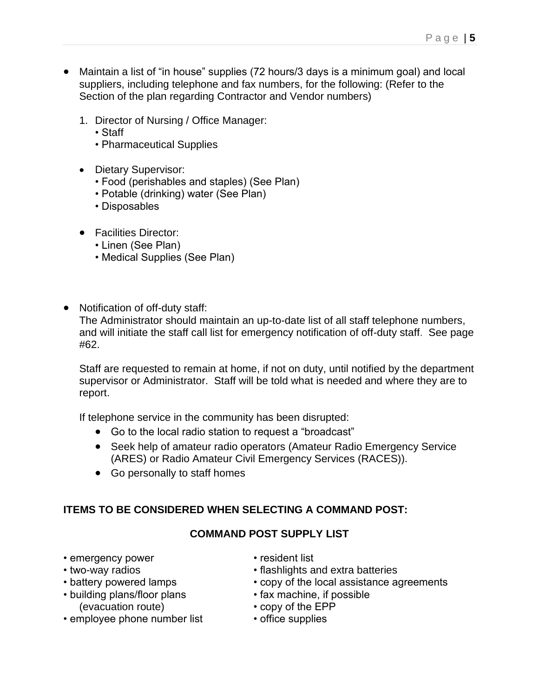- Maintain a list of "in house" supplies (72 hours/3 days is a minimum goal) and local suppliers, including telephone and fax numbers, for the following: (Refer to the Section of the plan regarding Contractor and Vendor numbers)
	- 1. Director of Nursing / Office Manager:
		- Staff
		- Pharmaceutical Supplies
	- Dietary Supervisor:
		- Food (perishables and staples) (See Plan)
		- Potable (drinking) water (See Plan)
		- Disposables
	- Facilities Director:
		- Linen (See Plan)
		- Medical Supplies (See Plan)
- Notification of off-duty staff:

The Administrator should maintain an up-to-date list of all staff telephone numbers, and will initiate the staff call list for emergency notification of off-duty staff. See page #62.

Staff are requested to remain at home, if not on duty, until notified by the department supervisor or Administrator. Staff will be told what is needed and where they are to report.

If telephone service in the community has been disrupted:

- Go to the local radio station to request a "broadcast"
- Seek help of amateur radio operators (Amateur Radio Emergency Service (ARES) or Radio Amateur Civil Emergency Services (RACES)).
- Go personally to staff homes

#### **ITEMS TO BE CONSIDERED WHEN SELECTING A COMMAND POST:**

#### **COMMAND POST SUPPLY LIST**

- emergency power resident list
- 
- 
- building plans/floor plans (evacuation route) • copy of the EPP
- employee phone number list office supplies
- 
- two-way radios flashlights and extra batteries <br>• battery powered lamps • copy of the local assistance a
	- copy of the local assistance agreements<br>• fax machine, if possible
	-
	-
	-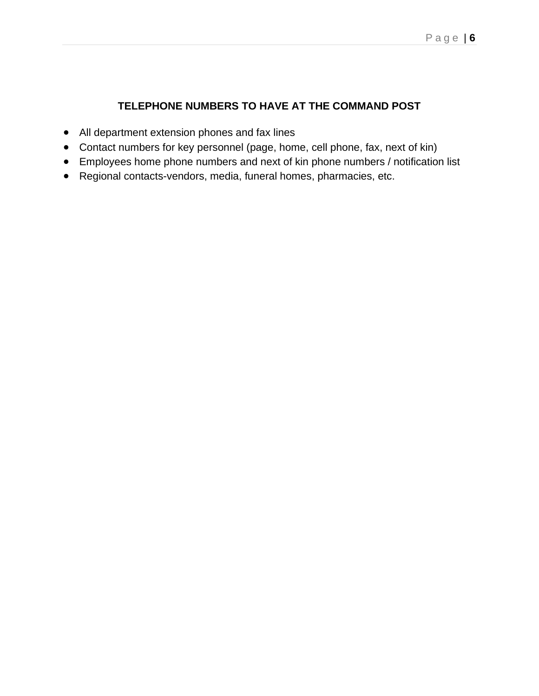# **TELEPHONE NUMBERS TO HAVE AT THE COMMAND POST**

- All department extension phones and fax lines
- Contact numbers for key personnel (page, home, cell phone, fax, next of kin)
- Employees home phone numbers and next of kin phone numbers / notification list
- Regional contacts-vendors, media, funeral homes, pharmacies, etc.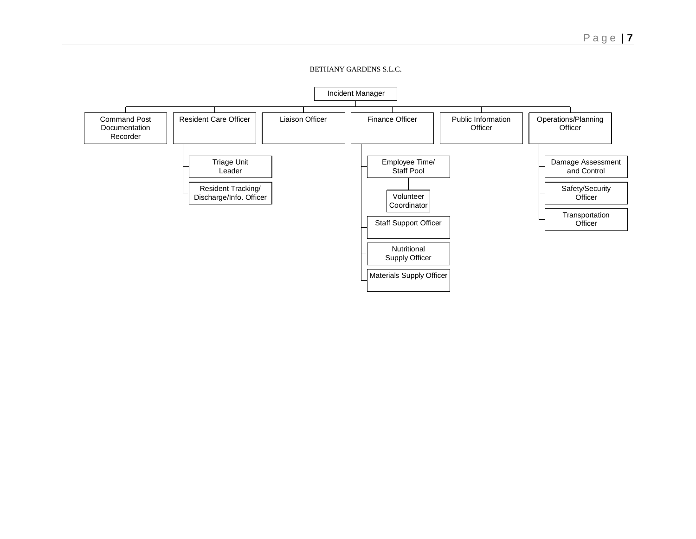#### BETHANY GARDENS S.L.C.

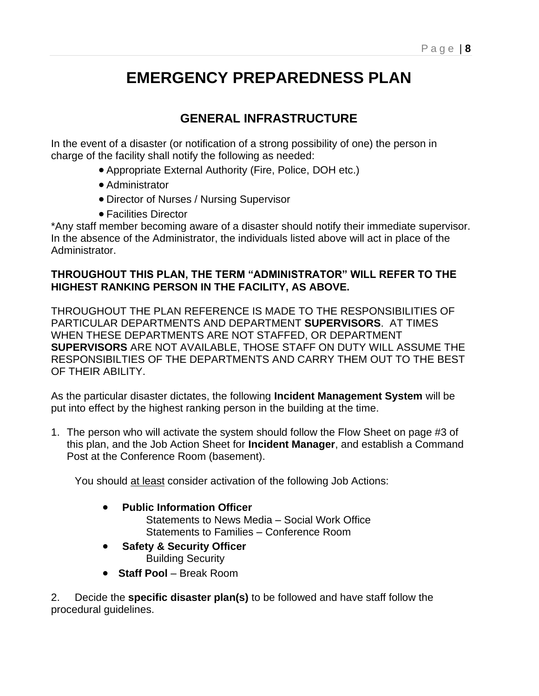# **EMERGENCY PREPAREDNESS PLAN**

# **GENERAL INFRASTRUCTURE**

In the event of a disaster (or notification of a strong possibility of one) the person in charge of the facility shall notify the following as needed:

- Appropriate External Authority (Fire, Police, DOH etc.)
- Administrator
- Director of Nurses / Nursing Supervisor
- Facilities Director

\*Any staff member becoming aware of a disaster should notify their immediate supervisor. In the absence of the Administrator, the individuals listed above will act in place of the Administrator.

#### **THROUGHOUT THIS PLAN, THE TERM "ADMINISTRATOR" WILL REFER TO THE HIGHEST RANKING PERSON IN THE FACILITY, AS ABOVE.**

THROUGHOUT THE PLAN REFERENCE IS MADE TO THE RESPONSIBILITIES OF PARTICULAR DEPARTMENTS AND DEPARTMENT **SUPERVISORS**. AT TIMES WHEN THESE DEPARTMENTS ARE NOT STAFFED, OR DEPARTMENT **SUPERVISORS** ARE NOT AVAILABLE, THOSE STAFF ON DUTY WILL ASSUME THE RESPONSIBILTIES OF THE DEPARTMENTS AND CARRY THEM OUT TO THE BEST OF THEIR ABILITY.

As the particular disaster dictates, the following **Incident Management System** will be put into effect by the highest ranking person in the building at the time.

1. The person who will activate the system should follow the Flow Sheet on page #3 of this plan, and the Job Action Sheet for **Incident Manager**, and establish a Command Post at the Conference Room (basement).

You should at least consider activation of the following Job Actions:

- **Public Information Officer**
	- Statements to News Media Social Work Office Statements to Families – Conference Room
- **Safety & Security Officer** Building Security
- **Staff Pool**  Break Room

2. Decide the **specific disaster plan(s)** to be followed and have staff follow the procedural guidelines.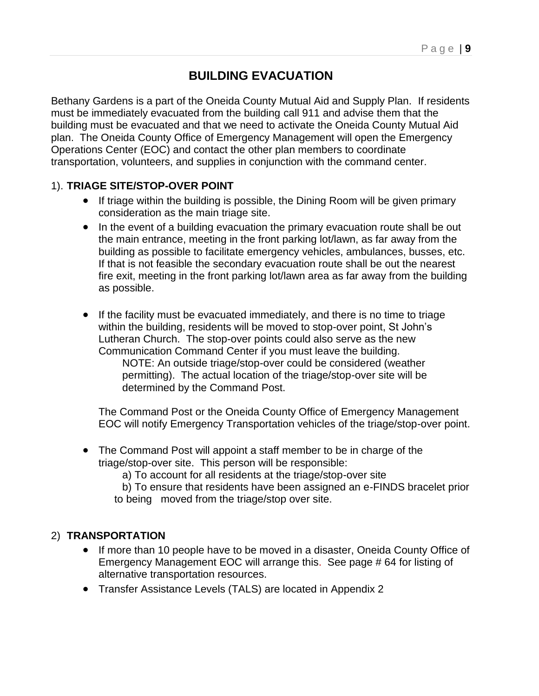# **BUILDING EVACUATION**

Bethany Gardens is a part of the Oneida County Mutual Aid and Supply Plan. If residents must be immediately evacuated from the building call 911 and advise them that the building must be evacuated and that we need to activate the Oneida County Mutual Aid plan. The Oneida County Office of Emergency Management will open the Emergency Operations Center (EOC) and contact the other plan members to coordinate transportation, volunteers, and supplies in conjunction with the command center.

#### 1). **TRIAGE SITE/STOP-OVER POINT**

- If triage within the building is possible, the Dining Room will be given primary consideration as the main triage site.
- In the event of a building evacuation the primary evacuation route shall be out the main entrance, meeting in the front parking lot/lawn, as far away from the building as possible to facilitate emergency vehicles, ambulances, busses, etc. If that is not feasible the secondary evacuation route shall be out the nearest fire exit, meeting in the front parking lot/lawn area as far away from the building as possible.
- If the facility must be evacuated immediately, and there is no time to triage within the building, residents will be moved to stop-over point, St John's Lutheran Church. The stop-over points could also serve as the new Communication Command Center if you must leave the building. NOTE: An outside triage/stop-over could be considered (weather permitting). The actual location of the triage/stop-over site will be determined by the Command Post.

The Command Post or the Oneida County Office of Emergency Management EOC will notify Emergency Transportation vehicles of the triage/stop-over point.

- The Command Post will appoint a staff member to be in charge of the triage/stop-over site. This person will be responsible:
	- a) To account for all residents at the triage/stop-over site
	- b) To ensure that residents have been assigned an e-FINDS bracelet prior to being moved from the triage/stop over site.

#### 2) **TRANSPORTATION**

- If more than 10 people have to be moved in a disaster, Oneida County Office of Emergency Management EOC will arrange this. See page # 64 for listing of alternative transportation resources.
- Transfer Assistance Levels (TALS) are located in Appendix 2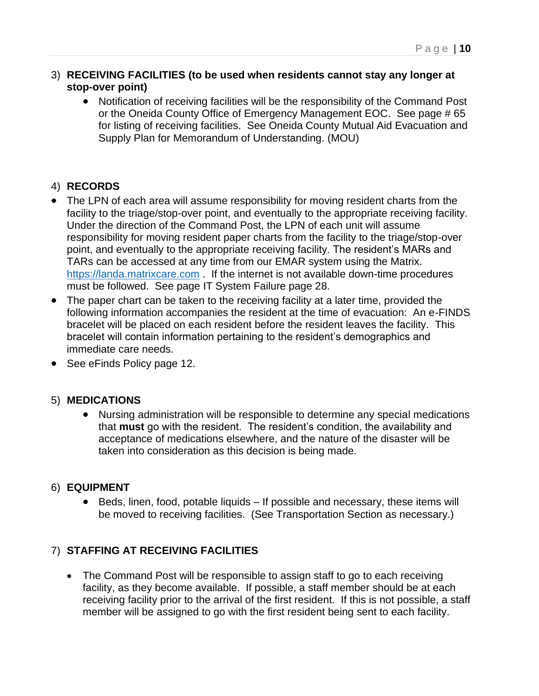#### 3) **RECEIVING FACILITIES (to be used when residents cannot stay any longer at stop-over point)**

• Notification of receiving facilities will be the responsibility of the Command Post or the Oneida County Office of Emergency Management EOC. See page # 65 for listing of receiving facilities. See Oneida County Mutual Aid Evacuation and Supply Plan for Memorandum of Understanding. (MOU)

## 4) **RECORDS**

- The LPN of each area will assume responsibility for moving resident charts from the facility to the triage/stop-over point, and eventually to the appropriate receiving facility. Under the direction of the Command Post, the LPN of each unit will assume responsibility for moving resident paper charts from the facility to the triage/stop-over point, and eventually to the appropriate receiving facility. The resident's MARs and TARs can be accessed at any time from our EMAR system using the Matrix. [https://landa.matrixcare.com](https://landa.matrixcare.com/) . If the internet is not available down-time procedures must be followed. See page IT System Failure page 28.
- The paper chart can be taken to the receiving facility at a later time, provided the following information accompanies the resident at the time of evacuation: An e-FINDS bracelet will be placed on each resident before the resident leaves the facility. This bracelet will contain information pertaining to the resident's demographics and immediate care needs.
- See eFinds Policy page 12.

#### 5) **MEDICATIONS**

• Nursing administration will be responsible to determine any special medications that **must** go with the resident. The resident's condition, the availability and acceptance of medications elsewhere, and the nature of the disaster will be taken into consideration as this decision is being made.

#### 6) **EQUIPMENT**

• Beds, linen, food, potable liquids – If possible and necessary, these items will be moved to receiving facilities. (See Transportation Section as necessary.)

#### 7) **STAFFING AT RECEIVING FACILITIES**

• The Command Post will be responsible to assign staff to go to each receiving facility, as they become available. If possible, a staff member should be at each receiving facility prior to the arrival of the first resident. If this is not possible, a staff member will be assigned to go with the first resident being sent to each facility.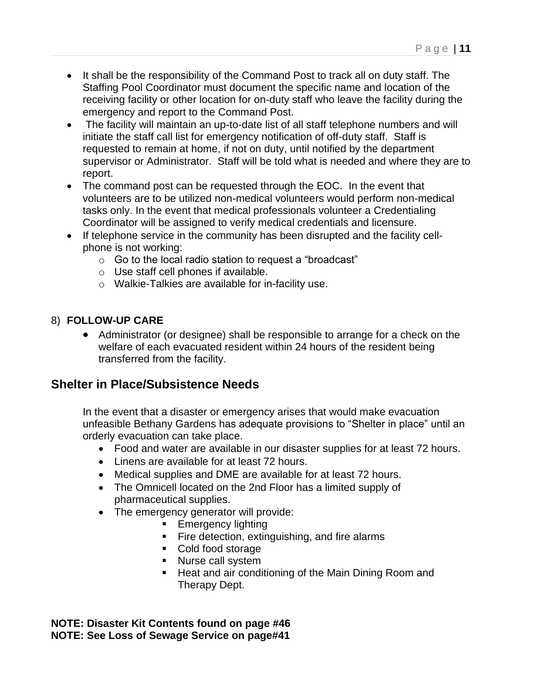- It shall be the responsibility of the Command Post to track all on duty staff. The Staffing Pool Coordinator must document the specific name and location of the receiving facility or other location for on-duty staff who leave the facility during the emergency and report to the Command Post.
- The facility will maintain an up-to-date list of all staff telephone numbers and will initiate the staff call list for emergency notification of off-duty staff. Staff is requested to remain at home, if not on duty, until notified by the department supervisor or Administrator. Staff will be told what is needed and where they are to report.
- The command post can be requested through the EOC. In the event that volunteers are to be utilized non-medical volunteers would perform non-medical tasks only. In the event that medical professionals volunteer a Credentialing Coordinator will be assigned to verify medical credentials and licensure.
- If telephone service in the community has been disrupted and the facility cellphone is not working:
	- o Go to the local radio station to request a "broadcast"
	- o Use staff cell phones if available.
	- o Walkie-Talkies are available for in-facility use.

# 8) **FOLLOW-UP CARE**

• Administrator (or designee) shall be responsible to arrange for a check on the welfare of each evacuated resident within 24 hours of the resident being transferred from the facility.

# **Shelter in Place/Subsistence Needs**

In the event that a disaster or emergency arises that would make evacuation unfeasible Bethany Gardens has adequate provisions to "Shelter in place" until an orderly evacuation can take place.

- Food and water are available in our disaster supplies for at least 72 hours.
- Linens are available for at least 72 hours.
- Medical supplies and DME are available for at least 72 hours.
- The Omnicell located on the 2nd Floor has a limited supply of pharmaceutical supplies.
- The emergency generator will provide:
	- Emergency lighting
	- Fire detection, extinguishing, and fire alarms
	- Cold food storage
	- Nurse call system
	- Heat and air conditioning of the Main Dining Room and Therapy Dept.

**NOTE: Disaster Kit Contents found on page #46 NOTE: See Loss of Sewage Service on page#41**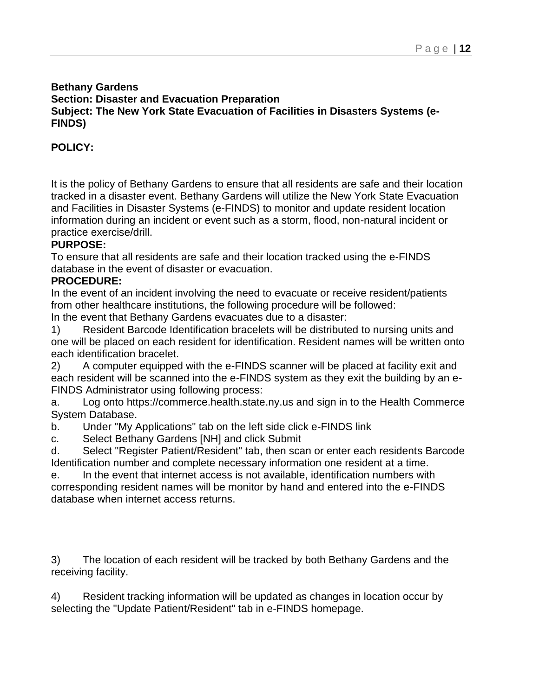#### **Bethany Gardens Section: Disaster and Evacuation Preparation Subject: The New York State Evacuation of Facilities in Disasters Systems (e-FINDS)**

# **POLICY:**

It is the policy of Bethany Gardens to ensure that all residents are safe and their location tracked in a disaster event. Bethany Gardens will utilize the New York State Evacuation and Facilities in Disaster Systems (e-FINDS) to monitor and update resident location information during an incident or event such as a storm, flood, non-natural incident or practice exercise/drill.

#### **PURPOSE:**

To ensure that all residents are safe and their location tracked using the e-FINDS database in the event of disaster or evacuation.

#### **PROCEDURE:**

In the event of an incident involving the need to evacuate or receive resident/patients from other healthcare institutions, the following procedure will be followed:

In the event that Bethany Gardens evacuates due to a disaster:

1) Resident Barcode Identification bracelets will be distributed to nursing units and one will be placed on each resident for identification. Resident names will be written onto each identification bracelet.

2) A computer equipped with the e-FINDS scanner will be placed at facility exit and each resident will be scanned into the e-FINDS system as they exit the building by an e-FINDS Administrator using following process:

a. Log onto https://commerce.health.state.ny.us and sign in to the Health Commerce System Database.

b. Under "My Applications" tab on the left side click e-FINDS link

c. Select Bethany Gardens [NH] and click Submit

d. Select "Register Patient/Resident" tab, then scan or enter each residents Barcode Identification number and complete necessary information one resident at a time.

e. In the event that internet access is not available, identification numbers with corresponding resident names will be monitor by hand and entered into the e-FINDS database when internet access returns.

3) The location of each resident will be tracked by both Bethany Gardens and the receiving facility.

4) Resident tracking information will be updated as changes in location occur by selecting the "Update Patient/Resident" tab in e-FINDS homepage.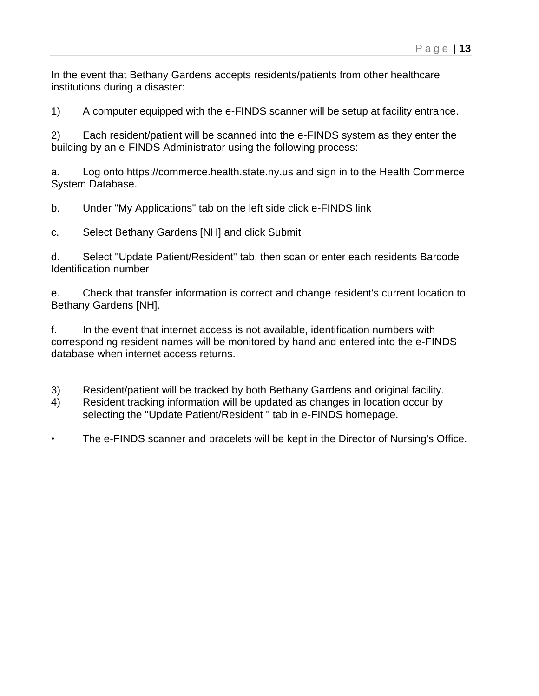In the event that Bethany Gardens accepts residents/patients from other healthcare institutions during a disaster:

1) A computer equipped with the e-FINDS scanner will be setup at facility entrance.

2) Each resident/patient will be scanned into the e-FINDS system as they enter the building by an e-FINDS Administrator using the following process:

a. Log onto https://commerce.health.state.ny.us and sign in to the Health Commerce System Database.

b. Under "My Applications" tab on the left side click e-FINDS link

c. Select Bethany Gardens [NH] and click Submit

d. Select "Update Patient/Resident" tab, then scan or enter each residents Barcode Identification number

e. Check that transfer information is correct and change resident's current location to Bethany Gardens [NH].

f. In the event that internet access is not available, identification numbers with corresponding resident names will be monitored by hand and entered into the e-FINDS database when internet access returns.

- 3) Resident/patient will be tracked by both Bethany Gardens and original facility.
- 4) Resident tracking information will be updated as changes in location occur by selecting the "Update Patient/Resident " tab in e-FINDS homepage.
- The e-FINDS scanner and bracelets will be kept in the Director of Nursing's Office.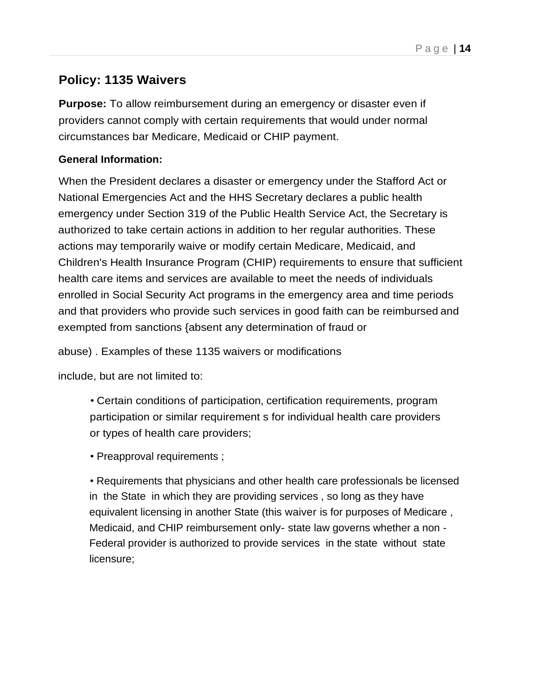# **Policy: 1135 Waivers**

**Purpose:** To allow reimbursement during an emergency or disaster even if providers cannot comply with certain requirements that would under normal circumstances bar Medicare, Medicaid or CHIP payment.

## **General Information:**

When the President declares a disaster or emergency under the Stafford Act or National Emergencies Act and the HHS Secretary declares a public health emergency under Section 319 of the Public Health Service Act, the Secretary is authorized to take certain actions in addition to her regular authorities. These actions may temporarily waive or modify certain Medicare, Medicaid, and Children's Health Insurance Program (CHIP) requirements to ensure that sufficient health care items and services are available to meet the needs of individuals enrolled in Social Security Act programs in the emergency area and time periods and that providers who provide such services in good faith can be reimbursed and exempted from sanctions {absent any determination of fraud or

abuse) . Examples of these 1135 waivers or modifications

include, but are not limited to:

• Certain conditions of participation, certification requirements, program participation or similar requirement s for individual health care providers or types of health care providers;

• Preapproval requirements ;

• Requirements that physicians and other health care professionals be licensed in the State in which they are providing services , so long as they have equivalent licensing in another State (this waiver is for purposes of Medicare , Medicaid, and CHIP reimbursement only- state law governs whether a non - Federal provider is authorized to provide services in the state without state licensure;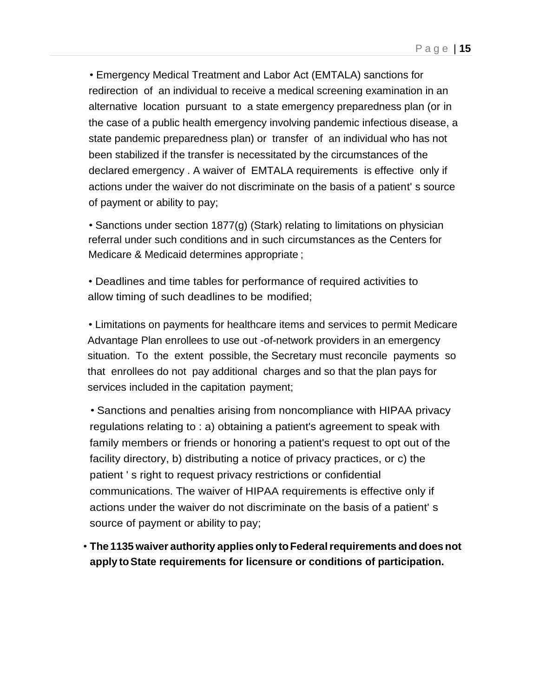• Emergency Medical Treatment and Labor Act (EMTALA) sanctions for redirection of an individual to receive a medical screening examination in an alternative location pursuant to a state emergency preparedness plan (or in the case of a public health emergency involving pandemic infectious disease, a state pandemic preparedness plan) or transfer of an individual who has not been stabilized if the transfer is necessitated by the circumstances of the declared emergency . A waiver of EMTALA requirements is effective only if actions under the waiver do not discriminate on the basis of a patient' s source of payment or ability to pay;

• Sanctions under section 1877(g) (Stark) relating to limitations on physician referral under such conditions and in such circumstances as the Centers for Medicare & Medicaid determines appropriate ;

• Deadlines and time tables for performance of required activities to allow timing of such deadlines to be modified;

• Limitations on payments for healthcare items and services to permit Medicare Advantage Plan enrollees to use out -of-network providers in an emergency situation. To the extent possible, the Secretary must reconcile payments so that enrollees do not pay additional charges and so that the plan pays for services included in the capitation payment;

• Sanctions and penalties arising from noncompliance with HIPAA privacy regulations relating to : a) obtaining a patient's agreement to speak with family members or friends or honoring a patient's request to opt out of the facility directory, b) distributing a notice of privacy practices, or c) the patient ' s right to request privacy restrictions or confidential communications. The waiver of HIPAA requirements is effective only if actions under the waiver do not discriminate on the basis of a patient' s source of payment or ability to pay;

• **The 1135 waiver authority applies only toFederalrequirements anddoes not apply toState requirements for licensure or conditions of participation.**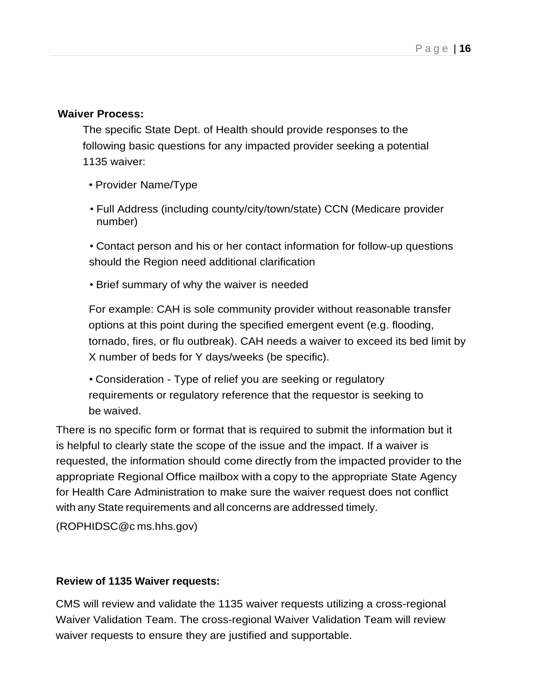#### **Waiver Process:**

The specific State Dept. of Health should provide responses to the following basic questions for any impacted provider seeking a potential 1135 waiver:

- Provider Name/Type
- Full Address (including county/city/town/state) CCN (Medicare provider number)

• Contact person and his or her contact information for follow-up questions should the Region need additional clarification

• Brief summary of why the waiver is needed

For example: CAH is sole community provider without reasonable transfer options at this point during the specified emergent event (e.g. flooding, tornado, fires, or flu outbreak). CAH needs a waiver to exceed its bed limit by X number of beds for Y days/weeks (be specific).

• Consideration - Type of relief you are seeking or regulatory requirements or regulatory reference that the requestor is seeking to be waived.

There is no specific form or format that is required to submit the information but it is helpful to clearly state the scope of the issue and the impact. If a waiver is requested, the information should come directly from the impacted provider to the appropriate Regional Office mailbox with a copy to the appropriate State Agency for Health Care Administration to make sure the waiver request does not conflict with any State requirements and all concerns are addressed timely.

(ROPHIDSC@c ms.hhs.gov)

#### **Review of 1135 Waiver requests:**

CMS will review and validate the 1135 waiver requests utilizing a cross-regional Waiver Validation Team. The cross-regional Waiver Validation Team will review waiver requests to ensure they are justified and supportable.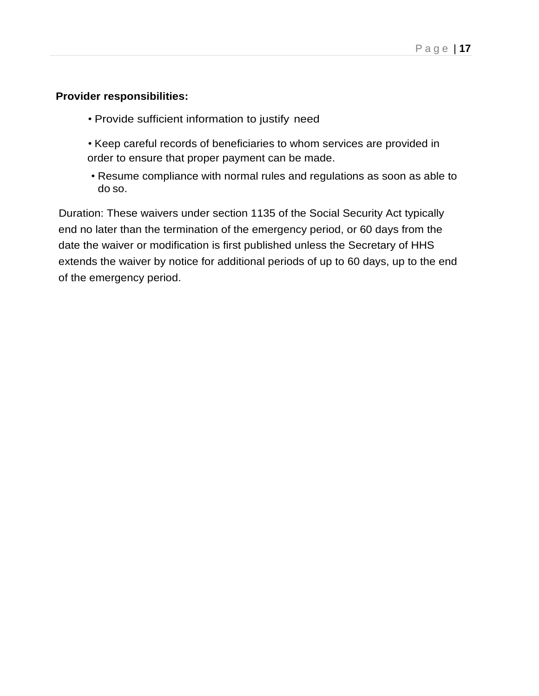#### **Provider responsibilities:**

- Provide sufficient information to justify need
- Keep careful records of beneficiaries to whom services are provided in order to ensure that proper payment can be made.
- Resume compliance with normal rules and regulations as soon as able to do so.

Duration: These waivers under section 1135 of the Social Security Act typically end no later than the termination of the emergency period, or 60 days from the date the waiver or modification is first published unless the Secretary of HHS extends the waiver by notice for additional periods of up to 60 days, up to the end of the emergency period.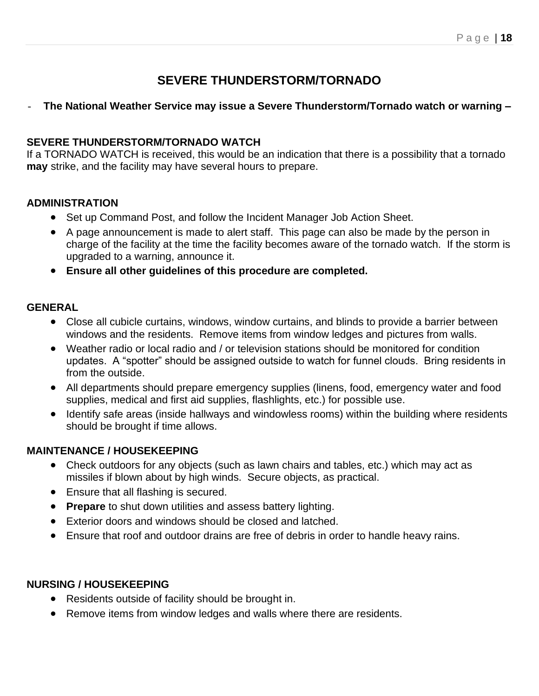# **SEVERE THUNDERSTORM/TORNADO**

## - **The National Weather Service may issue a Severe Thunderstorm/Tornado watch or warning –**

#### **SEVERE THUNDERSTORM/TORNADO WATCH**

If a TORNADO WATCH is received, this would be an indication that there is a possibility that a tornado **may** strike, and the facility may have several hours to prepare.

## **ADMINISTRATION**

- Set up Command Post, and follow the Incident Manager Job Action Sheet.
- A page announcement is made to alert staff. This page can also be made by the person in charge of the facility at the time the facility becomes aware of the tornado watch. If the storm is upgraded to a warning, announce it.
- **Ensure all other guidelines of this procedure are completed.**

#### **GENERAL**

- Close all cubicle curtains, windows, window curtains, and blinds to provide a barrier between windows and the residents. Remove items from window ledges and pictures from walls.
- Weather radio or local radio and / or television stations should be monitored for condition updates. A "spotter" should be assigned outside to watch for funnel clouds. Bring residents in from the outside.
- All departments should prepare emergency supplies (linens, food, emergency water and food supplies, medical and first aid supplies, flashlights, etc.) for possible use.
- Identify safe areas (inside hallways and windowless rooms) within the building where residents should be brought if time allows.

#### **MAINTENANCE / HOUSEKEEPING**

- Check outdoors for any objects (such as lawn chairs and tables, etc.) which may act as missiles if blown about by high winds. Secure objects, as practical.
- Ensure that all flashing is secured.
- **Prepare** to shut down utilities and assess battery lighting.
- Exterior doors and windows should be closed and latched.
- Ensure that roof and outdoor drains are free of debris in order to handle heavy rains.

#### **NURSING / HOUSEKEEPING**

- Residents outside of facility should be brought in.
- Remove items from window ledges and walls where there are residents.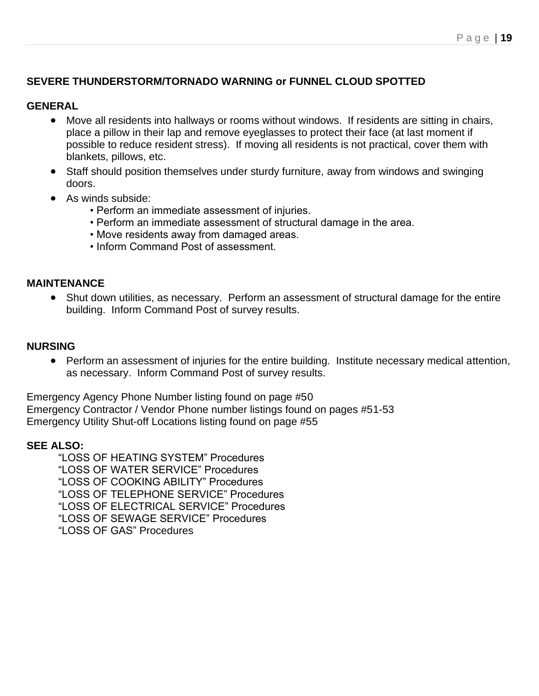## **SEVERE THUNDERSTORM/TORNADO WARNING or FUNNEL CLOUD SPOTTED**

#### **GENERAL**

- Move all residents into hallways or rooms without windows. If residents are sitting in chairs, place a pillow in their lap and remove eyeglasses to protect their face (at last moment if possible to reduce resident stress). If moving all residents is not practical, cover them with blankets, pillows, etc.
- Staff should position themselves under sturdy furniture, away from windows and swinging doors.
- As winds subside:
	- Perform an immediate assessment of injuries.
	- Perform an immediate assessment of structural damage in the area.
	- Move residents away from damaged areas.
	- Inform Command Post of assessment.

#### **MAINTENANCE**

• Shut down utilities, as necessary. Perform an assessment of structural damage for the entire building. Inform Command Post of survey results.

#### **NURSING**

• Perform an assessment of injuries for the entire building. Institute necessary medical attention, as necessary. Inform Command Post of survey results.

Emergency Agency Phone Number listing found on page #50 Emergency Contractor / Vendor Phone number listings found on pages #51-53 Emergency Utility Shut-off Locations listing found on page #55

#### **SEE ALSO:**

"LOSS OF HEATING SYSTEM" Procedures "LOSS OF WATER SERVICE" Procedures "LOSS OF COOKING ABILITY" Procedures "LOSS OF TELEPHONE SERVICE" Procedures "LOSS OF ELECTRICAL SERVICE" Procedures "LOSS OF SEWAGE SERVICE" Procedures "LOSS OF GAS" Procedures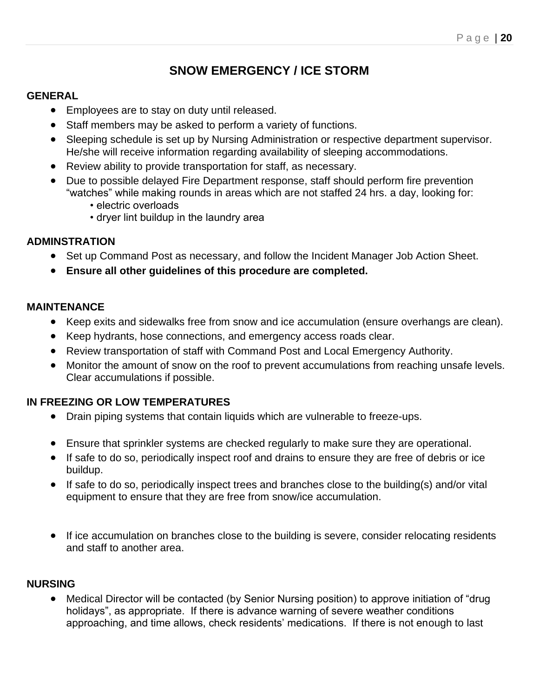# **SNOW EMERGENCY / ICE STORM**

#### **GENERAL**

- Employees are to stay on duty until released.
- Staff members may be asked to perform a variety of functions.
- Sleeping schedule is set up by Nursing Administration or respective department supervisor. He/she will receive information regarding availability of sleeping accommodations.
- Review ability to provide transportation for staff, as necessary.
- Due to possible delayed Fire Department response, staff should perform fire prevention "watches" while making rounds in areas which are not staffed 24 hrs. a day, looking for:
	- electric overloads
	- dryer lint buildup in the laundry area

#### **ADMINSTRATION**

- Set up Command Post as necessary, and follow the Incident Manager Job Action Sheet.
- **Ensure all other guidelines of this procedure are completed.**

#### **MAINTENANCE**

- Keep exits and sidewalks free from snow and ice accumulation (ensure overhangs are clean).
- Keep hydrants, hose connections, and emergency access roads clear.
- Review transportation of staff with Command Post and Local Emergency Authority.
- Monitor the amount of snow on the roof to prevent accumulations from reaching unsafe levels. Clear accumulations if possible.

# **IN FREEZING OR LOW TEMPERATURES**

- Drain piping systems that contain liquids which are vulnerable to freeze-ups.
- Ensure that sprinkler systems are checked regularly to make sure they are operational.
- If safe to do so, periodically inspect roof and drains to ensure they are free of debris or ice buildup.
- If safe to do so, periodically inspect trees and branches close to the building(s) and/or vital equipment to ensure that they are free from snow/ice accumulation.
- If ice accumulation on branches close to the building is severe, consider relocating residents and staff to another area.

#### **NURSING**

• Medical Director will be contacted (by Senior Nursing position) to approve initiation of "drug holidays", as appropriate. If there is advance warning of severe weather conditions approaching, and time allows, check residents' medications. If there is not enough to last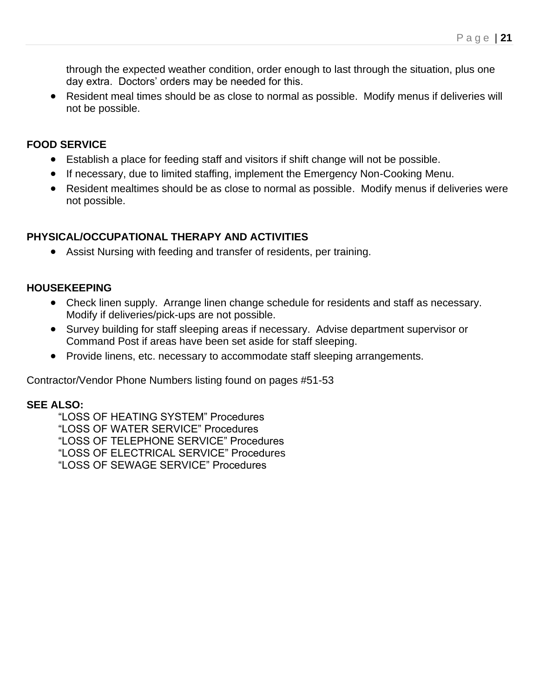through the expected weather condition, order enough to last through the situation, plus one day extra. Doctors' orders may be needed for this.

• Resident meal times should be as close to normal as possible. Modify menus if deliveries will not be possible.

#### **FOOD SERVICE**

- Establish a place for feeding staff and visitors if shift change will not be possible.
- If necessary, due to limited staffing, implement the Emergency Non-Cooking Menu.
- Resident mealtimes should be as close to normal as possible. Modify menus if deliveries were not possible.

# **PHYSICAL/OCCUPATIONAL THERAPY AND ACTIVITIES**

• Assist Nursing with feeding and transfer of residents, per training.

## **HOUSEKEEPING**

- Check linen supply. Arrange linen change schedule for residents and staff as necessary. Modify if deliveries/pick-ups are not possible.
- Survey building for staff sleeping areas if necessary. Advise department supervisor or Command Post if areas have been set aside for staff sleeping.
- Provide linens, etc. necessary to accommodate staff sleeping arrangements.

Contractor/Vendor Phone Numbers listing found on pages #51-53

# **SEE ALSO:**

"LOSS OF HEATING SYSTEM" Procedures "LOSS OF WATER SERVICE" Procedures "LOSS OF TELEPHONE SERVICE" Procedures "LOSS OF ELECTRICAL SERVICE" Procedures "LOSS OF SEWAGE SERVICE" Procedures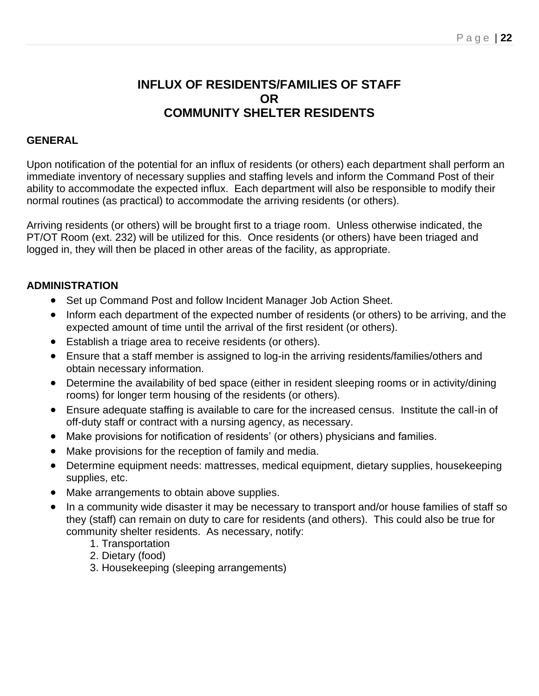# **INFLUX OF RESIDENTS/FAMILIES OF STAFF OR COMMUNITY SHELTER RESIDENTS**

#### **GENERAL**

Upon notification of the potential for an influx of residents (or others) each department shall perform an immediate inventory of necessary supplies and staffing levels and inform the Command Post of their ability to accommodate the expected influx. Each department will also be responsible to modify their normal routines (as practical) to accommodate the arriving residents (or others).

Arriving residents (or others) will be brought first to a triage room. Unless otherwise indicated, the PT/OT Room (ext. 232) will be utilized for this. Once residents (or others) have been triaged and logged in, they will then be placed in other areas of the facility, as appropriate.

#### **ADMINISTRATION**

- Set up Command Post and follow Incident Manager Job Action Sheet.
- Inform each department of the expected number of residents (or others) to be arriving, and the expected amount of time until the arrival of the first resident (or others).
- Establish a triage area to receive residents (or others).
- Ensure that a staff member is assigned to log-in the arriving residents/families/others and obtain necessary information.
- Determine the availability of bed space (either in resident sleeping rooms or in activity/dining rooms) for longer term housing of the residents (or others).
- Ensure adequate staffing is available to care for the increased census. Institute the call-in of off-duty staff or contract with a nursing agency, as necessary.
- Make provisions for notification of residents' (or others) physicians and families.
- Make provisions for the reception of family and media.
- Determine equipment needs: mattresses, medical equipment, dietary supplies, housekeeping supplies, etc.
- Make arrangements to obtain above supplies.
- In a community wide disaster it may be necessary to transport and/or house families of staff so they (staff) can remain on duty to care for residents (and others). This could also be true for community shelter residents. As necessary, notify:
	- 1. Transportation
	- 2. Dietary (food)
	- 3. Housekeeping (sleeping arrangements)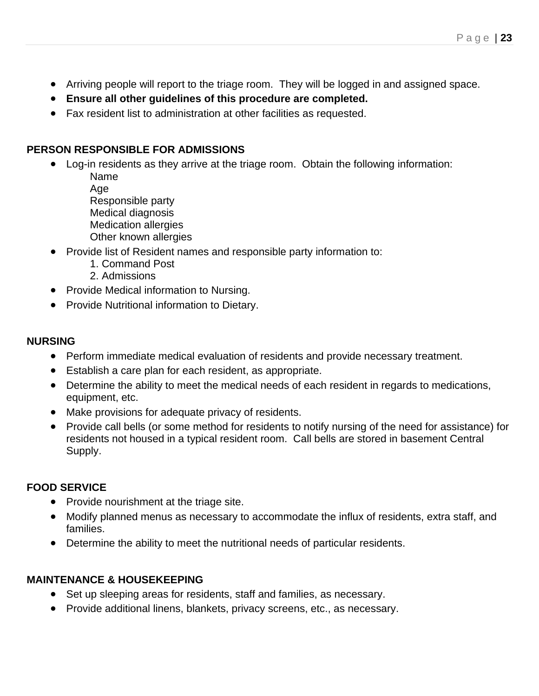- Arriving people will report to the triage room. They will be logged in and assigned space.
- **Ensure all other guidelines of this procedure are completed.**
- Fax resident list to administration at other facilities as requested.

#### **PERSON RESPONSIBLE FOR ADMISSIONS**

- Log-in residents as they arrive at the triage room. Obtain the following information:
	- Name Age Responsible party Medical diagnosis Medication allergies Other known allergies
- Provide list of Resident names and responsible party information to:
	- 1. Command Post
	- 2. Admissions
- Provide Medical information to Nursing.
- Provide Nutritional information to Dietary.

#### **NURSING**

- Perform immediate medical evaluation of residents and provide necessary treatment.
- Establish a care plan for each resident, as appropriate.
- Determine the ability to meet the medical needs of each resident in regards to medications, equipment, etc.
- Make provisions for adequate privacy of residents.
- Provide call bells (or some method for residents to notify nursing of the need for assistance) for residents not housed in a typical resident room. Call bells are stored in basement Central Supply.

#### **FOOD SERVICE**

- Provide nourishment at the triage site.
- Modify planned menus as necessary to accommodate the influx of residents, extra staff, and families.
- Determine the ability to meet the nutritional needs of particular residents.

#### **MAINTENANCE & HOUSEKEEPING**

- Set up sleeping areas for residents, staff and families, as necessary.
- Provide additional linens, blankets, privacy screens, etc., as necessary.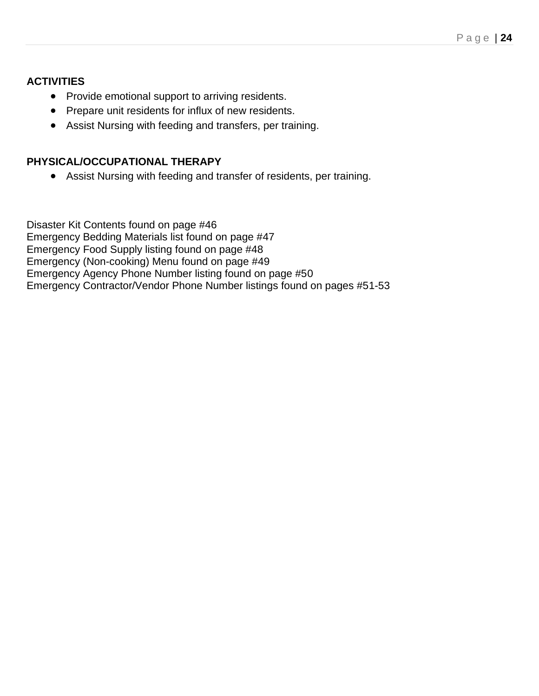# **ACTIVITIES**

- Provide emotional support to arriving residents.
- Prepare unit residents for influx of new residents.
- Assist Nursing with feeding and transfers, per training.

## **PHYSICAL/OCCUPATIONAL THERAPY**

• Assist Nursing with feeding and transfer of residents, per training.

Disaster Kit Contents found on page #46 Emergency Bedding Materials list found on page #47 Emergency Food Supply listing found on page #48 Emergency (Non-cooking) Menu found on page #49 Emergency Agency Phone Number listing found on page #50 Emergency Contractor/Vendor Phone Number listings found on pages #51-53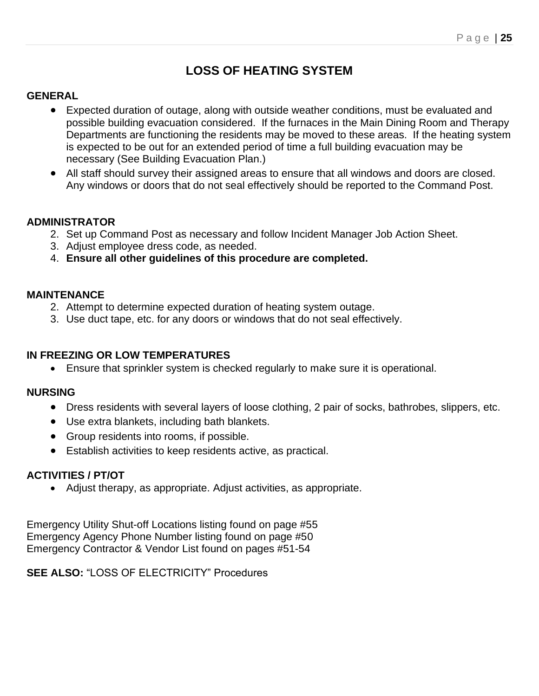# **LOSS OF HEATING SYSTEM**

#### **GENERAL**

- Expected duration of outage, along with outside weather conditions, must be evaluated and possible building evacuation considered. If the furnaces in the Main Dining Room and Therapy Departments are functioning the residents may be moved to these areas. If the heating system is expected to be out for an extended period of time a full building evacuation may be necessary (See Building Evacuation Plan.)
- All staff should survey their assigned areas to ensure that all windows and doors are closed. Any windows or doors that do not seal effectively should be reported to the Command Post.

#### **ADMINISTRATOR**

- 2. Set up Command Post as necessary and follow Incident Manager Job Action Sheet.
- 3. Adjust employee dress code, as needed.
- 4. **Ensure all other guidelines of this procedure are completed.**

#### **MAINTENANCE**

- 2. Attempt to determine expected duration of heating system outage.
- 3. Use duct tape, etc. for any doors or windows that do not seal effectively.

#### **IN FREEZING OR LOW TEMPERATURES**

• Ensure that sprinkler system is checked regularly to make sure it is operational.

#### **NURSING**

- Dress residents with several layers of loose clothing, 2 pair of socks, bathrobes, slippers, etc.
- Use extra blankets, including bath blankets.
- Group residents into rooms, if possible.
- Establish activities to keep residents active, as practical.

#### **ACTIVITIES / PT/OT**

• Adjust therapy, as appropriate. Adjust activities, as appropriate.

Emergency Utility Shut-off Locations listing found on page #55 Emergency Agency Phone Number listing found on page #50 Emergency Contractor & Vendor List found on pages #51-54

**SEE ALSO:** "LOSS OF ELECTRICITY" Procedures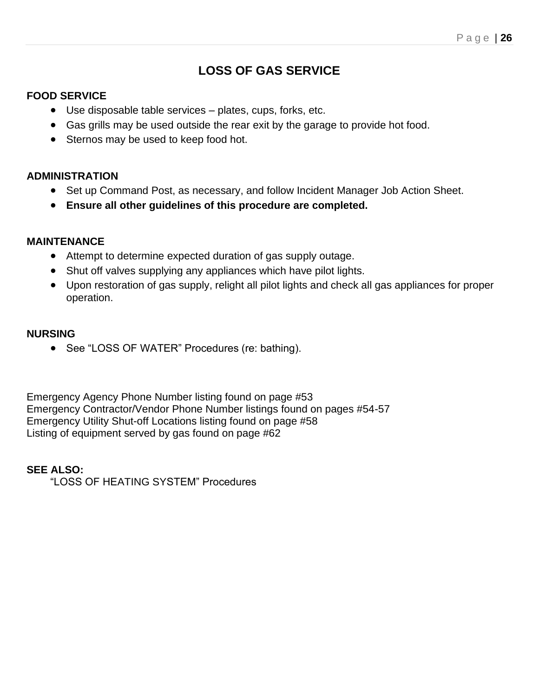# **LOSS OF GAS SERVICE**

# **FOOD SERVICE**

- Use disposable table services plates, cups, forks, etc.
- Gas grills may be used outside the rear exit by the garage to provide hot food.
- Sternos may be used to keep food hot.

#### **ADMINISTRATION**

- Set up Command Post, as necessary, and follow Incident Manager Job Action Sheet.
- **Ensure all other guidelines of this procedure are completed.**

#### **MAINTENANCE**

- Attempt to determine expected duration of gas supply outage.
- Shut off valves supplying any appliances which have pilot lights.
- Upon restoration of gas supply, relight all pilot lights and check all gas appliances for proper operation.

#### **NURSING**

• See "LOSS OF WATER" Procedures (re: bathing).

Emergency Agency Phone Number listing found on page #53 Emergency Contractor/Vendor Phone Number listings found on pages #54-57 Emergency Utility Shut-off Locations listing found on page #58 Listing of equipment served by gas found on page #62

#### **SEE ALSO:**

"LOSS OF HEATING SYSTEM" Procedures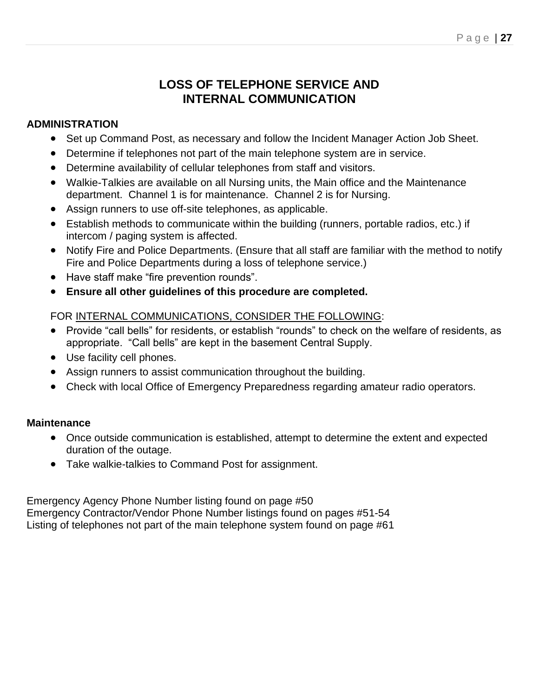# **LOSS OF TELEPHONE SERVICE AND INTERNAL COMMUNICATION**

#### **ADMINISTRATION**

- Set up Command Post, as necessary and follow the Incident Manager Action Job Sheet.
- Determine if telephones not part of the main telephone system are in service.
- Determine availability of cellular telephones from staff and visitors.
- Walkie-Talkies are available on all Nursing units, the Main office and the Maintenance department. Channel 1 is for maintenance. Channel 2 is for Nursing.
- Assign runners to use off-site telephones, as applicable.
- Establish methods to communicate within the building (runners, portable radios, etc.) if intercom / paging system is affected.
- Notify Fire and Police Departments. (Ensure that all staff are familiar with the method to notify Fire and Police Departments during a loss of telephone service.)
- Have staff make "fire prevention rounds".
- **Ensure all other guidelines of this procedure are completed.**

# FOR INTERNAL COMMUNICATIONS, CONSIDER THE FOLLOWING:

- Provide "call bells" for residents, or establish "rounds" to check on the welfare of residents, as appropriate. "Call bells" are kept in the basement Central Supply.
- Use facility cell phones.
- Assign runners to assist communication throughout the building.
- Check with local Office of Emergency Preparedness regarding amateur radio operators.

# **Maintenance**

- Once outside communication is established, attempt to determine the extent and expected duration of the outage.
- Take walkie-talkies to Command Post for assignment.

Emergency Agency Phone Number listing found on page #50 Emergency Contractor/Vendor Phone Number listings found on pages #51-54 Listing of telephones not part of the main telephone system found on page #61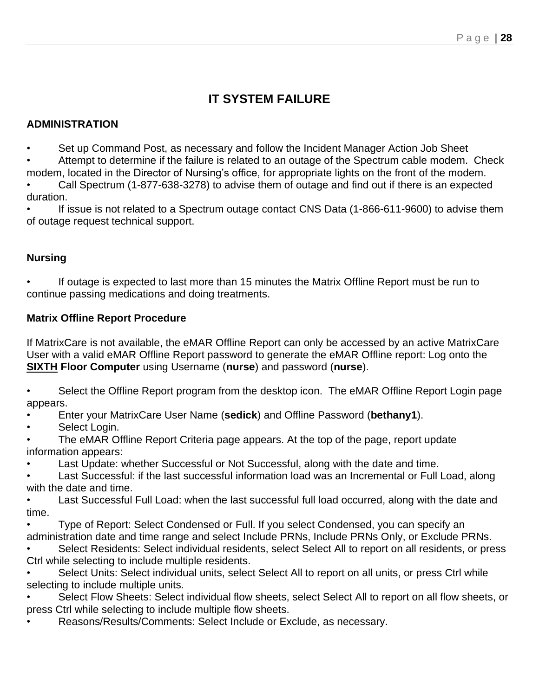# **IT SYSTEM FAILURE**

#### **ADMINISTRATION**

• Set up Command Post, as necessary and follow the Incident Manager Action Job Sheet

• Attempt to determine if the failure is related to an outage of the Spectrum cable modem. Check

modem, located in the Director of Nursing's office, for appropriate lights on the front of the modem. • Call Spectrum (1-877-638-3278) to advise them of outage and find out if there is an expected duration.

If issue is not related to a Spectrum outage contact CNS Data (1-866-611-9600) to advise them of outage request technical support.

# **Nursing**

If outage is expected to last more than 15 minutes the Matrix Offline Report must be run to continue passing medications and doing treatments.

## **Matrix Offline Report Procedure**

If MatrixCare is not available, the eMAR Offline Report can only be accessed by an active MatrixCare User with a valid eMAR Offline Report password to generate the eMAR Offline report: Log onto the **SIXTH Floor Computer** using Username (**nurse**) and password (**nurse**).

Select the Offline Report program from the desktop icon. The eMAR Offline Report Login page appears.

• Enter your MatrixCare User Name (**sedick**) and Offline Password (**bethany1**).

Select Login.

The eMAR Offline Report Criteria page appears. At the top of the page, report update information appears:

Last Update: whether Successful or Not Successful, along with the date and time.

• Last Successful: if the last successful information load was an Incremental or Full Load, along with the date and time.

• Last Successful Full Load: when the last successful full load occurred, along with the date and time.

• Type of Report: Select Condensed or Full. If you select Condensed, you can specify an administration date and time range and select Include PRNs, Include PRNs Only, or Exclude PRNs.

Select Residents: Select individual residents, select Select All to report on all residents, or press Ctrl while selecting to include multiple residents.

Select Units: Select individual units, select Select All to report on all units, or press Ctrl while selecting to include multiple units.

• Select Flow Sheets: Select individual flow sheets, select Select All to report on all flow sheets, or press Ctrl while selecting to include multiple flow sheets.

• Reasons/Results/Comments: Select Include or Exclude, as necessary.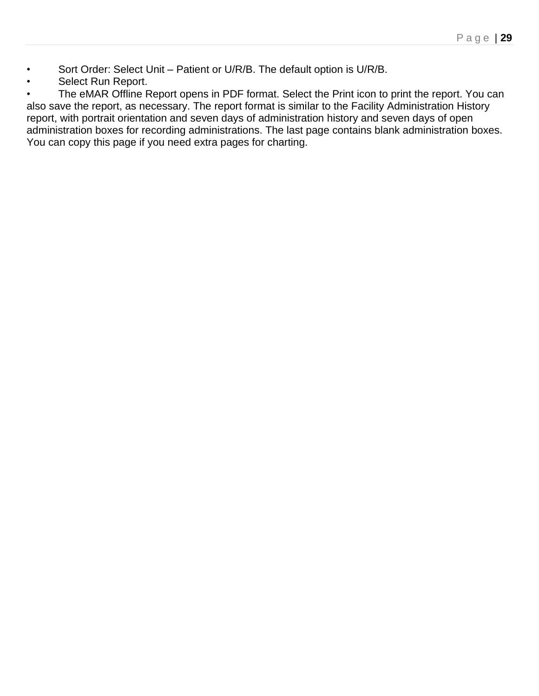- Sort Order: Select Unit Patient or U/R/B. The default option is U/R/B.
- Select Run Report.

The eMAR Offline Report opens in PDF format. Select the Print icon to print the report. You can also save the report, as necessary. The report format is similar to the Facility Administration History report, with portrait orientation and seven days of administration history and seven days of open administration boxes for recording administrations. The last page contains blank administration boxes. You can copy this page if you need extra pages for charting.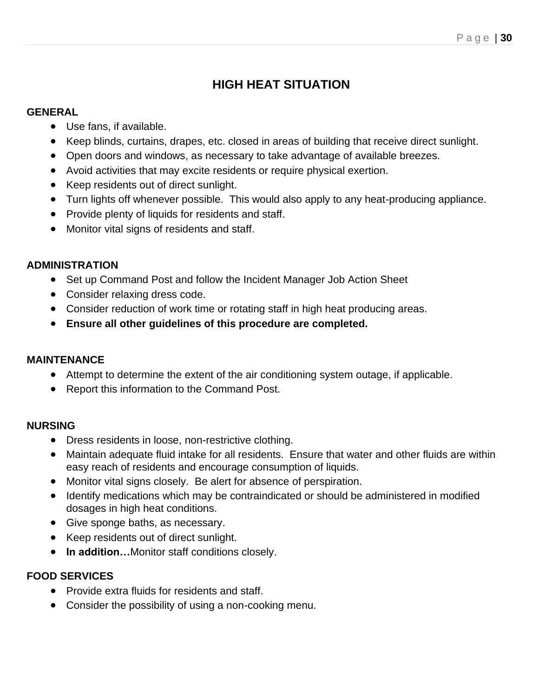# **HIGH HEAT SITUATION**

## **GENERAL**

- Use fans, if available.
- Keep blinds, curtains, drapes, etc. closed in areas of building that receive direct sunlight.
- Open doors and windows, as necessary to take advantage of available breezes.
- Avoid activities that may excite residents or require physical exertion.
- Keep residents out of direct sunlight.
- Turn lights off whenever possible. This would also apply to any heat-producing appliance.
- Provide plenty of liquids for residents and staff.
- Monitor vital signs of residents and staff.

# **ADMINISTRATION**

- Set up Command Post and follow the Incident Manager Job Action Sheet
- Consider relaxing dress code.
- Consider reduction of work time or rotating staff in high heat producing areas.
- **Ensure all other guidelines of this procedure are completed.**

# **MAINTENANCE**

- Attempt to determine the extent of the air conditioning system outage, if applicable.
- Report this information to the Command Post.

# **NURSING**

- Dress residents in loose, non-restrictive clothing.
- Maintain adequate fluid intake for all residents. Ensure that water and other fluids are within easy reach of residents and encourage consumption of liquids.
- Monitor vital signs closely. Be alert for absence of perspiration.
- Identify medications which may be contraindicated or should be administered in modified dosages in high heat conditions.
- Give sponge baths, as necessary.
- Keep residents out of direct sunlight.
- **In addition…**Monitor staff conditions closely.

# **FOOD SERVICES**

- Provide extra fluids for residents and staff.
- Consider the possibility of using a non-cooking menu.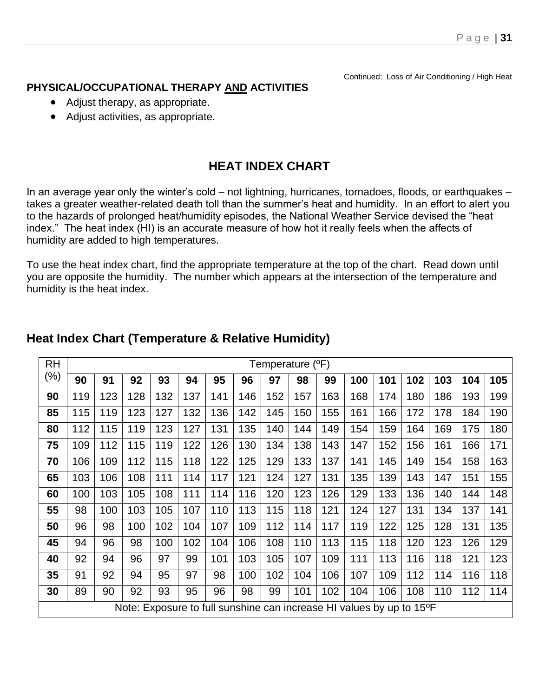Continued: Loss of Air Conditioning / High Heat

## **PHYSICAL/OCCUPATIONAL THERAPY AND ACTIVITIES**

- Adjust therapy, as appropriate.
- Adjust activities, as appropriate.

# **HEAT INDEX CHART**

In an average year only the winter's cold – not lightning, hurricanes, tornadoes, floods, or earthquakes – takes a greater weather-related death toll than the summer's heat and humidity. In an effort to alert you to the hazards of prolonged heat/humidity episodes, the National Weather Service devised the "heat index." The heat index (HI) is an accurate measure of how hot it really feels when the affects of humidity are added to high temperatures.

To use the heat index chart, find the appropriate temperature at the top of the chart. Read down until you are opposite the humidity. The number which appears at the intersection of the temperature and humidity is the heat index.

| RH                                                                   | Temperature ( <sup>o</sup> F) |     |     |     |     |     |     |     |     |     |     |     |     |     |     |     |
|----------------------------------------------------------------------|-------------------------------|-----|-----|-----|-----|-----|-----|-----|-----|-----|-----|-----|-----|-----|-----|-----|
| (%)                                                                  | 90                            | 91  | 92  | 93  | 94  | 95  | 96  | 97  | 98  | 99  | 100 | 101 | 102 | 103 | 104 | 105 |
| 90                                                                   | 119                           | 123 | 128 | 132 | 137 | 141 | 146 | 152 | 157 | 163 | 168 | 174 | 180 | 186 | 193 | 199 |
| 85                                                                   | 115                           | 119 | 123 | 127 | 132 | 136 | 142 | 145 | 150 | 155 | 161 | 166 | 172 | 178 | 184 | 190 |
| 80                                                                   | 112                           | 115 | 119 | 123 | 127 | 131 | 135 | 140 | 144 | 149 | 154 | 159 | 164 | 169 | 175 | 180 |
| 75                                                                   | 109                           | 112 | 115 | 119 | 122 | 126 | 130 | 134 | 138 | 143 | 147 | 152 | 156 | 161 | 166 | 171 |
| 70                                                                   | 106                           | 109 | 112 | 115 | 118 | 122 | 125 | 129 | 133 | 137 | 141 | 145 | 149 | 154 | 158 | 163 |
| 65                                                                   | 103                           | 106 | 108 | 111 | 114 | 117 | 121 | 124 | 127 | 131 | 135 | 139 | 143 | 147 | 151 | 155 |
| 60                                                                   | 100                           | 103 | 105 | 108 | 111 | 114 | 116 | 120 | 123 | 126 | 129 | 133 | 136 | 140 | 144 | 148 |
| 55                                                                   | 98                            | 100 | 103 | 105 | 107 | 110 | 113 | 115 | 118 | 121 | 124 | 127 | 131 | 134 | 137 | 141 |
| 50                                                                   | 96                            | 98  | 100 | 102 | 104 | 107 | 109 | 112 | 114 | 117 | 119 | 122 | 125 | 128 | 131 | 135 |
| 45                                                                   | 94                            | 96  | 98  | 100 | 102 | 104 | 106 | 108 | 110 | 113 | 115 | 118 | 120 | 123 | 126 | 129 |
| 40                                                                   | 92                            | 94  | 96  | 97  | 99  | 101 | 103 | 105 | 107 | 109 | 111 | 113 | 116 | 118 | 121 | 123 |
| 35                                                                   | 91                            | 92  | 94  | 95  | 97  | 98  | 100 | 102 | 104 | 106 | 107 | 109 | 112 | 114 | 116 | 118 |
| 30                                                                   | 89                            | 90  | 92  | 93  | 95  | 96  | 98  | 99  | 101 | 102 | 104 | 106 | 108 | 110 | 112 | 114 |
| Note: Exposure to full sunshine can increase HI values by up to 15°F |                               |     |     |     |     |     |     |     |     |     |     |     |     |     |     |     |

# **Heat Index Chart (Temperature & Relative Humidity)**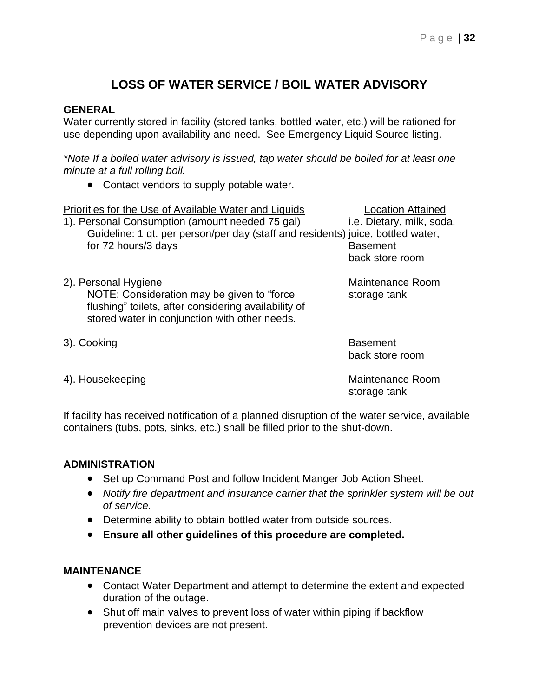# **LOSS OF WATER SERVICE / BOIL WATER ADVISORY**

#### **GENERAL**

Water currently stored in facility (stored tanks, bottled water, etc.) will be rationed for use depending upon availability and need. See Emergency Liquid Source listing.

*\*Note If a boiled water advisory is issued, tap water should be boiled for at least one minute at a full rolling boil.*

• Contact vendors to supply potable water.

| Priorities for the Use of Available Water and Liquids                                                                                                                        | <b>Location Attained</b>           |  |  |  |
|------------------------------------------------------------------------------------------------------------------------------------------------------------------------------|------------------------------------|--|--|--|
| 1). Personal Consumption (amount needed 75 gal)                                                                                                                              | i.e. Dietary, milk, soda,          |  |  |  |
| Guideline: 1 qt. per person/per day (staff and residents) juice, bottled water,                                                                                              |                                    |  |  |  |
| for 72 hours/3 days                                                                                                                                                          | <b>Basement</b>                    |  |  |  |
|                                                                                                                                                                              | back store room                    |  |  |  |
| 2). Personal Hygiene<br>NOTE: Consideration may be given to "force"<br>flushing" toilets, after considering availability of<br>stored water in conjunction with other needs. | Maintenance Room<br>storage tank   |  |  |  |
| 3). Cooking                                                                                                                                                                  | <b>Basement</b><br>back store room |  |  |  |
| 4). Housekeeping                                                                                                                                                             | <b>Maintenance Room</b>            |  |  |  |

If facility has received notification of a planned disruption of the water service, available containers (tubs, pots, sinks, etc.) shall be filled prior to the shut-down.

#### **ADMINISTRATION**

- Set up Command Post and follow Incident Manger Job Action Sheet.
- *Notify fire department and insurance carrier that the sprinkler system will be out of service.*

storage tank

- Determine ability to obtain bottled water from outside sources.
- **Ensure all other guidelines of this procedure are completed.**

#### **MAINTENANCE**

- Contact Water Department and attempt to determine the extent and expected duration of the outage.
- Shut off main valves to prevent loss of water within piping if backflow prevention devices are not present.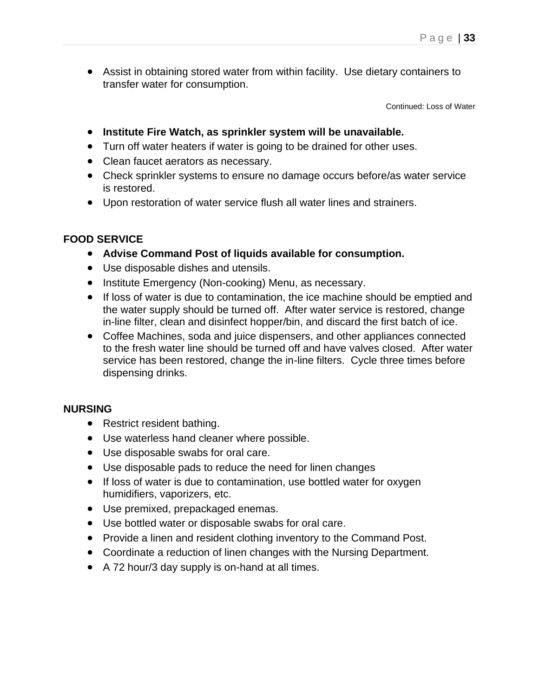• Assist in obtaining stored water from within facility. Use dietary containers to transfer water for consumption.

Continued: Loss of Water

- **Institute Fire Watch, as sprinkler system will be unavailable.**
- Turn off water heaters if water is going to be drained for other uses.
- Clean faucet aerators as necessary.
- Check sprinkler systems to ensure no damage occurs before/as water service is restored.
- Upon restoration of water service flush all water lines and strainers.

#### **FOOD SERVICE**

- **Advise Command Post of liquids available for consumption.**
- Use disposable dishes and utensils.
- Institute Emergency (Non-cooking) Menu, as necessary.
- If loss of water is due to contamination, the ice machine should be emptied and the water supply should be turned off. After water service is restored, change in-line filter, clean and disinfect hopper/bin, and discard the first batch of ice.
- Coffee Machines, soda and juice dispensers, and other appliances connected to the fresh water line should be turned off and have valves closed. After water service has been restored, change the in-line filters. Cycle three times before dispensing drinks.

#### **NURSING**

- Restrict resident bathing.
- Use waterless hand cleaner where possible.
- Use disposable swabs for oral care.
- Use disposable pads to reduce the need for linen changes
- If loss of water is due to contamination, use bottled water for oxygen humidifiers, vaporizers, etc.
- Use premixed, prepackaged enemas.
- Use bottled water or disposable swabs for oral care.
- Provide a linen and resident clothing inventory to the Command Post.
- Coordinate a reduction of linen changes with the Nursing Department.
- A 72 hour/3 day supply is on-hand at all times.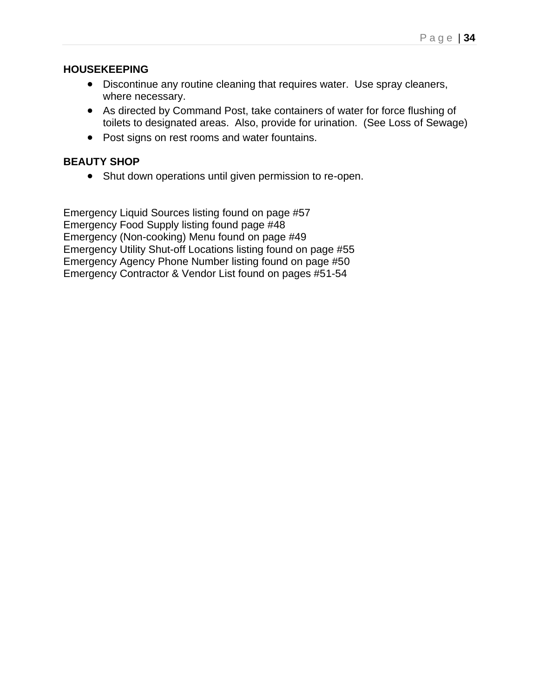#### **HOUSEKEEPING**

- Discontinue any routine cleaning that requires water. Use spray cleaners, where necessary.
- As directed by Command Post, take containers of water for force flushing of toilets to designated areas. Also, provide for urination. (See Loss of Sewage)
- Post signs on rest rooms and water fountains.

#### **BEAUTY SHOP**

• Shut down operations until given permission to re-open.

Emergency Liquid Sources listing found on page #57 Emergency Food Supply listing found page #48 Emergency (Non-cooking) Menu found on page #49 Emergency Utility Shut-off Locations listing found on page #55 Emergency Agency Phone Number listing found on page #50 Emergency Contractor & Vendor List found on pages #51-54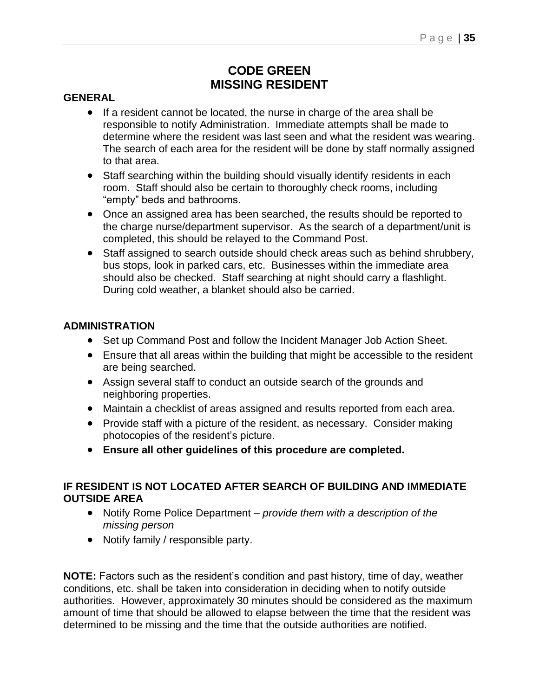# **CODE GREEN MISSING RESIDENT**

#### **GENERAL**

- If a resident cannot be located, the nurse in charge of the area shall be responsible to notify Administration. Immediate attempts shall be made to determine where the resident was last seen and what the resident was wearing. The search of each area for the resident will be done by staff normally assigned to that area.
- Staff searching within the building should visually identify residents in each room. Staff should also be certain to thoroughly check rooms, including "empty" beds and bathrooms.
- Once an assigned area has been searched, the results should be reported to the charge nurse/department supervisor. As the search of a department/unit is completed, this should be relayed to the Command Post.
- Staff assigned to search outside should check areas such as behind shrubbery, bus stops, look in parked cars, etc. Businesses within the immediate area should also be checked. Staff searching at night should carry a flashlight. During cold weather, a blanket should also be carried.

#### **ADMINISTRATION**

- Set up Command Post and follow the Incident Manager Job Action Sheet.
- Ensure that all areas within the building that might be accessible to the resident are being searched.
- Assign several staff to conduct an outside search of the grounds and neighboring properties.
- Maintain a checklist of areas assigned and results reported from each area.
- Provide staff with a picture of the resident, as necessary. Consider making photocopies of the resident's picture.
- **Ensure all other guidelines of this procedure are completed.**

#### **IF RESIDENT IS NOT LOCATED AFTER SEARCH OF BUILDING AND IMMEDIATE OUTSIDE AREA**

- Notify Rome Police Department *provide them with a description of the missing person*
- Notify family / responsible party.

**NOTE:** Factors such as the resident's condition and past history, time of day, weather conditions, etc. shall be taken into consideration in deciding when to notify outside authorities. However, approximately 30 minutes should be considered as the maximum amount of time that should be allowed to elapse between the time that the resident was determined to be missing and the time that the outside authorities are notified.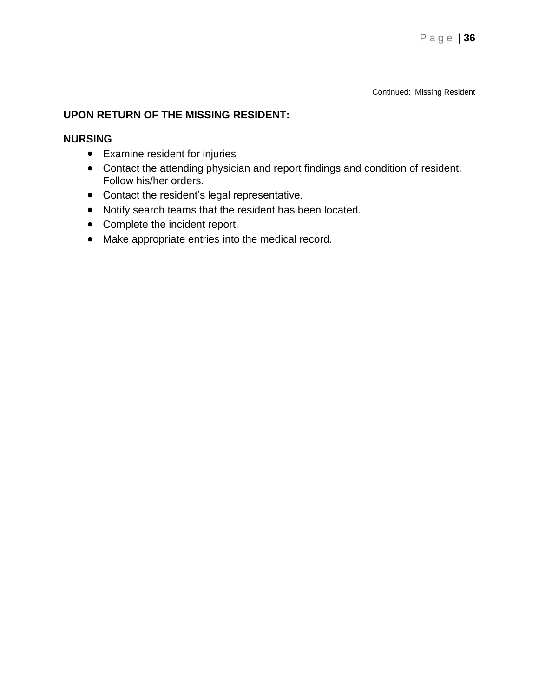Continued: Missing Resident

#### **UPON RETURN OF THE MISSING RESIDENT:**

#### **NURSING**

- Examine resident for injuries
- Contact the attending physician and report findings and condition of resident. Follow his/her orders.
- Contact the resident's legal representative.
- Notify search teams that the resident has been located.
- Complete the incident report.
- Make appropriate entries into the medical record.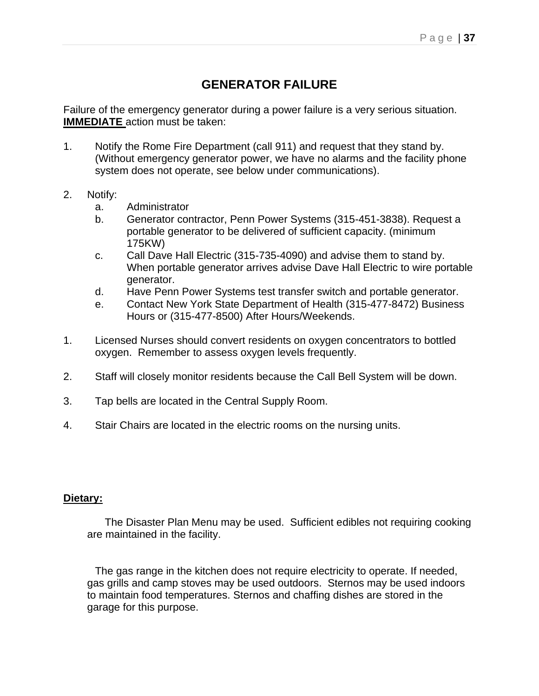# **GENERATOR FAILURE**

Failure of the emergency generator during a power failure is a very serious situation. **IMMEDIATE** action must be taken:

- 1. Notify the Rome Fire Department (call 911) and request that they stand by. (Without emergency generator power, we have no alarms and the facility phone system does not operate, see below under communications).
- 2. Notify:
	- a. Administrator
	- b. Generator contractor, Penn Power Systems (315-451-3838). Request a portable generator to be delivered of sufficient capacity. (minimum 175KW)
	- c. Call Dave Hall Electric (315-735-4090) and advise them to stand by. When portable generator arrives advise Dave Hall Electric to wire portable generator.
	- d. Have Penn Power Systems test transfer switch and portable generator.
	- e. Contact New York State Department of Health (315-477-8472) Business Hours or (315-477-8500) After Hours/Weekends.
- 1. Licensed Nurses should convert residents on oxygen concentrators to bottled oxygen. Remember to assess oxygen levels frequently.
- 2. Staff will closely monitor residents because the Call Bell System will be down.
- 3. Tap bells are located in the Central Supply Room.
- 4. Stair Chairs are located in the electric rooms on the nursing units.

### **Dietary:**

 The Disaster Plan Menu may be used. Sufficient edibles not requiring cooking are maintained in the facility.

The gas range in the kitchen does not require electricity to operate. If needed, gas grills and camp stoves may be used outdoors. Sternos may be used indoors to maintain food temperatures. Sternos and chaffing dishes are stored in the garage for this purpose.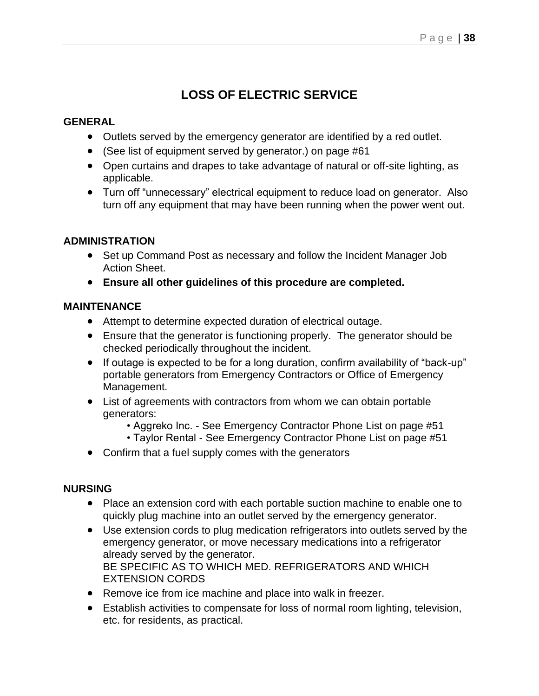# **LOSS OF ELECTRIC SERVICE**

## **GENERAL**

- Outlets served by the emergency generator are identified by a red outlet.
- (See list of equipment served by generator.) on page #61
- Open curtains and drapes to take advantage of natural or off-site lighting, as applicable.
- Turn off "unnecessary" electrical equipment to reduce load on generator. Also turn off any equipment that may have been running when the power went out.

## **ADMINISTRATION**

- Set up Command Post as necessary and follow the Incident Manager Job Action Sheet.
- **Ensure all other guidelines of this procedure are completed.**

### **MAINTENANCE**

- Attempt to determine expected duration of electrical outage.
- Ensure that the generator is functioning properly. The generator should be checked periodically throughout the incident.
- If outage is expected to be for a long duration, confirm availability of "back-up" portable generators from Emergency Contractors or Office of Emergency Management.
- List of agreements with contractors from whom we can obtain portable generators:
	- Aggreko Inc. See Emergency Contractor Phone List on page #51
	- Taylor Rental See Emergency Contractor Phone List on page #51
- Confirm that a fuel supply comes with the generators

### **NURSING**

- Place an extension cord with each portable suction machine to enable one to quickly plug machine into an outlet served by the emergency generator.
- Use extension cords to plug medication refrigerators into outlets served by the emergency generator, or move necessary medications into a refrigerator already served by the generator. BE SPECIFIC AS TO WHICH MED. REFRIGERATORS AND WHICH EXTENSION CORDS
- Remove ice from ice machine and place into walk in freezer.
- Establish activities to compensate for loss of normal room lighting, television, etc. for residents, as practical.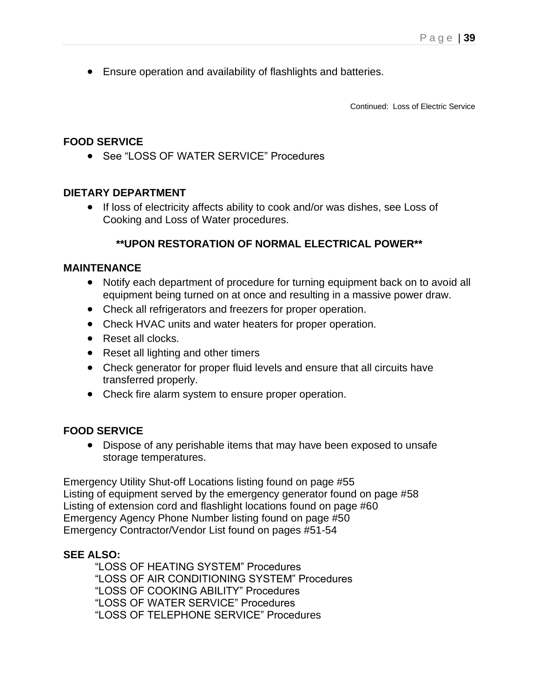• Ensure operation and availability of flashlights and batteries.

Continued: Loss of Electric Service

## **FOOD SERVICE**

• See "LOSS OF WATER SERVICE" Procedures

## **DIETARY DEPARTMENT**

• If loss of electricity affects ability to cook and/or was dishes, see Loss of Cooking and Loss of Water procedures.

## **\*\*UPON RESTORATION OF NORMAL ELECTRICAL POWER\*\***

### **MAINTENANCE**

- Notify each department of procedure for turning equipment back on to avoid all equipment being turned on at once and resulting in a massive power draw.
- Check all refrigerators and freezers for proper operation.
- Check HVAC units and water heaters for proper operation.
- Reset all clocks.
- Reset all lighting and other timers
- Check generator for proper fluid levels and ensure that all circuits have transferred properly.
- Check fire alarm system to ensure proper operation.

### **FOOD SERVICE**

• Dispose of any perishable items that may have been exposed to unsafe storage temperatures.

Emergency Utility Shut-off Locations listing found on page #55 Listing of equipment served by the emergency generator found on page #58 Listing of extension cord and flashlight locations found on page #60 Emergency Agency Phone Number listing found on page #50 Emergency Contractor/Vendor List found on pages #51-54

### **SEE ALSO:**

"LOSS OF HEATING SYSTEM" Procedures "LOSS OF AIR CONDITIONING SYSTEM" Procedures "LOSS OF COOKING ABILITY" Procedures "LOSS OF WATER SERVICE" Procedures "LOSS OF TELEPHONE SERVICE" Procedures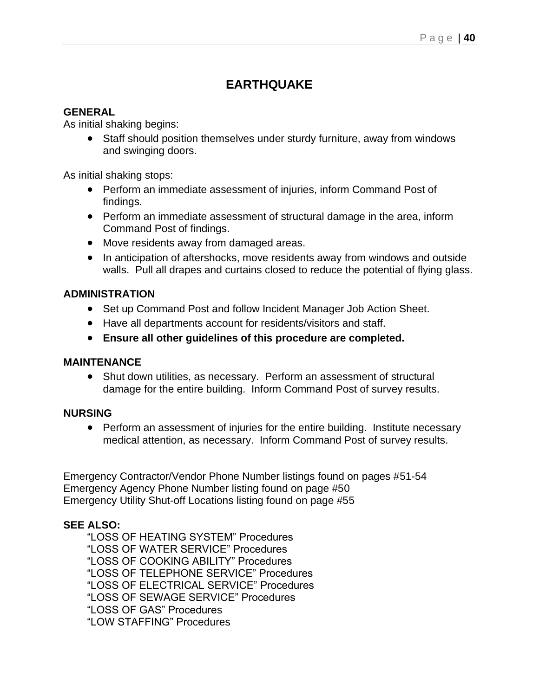# **EARTHQUAKE**

## **GENERAL**

As initial shaking begins:

• Staff should position themselves under sturdy furniture, away from windows and swinging doors.

As initial shaking stops:

- Perform an immediate assessment of injuries, inform Command Post of findings.
- Perform an immediate assessment of structural damage in the area, inform Command Post of findings.
- Move residents away from damaged areas.
- In anticipation of aftershocks, move residents away from windows and outside walls. Pull all drapes and curtains closed to reduce the potential of flying glass.

#### **ADMINISTRATION**

- Set up Command Post and follow Incident Manager Job Action Sheet.
- Have all departments account for residents/visitors and staff.
- **Ensure all other guidelines of this procedure are completed.**

#### **MAINTENANCE**

• Shut down utilities, as necessary. Perform an assessment of structural damage for the entire building. Inform Command Post of survey results.

#### **NURSING**

• Perform an assessment of injuries for the entire building. Institute necessary medical attention, as necessary. Inform Command Post of survey results.

Emergency Contractor/Vendor Phone Number listings found on pages #51-54 Emergency Agency Phone Number listing found on page #50 Emergency Utility Shut-off Locations listing found on page #55

### **SEE ALSO:**

"LOSS OF HEATING SYSTEM" Procedures "LOSS OF WATER SERVICE" Procedures "LOSS OF COOKING ABILITY" Procedures "LOSS OF TELEPHONE SERVICE" Procedures "LOSS OF ELECTRICAL SERVICE" Procedures "LOSS OF SEWAGE SERVICE" Procedures "LOSS OF GAS" Procedures "LOW STAFFING" Procedures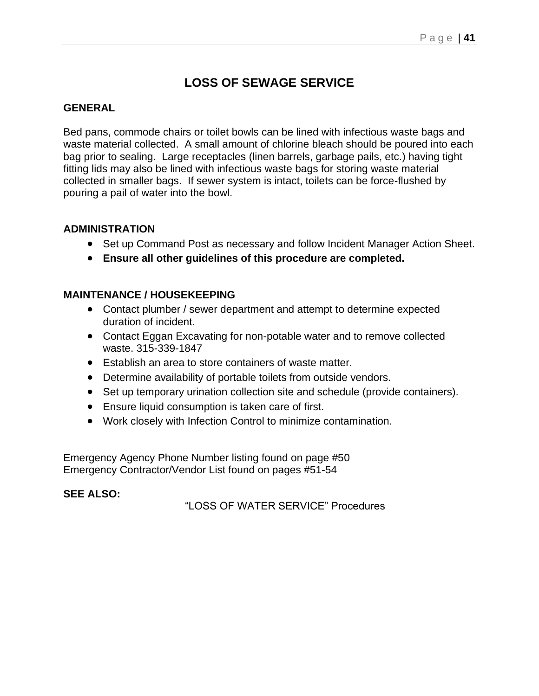# **LOSS OF SEWAGE SERVICE**

## **GENERAL**

Bed pans, commode chairs or toilet bowls can be lined with infectious waste bags and waste material collected. A small amount of chlorine bleach should be poured into each bag prior to sealing. Large receptacles (linen barrels, garbage pails, etc.) having tight fitting lids may also be lined with infectious waste bags for storing waste material collected in smaller bags. If sewer system is intact, toilets can be force-flushed by pouring a pail of water into the bowl.

## **ADMINISTRATION**

- Set up Command Post as necessary and follow Incident Manager Action Sheet.
- **Ensure all other guidelines of this procedure are completed.**

## **MAINTENANCE / HOUSEKEEPING**

- Contact plumber / sewer department and attempt to determine expected duration of incident.
- Contact Eggan Excavating for non-potable water and to remove collected waste. 315-339-1847
- Establish an area to store containers of waste matter.
- Determine availability of portable toilets from outside vendors.
- Set up temporary urination collection site and schedule (provide containers).
- Ensure liquid consumption is taken care of first.
- Work closely with Infection Control to minimize contamination.

Emergency Agency Phone Number listing found on page #50 Emergency Contractor/Vendor List found on pages #51-54

### **SEE ALSO:**

"LOSS OF WATER SERVICE" Procedures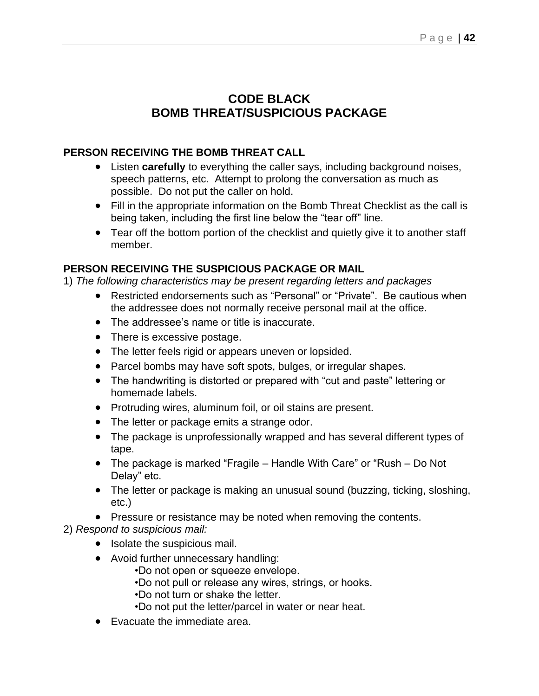# **CODE BLACK BOMB THREAT/SUSPICIOUS PACKAGE**

## **PERSON RECEIVING THE BOMB THREAT CALL**

- Listen **carefully** to everything the caller says, including background noises, speech patterns, etc. Attempt to prolong the conversation as much as possible. Do not put the caller on hold.
- Fill in the appropriate information on the Bomb Threat Checklist as the call is being taken, including the first line below the "tear off" line.
- Tear off the bottom portion of the checklist and quietly give it to another staff member.

## **PERSON RECEIVING THE SUSPICIOUS PACKAGE OR MAIL**

1) *The following characteristics may be present regarding letters and packages*

- Restricted endorsements such as "Personal" or "Private". Be cautious when the addressee does not normally receive personal mail at the office.
- The addressee's name or title is inaccurate.
- There is excessive postage.
- The letter feels rigid or appears uneven or lopsided.
- Parcel bombs may have soft spots, bulges, or irregular shapes.
- The handwriting is distorted or prepared with "cut and paste" lettering or homemade labels.
- Protruding wires, aluminum foil, or oil stains are present.
- The letter or package emits a strange odor.
- The package is unprofessionally wrapped and has several different types of tape.
- The package is marked "Fragile Handle With Care" or "Rush Do Not Delay" etc.
- The letter or package is making an unusual sound (buzzing, ticking, sloshing, etc.)
- Pressure or resistance may be noted when removing the contents.

2) *Respond to suspicious mail:*

- Isolate the suspicious mail.
- Avoid further unnecessary handling:
	- •Do not open or squeeze envelope.
	- •Do not pull or release any wires, strings, or hooks.
	- •Do not turn or shake the letter.
	- •Do not put the letter/parcel in water or near heat.
- Evacuate the immediate area.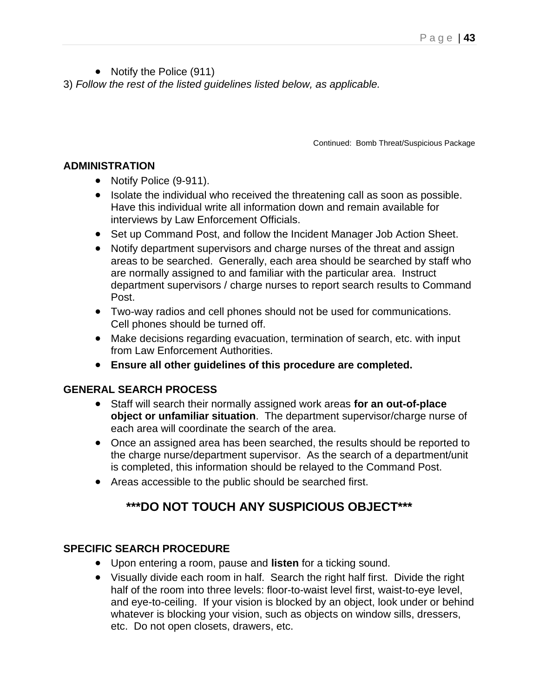• Notify the Police (911)

3) *Follow the rest of the listed guidelines listed below, as applicable.*

Continued: Bomb Threat/Suspicious Package

#### **ADMINISTRATION**

- Notify Police (9-911).
- Isolate the individual who received the threatening call as soon as possible. Have this individual write all information down and remain available for interviews by Law Enforcement Officials.
- Set up Command Post, and follow the Incident Manager Job Action Sheet.
- Notify department supervisors and charge nurses of the threat and assign areas to be searched. Generally, each area should be searched by staff who are normally assigned to and familiar with the particular area. Instruct department supervisors / charge nurses to report search results to Command Post.
- Two-way radios and cell phones should not be used for communications. Cell phones should be turned off.
- Make decisions regarding evacuation, termination of search, etc. with input from Law Enforcement Authorities.
- **Ensure all other guidelines of this procedure are completed.**

### **GENERAL SEARCH PROCESS**

- Staff will search their normally assigned work areas **for an out-of-place object or unfamiliar situation**. The department supervisor/charge nurse of each area will coordinate the search of the area.
- Once an assigned area has been searched, the results should be reported to the charge nurse/department supervisor. As the search of a department/unit is completed, this information should be relayed to the Command Post.
- Areas accessible to the public should be searched first.

# **\*\*\*DO NOT TOUCH ANY SUSPICIOUS OBJECT\*\*\***

### **SPECIFIC SEARCH PROCEDURE**

- Upon entering a room, pause and **listen** for a ticking sound.
- Visually divide each room in half. Search the right half first. Divide the right half of the room into three levels: floor-to-waist level first, waist-to-eye level, and eye-to-ceiling. If your vision is blocked by an object, look under or behind whatever is blocking your vision, such as objects on window sills, dressers, etc. Do not open closets, drawers, etc.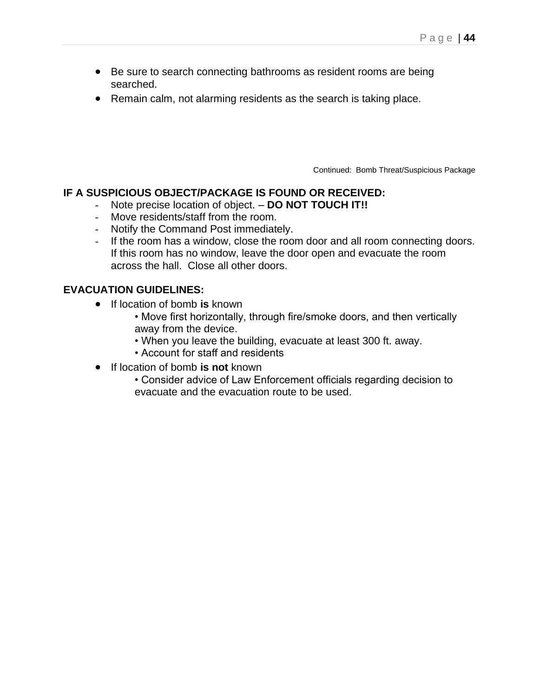- Be sure to search connecting bathrooms as resident rooms are being searched.
- Remain calm, not alarming residents as the search is taking place.

Continued: Bomb Threat/Suspicious Package

#### **IF A SUSPICIOUS OBJECT/PACKAGE IS FOUND OR RECEIVED:**

- Note precise location of object. **DO NOT TOUCH IT!!**
- Move residents/staff from the room.
- Notify the Command Post immediately.
- If the room has a window, close the room door and all room connecting doors. If this room has no window, leave the door open and evacuate the room across the hall. Close all other doors.

#### **EVACUATION GUIDELINES:**

- If location of bomb **is** known
	- Move first horizontally, through fire/smoke doors, and then vertically away from the device.
	- When you leave the building, evacuate at least 300 ft. away.
	- Account for staff and residents
- If location of bomb **is not** known
	- Consider advice of Law Enforcement officials regarding decision to evacuate and the evacuation route to be used.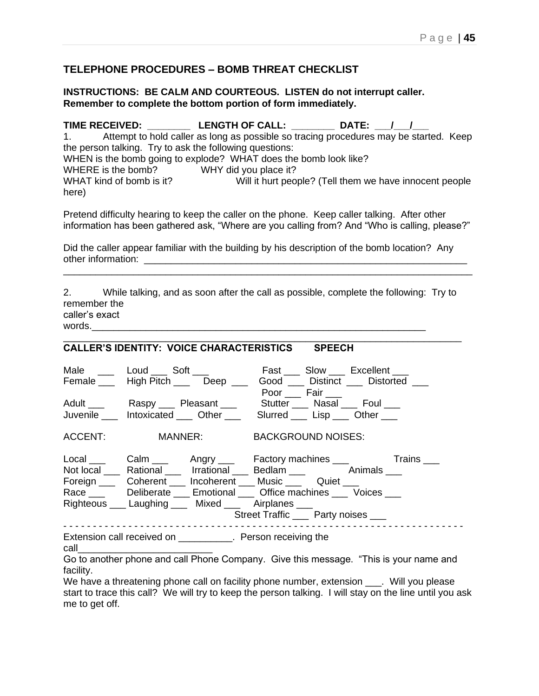### **TELEPHONE PROCEDURES – BOMB THREAT CHECKLIST**

#### **INSTRUCTIONS: BE CALM AND COURTEOUS. LISTEN do not interrupt caller. Remember to complete the bottom portion of form immediately.**

**TIME RECEIVED: \_\_\_\_\_\_\_\_ LENGTH OF CALL: \_\_\_\_\_\_\_\_ DATE: \_\_\_/\_\_\_/\_\_\_** 1. Attempt to hold caller as long as possible so tracing procedures may be started. Keep the person talking. Try to ask the following questions: WHEN is the bomb going to explode? WHAT does the bomb look like? WHERE is the bomb? WHY did you place it? WHAT kind of bomb is it? Will it hurt people? (Tell them we have innocent people here)

Pretend difficulty hearing to keep the caller on the phone. Keep caller talking. After other information has been gathered ask, "Where are you calling from? And "Who is calling, please?"

\_\_\_\_\_\_\_\_\_\_\_\_\_\_\_\_\_\_\_\_\_\_\_\_\_\_\_\_\_\_\_\_\_\_\_\_\_\_\_\_\_\_\_\_\_\_\_\_\_\_\_\_\_\_\_\_\_\_\_\_\_\_\_\_\_\_\_\_\_\_\_\_\_\_\_\_

Did the caller appear familiar with the building by his description of the bomb location? Any other information:

2. While talking, and as soon after the call as possible, complete the following: Try to remember the caller's exact words.

\_\_\_\_\_\_\_\_\_\_\_\_\_\_\_\_\_\_\_\_\_\_\_\_\_\_\_\_\_\_\_\_\_\_\_\_\_\_\_\_\_\_\_\_\_\_\_\_\_\_\_\_\_\_\_\_\_\_\_\_\_\_\_\_\_\_\_\_\_\_\_\_\_\_

#### **CALLER'S IDENTITY: VOICE CHARACTERISTICS SPEECH**

| Male ____ Loud ___ Soft ___<br>Female ____ High Pitch ____ Deep ___             |                                      | Poor <u>Fair</u> | Fast ____ Slow ____ Excellent ____<br>Good ____ Distinct ____ Distorted |
|---------------------------------------------------------------------------------|--------------------------------------|------------------|-------------------------------------------------------------------------|
| Adult ____ Raspy ___ Pleasant ____ Stutter ___ Nasal ___ Foul ___               |                                      |                  |                                                                         |
| Juvenile htoxicated cher Slurred Lisp Cther                                     |                                      |                  |                                                                         |
| ACCENT: MANNER: BACKGROUND NOISES:                                              |                                      |                  |                                                                         |
|                                                                                 |                                      |                  | Local Calm Angry Factory machines Trains                                |
| Not local _____ Rational ______ Irrational ____ Bedlam ____ ______ Animals ____ |                                      |                  |                                                                         |
| Foreign _____ Coherent _____ Incoherent ____ Music _____ Quiet ____             |                                      |                  |                                                                         |
| Race Deliberate Emotional Mirce machines Moices                                 |                                      |                  |                                                                         |
| Righteous ____ Laughing _____ Mixed ____ Airplanes ____                         |                                      |                  |                                                                         |
|                                                                                 | Street Traffic ____ Party noises ___ |                  |                                                                         |
| Extension call received on ___________. Person receiving the                    |                                      |                  |                                                                         |

call\_\_\_\_\_\_\_\_\_\_\_\_\_\_\_\_\_\_\_\_\_\_\_\_\_

Go to another phone and call Phone Company. Give this message. "This is your name and facility.

We have a threatening phone call on facility phone number, extension . Will you please start to trace this call? We will try to keep the person talking. I will stay on the line until you ask me to get off.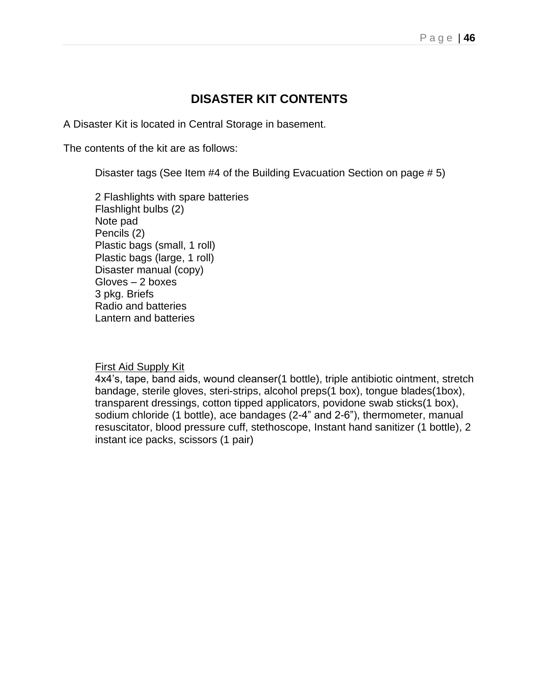# **DISASTER KIT CONTENTS**

A Disaster Kit is located in Central Storage in basement.

The contents of the kit are as follows:

Disaster tags (See Item #4 of the Building Evacuation Section on page # 5)

2 Flashlights with spare batteries Flashlight bulbs (2) Note pad Pencils (2) Plastic bags (small, 1 roll) Plastic bags (large, 1 roll) Disaster manual (copy) Gloves – 2 boxes 3 pkg. Briefs Radio and batteries Lantern and batteries

#### First Aid Supply Kit

4x4's, tape, band aids, wound cleanser(1 bottle), triple antibiotic ointment, stretch bandage, sterile gloves, steri-strips, alcohol preps(1 box), tongue blades(1box), transparent dressings, cotton tipped applicators, povidone swab sticks(1 box), sodium chloride (1 bottle), ace bandages (2-4" and 2-6"), thermometer, manual resuscitator, blood pressure cuff, stethoscope, Instant hand sanitizer (1 bottle), 2 instant ice packs, scissors (1 pair)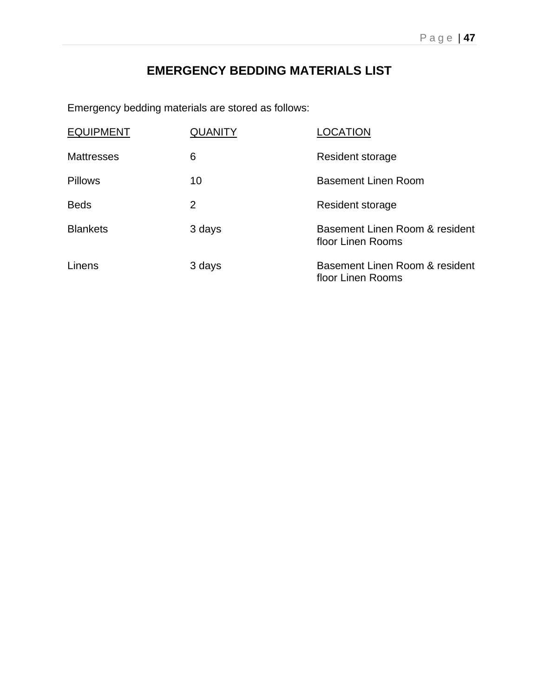# **EMERGENCY BEDDING MATERIALS LIST**

Emergency bedding materials are stored as follows:

| <b>EQUIPMENT</b>  | QUANITY | LOCATION                                            |
|-------------------|---------|-----------------------------------------------------|
| <b>Mattresses</b> | 6       | Resident storage                                    |
| <b>Pillows</b>    | 10      | <b>Basement Linen Room</b>                          |
| <b>Beds</b>       | 2       | Resident storage                                    |
| <b>Blankets</b>   | 3 days  | Basement Linen Room & resident<br>floor Linen Rooms |
| Linens            | 3 days  | Basement Linen Room & resident<br>floor Linen Rooms |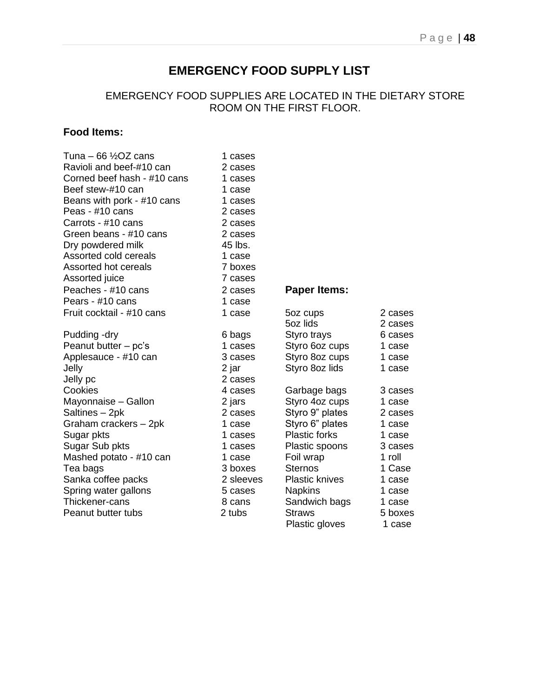# **EMERGENCY FOOD SUPPLY LIST**

## EMERGENCY FOOD SUPPLIES ARE LOCATED IN THE DIETARY STORE ROOM ON THE FIRST FLOOR.

## **Food Items:**

| Tuna – 66 $\frac{1}{2}$ OZ cans | 1 cases   |                       |         |
|---------------------------------|-----------|-----------------------|---------|
| Ravioli and beef-#10 can        | 2 cases   |                       |         |
| Corned beef hash - #10 cans     | 1 cases   |                       |         |
| Beef stew-#10 can               | 1 case    |                       |         |
| Beans with pork - #10 cans      | 1 cases   |                       |         |
| Peas - #10 cans                 | 2 cases   |                       |         |
| Carrots - #10 cans              | 2 cases   |                       |         |
| Green beans - #10 cans          | 2 cases   |                       |         |
| Dry powdered milk               | 45 lbs.   |                       |         |
| Assorted cold cereals           | 1 case    |                       |         |
| Assorted hot cereals            | 7 boxes   |                       |         |
| Assorted juice                  | 7 cases   |                       |         |
| Peaches - #10 cans              | 2 cases   | <b>Paper Items:</b>   |         |
| Pears - #10 cans                | 1 case    |                       |         |
| Fruit cocktail - #10 cans       | 1 case    | 5oz cups              | 2 cases |
|                                 |           | 5oz lids              | 2 cases |
| Pudding -dry                    | 6 bags    | Styro trays           | 6 cases |
| Peanut butter - pc's            | 1 cases   | Styro 6oz cups        | 1 case  |
| Applesauce - #10 can            | 3 cases   | Styro 8oz cups        | 1 case  |
| Jelly                           | 2 jar     | Styro 8oz lids        | 1 case  |
| Jelly pc                        | 2 cases   |                       |         |
| Cookies                         | 4 cases   | Garbage bags          | 3 cases |
| Mayonnaise - Gallon             | 2 jars    | Styro 4oz cups        | 1 case  |
| Saltines - 2pk                  | 2 cases   | Styro 9" plates       | 2 cases |
| Graham crackers - 2pk           | 1 case    | Styro 6" plates       | 1 case  |
| Sugar pkts                      | 1 cases   | <b>Plastic forks</b>  | 1 case  |
| Sugar Sub pkts                  | 1 cases   | Plastic spoons        | 3 cases |
| Mashed potato - #10 can         | 1 case    | Foil wrap             | 1 roll  |
| Tea bags                        | 3 boxes   | <b>Sternos</b>        | 1 Case  |
| Sanka coffee packs              | 2 sleeves | <b>Plastic knives</b> | 1 case  |
| Spring water gallons            | 5 cases   | <b>Napkins</b>        | 1 case  |
| Thickener-cans                  | 8 cans    | Sandwich bags         | 1 case  |
| Peanut butter tubs              | 2 tubs    | <b>Straws</b>         | 5 boxes |
|                                 |           | Plastic gloves        | 1 case. |

## **Paper Items:**

| cktail - #10 cans  | 1 case    | 5oz cups              | 2 cases |
|--------------------|-----------|-----------------------|---------|
|                    |           | 5oz lids              | 2 cases |
| g -dry             | 6 bags    | Styro trays           | 6 cases |
| $butter - pc's$    | 1 cases   | Styro 6oz cups        | 1 case  |
| auce - #10 can     | 3 cases   | Styro 8oz cups        | 1 case  |
|                    | 2 jar     | Styro 8oz lids        | 1 case  |
|                    | 2 cases   |                       |         |
|                    | 4 cases   | Garbage bags          | 3 cases |
| าaise – Gallon     | 2 jars    | Styro 4oz cups        | 1 case  |
| s – 2pk            | 2 cases   | Styro 9" plates       | 2 cases |
| า crackers – 2pk   | 1 case    | Styro 6" plates       | 1 case  |
| ›kts               | 1 cases   | <b>Plastic forks</b>  | 1 case  |
| Sub pkts           | 1 cases   | Plastic spoons        | 3 cases |
| d potato - #10 can | 1 case    | Foil wrap             | 1 roll  |
| gs                 | 3 boxes   | <b>Sternos</b>        | 1 Case  |
| coffee packs       | 2 sleeves | <b>Plastic knives</b> | 1 case  |
| water gallons      | 5 cases   | <b>Napkins</b>        | 1 case  |
| er-cans            | 8 cans    | Sandwich bags         | 1 case  |
| butter tubs        | 2 tubs    | <b>Straws</b>         | 5 boxes |
|                    |           | Plastic gloves        | 1 case  |
|                    |           |                       |         |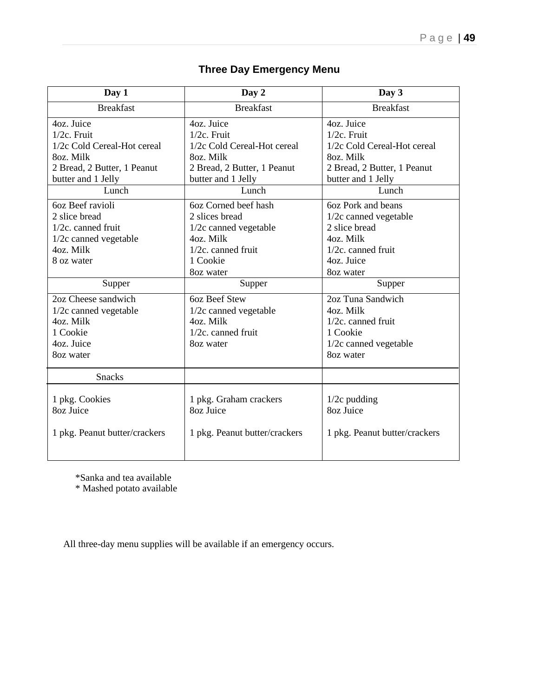| Day 1                                                                                                                                  | Day 2                                                                                                                                  | Day 3                                                                                                                                  |
|----------------------------------------------------------------------------------------------------------------------------------------|----------------------------------------------------------------------------------------------------------------------------------------|----------------------------------------------------------------------------------------------------------------------------------------|
| <b>Breakfast</b>                                                                                                                       | <b>Breakfast</b>                                                                                                                       | <b>Breakfast</b>                                                                                                                       |
| 4oz. Juice<br>$1/2c$ . Fruit<br>1/2c Cold Cereal-Hot cereal<br>8oz. Milk<br>2 Bread, 2 Butter, 1 Peanut<br>butter and 1 Jelly<br>Lunch | 4oz. Juice<br>$1/2c$ . Fruit<br>1/2c Cold Cereal-Hot cereal<br>8oz. Milk<br>2 Bread, 2 Butter, 1 Peanut<br>butter and 1 Jelly<br>Lunch | 4oz. Juice<br>$1/2c$ . Fruit<br>1/2c Cold Cereal-Hot cereal<br>8oz. Milk<br>2 Bread, 2 Butter, 1 Peanut<br>butter and 1 Jelly<br>Lunch |
| 60z Beef ravioli<br>2 slice bread<br>1/2c. canned fruit<br>1/2c canned vegetable<br>4oz. Milk<br>8 oz water                            | 6oz Corned beef hash<br>2 slices bread<br>1/2c canned vegetable<br>4oz. Milk<br>1/2c. canned fruit<br>1 Cookie<br>8oz water            | 6oz Pork and beans<br>1/2c canned vegetable<br>2 slice bread<br>4oz. Milk<br>1/2c. canned fruit<br>4oz. Juice<br>8oz water             |
| Supper                                                                                                                                 | Supper                                                                                                                                 | Supper                                                                                                                                 |
| 2oz Cheese sandwich<br>1/2c canned vegetable<br>4oz. Milk<br>1 Cookie<br>4oz. Juice<br>8oz water                                       | 60z Beef Stew<br>1/2c canned vegetable<br>4oz. Milk<br>1/2c. canned fruit<br>8oz water                                                 | 2oz Tuna Sandwich<br>4oz. Milk<br>1/2c. canned fruit<br>1 Cookie<br>1/2c canned vegetable<br>8oz water                                 |
| <b>Snacks</b>                                                                                                                          |                                                                                                                                        |                                                                                                                                        |
| 1 pkg. Cookies<br>80z Juice<br>1 pkg. Peanut butter/crackers                                                                           | 1 pkg. Graham crackers<br>80z Juice<br>1 pkg. Peanut butter/crackers                                                                   | $1/2c$ pudding<br>80z Juice<br>1 pkg. Peanut butter/crackers                                                                           |

# **Three Day Emergency Menu**

\*Sanka and tea available

\* Mashed potato available

All three-day menu supplies will be available if an emergency occurs.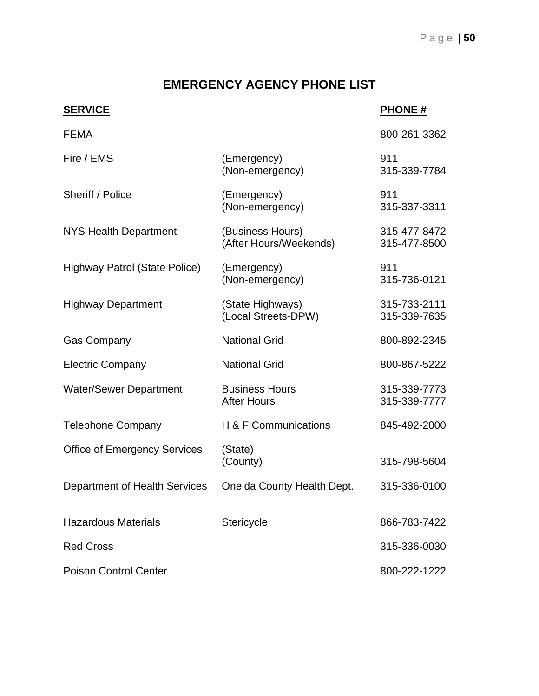# **EMERGENCY AGENCY PHONE LIST**

# **SERVICE PHONE #**

| <b>FEMA</b>                         |                                             | 800-261-3362                 |
|-------------------------------------|---------------------------------------------|------------------------------|
| Fire / EMS                          | (Emergency)<br>(Non-emergency)              | 911<br>315-339-7784          |
| Sheriff / Police                    | (Emergency)<br>(Non-emergency)              | 911<br>315-337-3311          |
| <b>NYS Health Department</b>        | (Business Hours)<br>(After Hours/Weekends)  | 315-477-8472<br>315-477-8500 |
| Highway Patrol (State Police)       | (Emergency)<br>(Non-emergency)              | 911<br>315-736-0121          |
| <b>Highway Department</b>           | (State Highways)<br>(Local Streets-DPW)     | 315-733-2111<br>315-339-7635 |
| <b>Gas Company</b>                  | <b>National Grid</b>                        | 800-892-2345                 |
| <b>Electric Company</b>             | <b>National Grid</b>                        | 800-867-5222                 |
| <b>Water/Sewer Department</b>       | <b>Business Hours</b><br><b>After Hours</b> | 315-339-7773<br>315-339-7777 |
| <b>Telephone Company</b>            | H & F Communications                        | 845-492-2000                 |
| <b>Office of Emergency Services</b> | (State)<br>(County)                         | 315-798-5604                 |
| Department of Health Services       | Oneida County Health Dept.                  | 315-336-0100                 |
| <b>Hazardous Materials</b>          | Stericycle                                  | 866-783-7422                 |
| <b>Red Cross</b>                    |                                             | 315-336-0030                 |
| <b>Poison Control Center</b>        |                                             | 800-222-1222                 |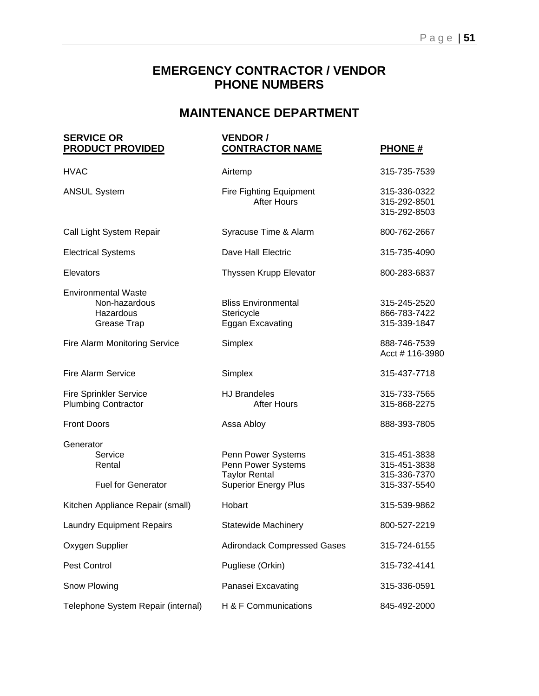# **MAINTENANCE DEPARTMENT**

| <b>SERVICE OR</b><br><b>PRODUCT PROVIDED</b>                            | <b>VENDOR /</b><br><b>CONTRACTOR NAME</b>                                                       | <b>PHONE#</b>                                                |  |
|-------------------------------------------------------------------------|-------------------------------------------------------------------------------------------------|--------------------------------------------------------------|--|
| <b>HVAC</b>                                                             | Airtemp                                                                                         | 315-735-7539                                                 |  |
| <b>ANSUL System</b>                                                     | Fire Fighting Equipment<br><b>After Hours</b>                                                   | 315-336-0322<br>315-292-8501<br>315-292-8503                 |  |
| Call Light System Repair                                                | Syracuse Time & Alarm                                                                           | 800-762-2667                                                 |  |
| <b>Electrical Systems</b>                                               | Dave Hall Electric                                                                              | 315-735-4090                                                 |  |
| Elevators                                                               | Thyssen Krupp Elevator                                                                          | 800-283-6837                                                 |  |
| <b>Environmental Waste</b><br>Non-hazardous<br>Hazardous<br>Grease Trap | <b>Bliss Environmental</b><br>Stericycle<br>Eggan Excavating                                    | 315-245-2520<br>866-783-7422<br>315-339-1847                 |  |
| <b>Fire Alarm Monitoring Service</b>                                    | Simplex                                                                                         | 888-746-7539<br>Acct # 116-3980                              |  |
| <b>Fire Alarm Service</b>                                               | Simplex                                                                                         | 315-437-7718                                                 |  |
| <b>Fire Sprinkler Service</b><br><b>Plumbing Contractor</b>             | <b>HJ Brandeles</b><br><b>After Hours</b>                                                       | 315-733-7565<br>315-868-2275                                 |  |
| <b>Front Doors</b>                                                      | Assa Abloy                                                                                      | 888-393-7805                                                 |  |
| Generator<br>Service<br>Rental<br><b>Fuel for Generator</b>             | Penn Power Systems<br>Penn Power Systems<br><b>Taylor Rental</b><br><b>Superior Energy Plus</b> | 315-451-3838<br>315-451-3838<br>315-336-7370<br>315-337-5540 |  |
| Kitchen Appliance Repair (small)                                        | Hobart                                                                                          | 315-539-9862                                                 |  |
| <b>Laundry Equipment Repairs</b>                                        | <b>Statewide Machinery</b>                                                                      | 800-527-2219                                                 |  |
| Oxygen Supplier                                                         | <b>Adirondack Compressed Gases</b>                                                              | 315-724-6155                                                 |  |
| Pest Control                                                            | Pugliese (Orkin)                                                                                | 315-732-4141                                                 |  |
| Snow Plowing                                                            | Panasei Excavating                                                                              | 315-336-0591                                                 |  |
| Telephone System Repair (internal)                                      | H & F Communications                                                                            | 845-492-2000                                                 |  |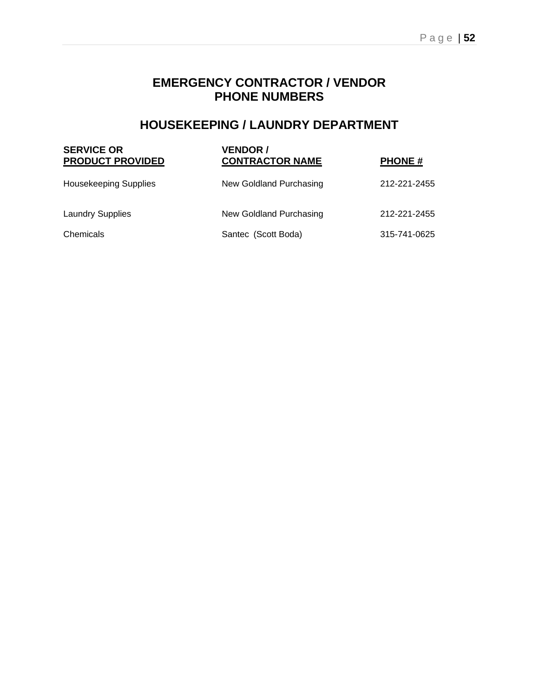# **HOUSEKEEPING / LAUNDRY DEPARTMENT**

| <b>SERVICE OR</b><br><b>PRODUCT PROVIDED</b> | <b>VENDOR /</b><br><b>CONTRACTOR NAME</b> | <b>PHONE#</b> |
|----------------------------------------------|-------------------------------------------|---------------|
| <b>Housekeeping Supplies</b>                 | New Goldland Purchasing                   | 212-221-2455  |
| <b>Laundry Supplies</b>                      | New Goldland Purchasing                   | 212-221-2455  |
| Chemicals                                    | Santec (Scott Boda)                       | 315-741-0625  |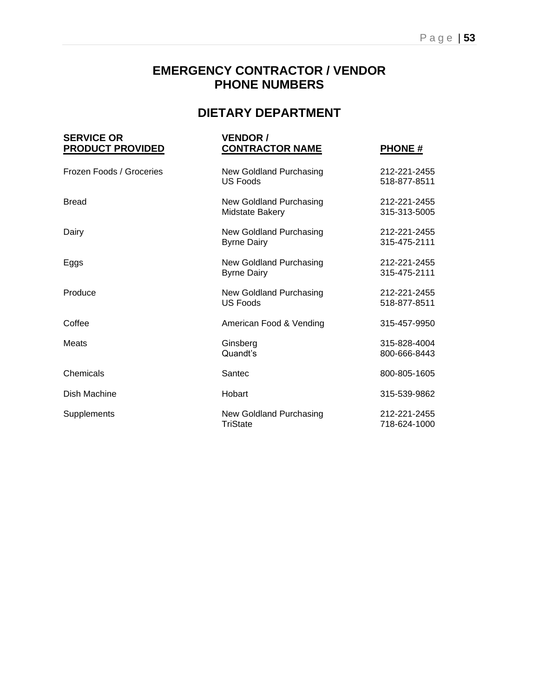# **DIETARY DEPARTMENT**

| <b>SERVICE OR</b><br><b>PRODUCT PROVIDED</b> | <b>VENDOR /</b><br><b>CONTRACTOR NAME</b>     | <b>PHONE#</b>                |
|----------------------------------------------|-----------------------------------------------|------------------------------|
| Frozen Foods / Groceries                     | New Goldland Purchasing<br><b>US Foods</b>    | 212-221-2455<br>518-877-8511 |
| <b>Bread</b>                                 | New Goldland Purchasing<br>Midstate Bakery    | 212-221-2455<br>315-313-5005 |
| Dairy                                        | New Goldland Purchasing<br><b>Byrne Dairy</b> | 212-221-2455<br>315-475-2111 |
| Eggs                                         | New Goldland Purchasing<br><b>Byrne Dairy</b> | 212-221-2455<br>315-475-2111 |
| Produce                                      | New Goldland Purchasing<br><b>US Foods</b>    | 212-221-2455<br>518-877-8511 |
| Coffee                                       | American Food & Vending                       | 315-457-9950                 |
| Meats                                        | Ginsberg<br>Quandt's                          | 315-828-4004<br>800-666-8443 |
| Chemicals                                    | Santec                                        | 800-805-1605                 |
| Dish Machine                                 | Hobart                                        | 315-539-9862                 |
| Supplements                                  | New Goldland Purchasing<br><b>TriState</b>    | 212-221-2455<br>718-624-1000 |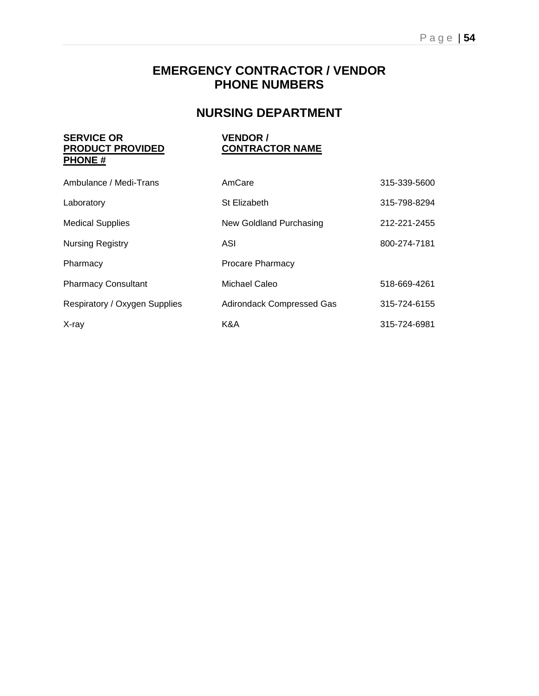# **NURSING DEPARTMENT**

#### **SERVICE OR VENDOR /<br>
<u>PRODUCT PROVIDED</u> CONTRACTOR NAME PRODUCT PROVIDED PHONE #**

| Ambulance / Medi-Trans        | AmCare                           | 315-339-5600 |
|-------------------------------|----------------------------------|--------------|
| Laboratory                    | St Elizabeth                     | 315-798-8294 |
| <b>Medical Supplies</b>       | New Goldland Purchasing          | 212-221-2455 |
| <b>Nursing Registry</b>       | ASI                              | 800-274-7181 |
| Pharmacy                      | <b>Procare Pharmacy</b>          |              |
| <b>Pharmacy Consultant</b>    | Michael Caleo                    | 518-669-4261 |
| Respiratory / Oxygen Supplies | <b>Adirondack Compressed Gas</b> | 315-724-6155 |
| X-ray                         | K&A                              | 315-724-6981 |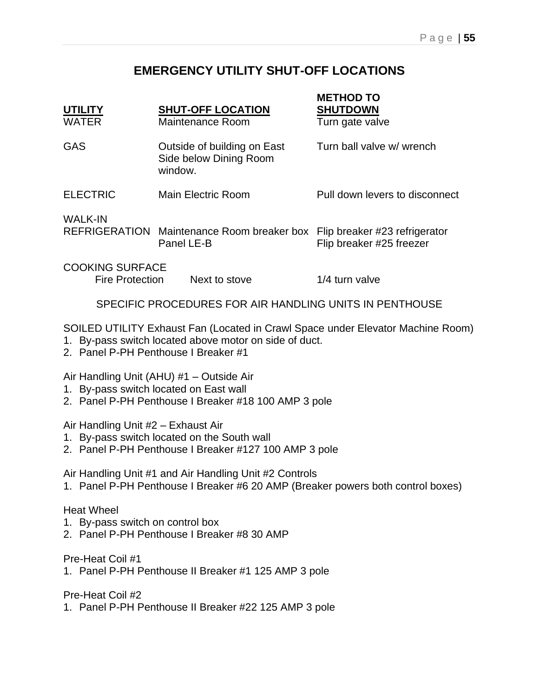# **EMERGENCY UTILITY SHUT-OFF LOCATIONS**

| <b>UTILITY</b><br><b>WATER</b>                                                                                                                                                    | <b>SHUT-OFF LOCATION</b><br>Maintenance Room                     | <b>METHOD TO</b><br><b>SHUTDOWN</b><br>Turn gate valve    |  |  |
|-----------------------------------------------------------------------------------------------------------------------------------------------------------------------------------|------------------------------------------------------------------|-----------------------------------------------------------|--|--|
| <b>GAS</b>                                                                                                                                                                        | Outside of building on East<br>Side below Dining Room<br>window. | Turn ball valve w/ wrench                                 |  |  |
| <b>ELECTRIC</b>                                                                                                                                                                   | Main Electric Room                                               | Pull down levers to disconnect                            |  |  |
| <b>WALK-IN</b>                                                                                                                                                                    | REFRIGERATION Maintenance Room breaker box<br>Panel LE-B         | Flip breaker #23 refrigerator<br>Flip breaker #25 freezer |  |  |
| <b>COOKING SURFACE</b><br><b>Fire Protection</b>                                                                                                                                  | Next to stove                                                    | 1/4 turn valve                                            |  |  |
| SPECIFIC PROCEDURES FOR AIR HANDLING UNITS IN PENTHOUSE                                                                                                                           |                                                                  |                                                           |  |  |
| SOILED UTILITY Exhaust Fan (Located in Crawl Space under Elevator Machine Room)<br>1. By-pass switch located above motor on side of duct.<br>2. Panel P-PH Penthouse I Breaker #1 |                                                                  |                                                           |  |  |

Air Handling Unit (AHU) #1 – Outside Air

- 1. By-pass switch located on East wall
- 2. Panel P-PH Penthouse I Breaker #18 100 AMP 3 pole

Air Handling Unit #2 – Exhaust Air

- 1. By-pass switch located on the South wall
- 2. Panel P-PH Penthouse I Breaker #127 100 AMP 3 pole

Air Handling Unit #1 and Air Handling Unit #2 Controls

1. Panel P-PH Penthouse I Breaker #6 20 AMP (Breaker powers both control boxes)

#### Heat Wheel

- 1. By-pass switch on control box
- 2. Panel P-PH Penthouse I Breaker #8 30 AMP

Pre-Heat Coil #1

1. Panel P-PH Penthouse II Breaker #1 125 AMP 3 pole

Pre-Heat Coil #2

1. Panel P-PH Penthouse II Breaker #22 125 AMP 3 pole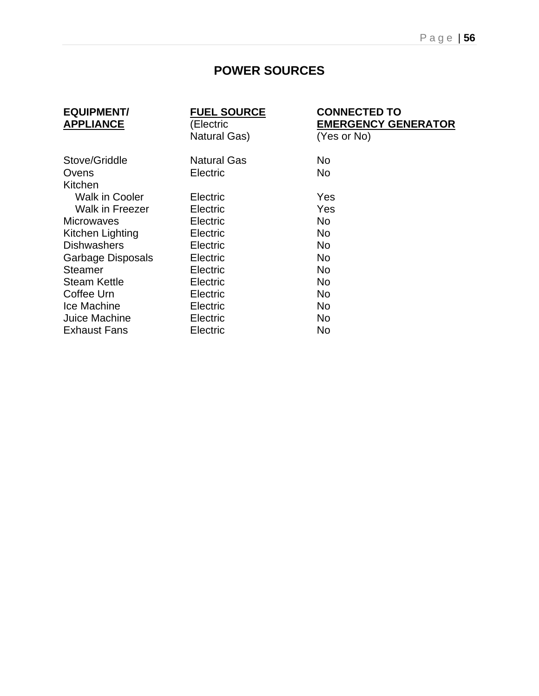# **POWER SOURCES**

| <b>EQUIPMENT/</b><br><b>APPLIANCE</b> | <b>FUEL SOURCE</b><br>(Electric | <b>CONNECTED TO</b><br><b>EMERGENCY GENERATOR</b> |
|---------------------------------------|---------------------------------|---------------------------------------------------|
|                                       | <b>Natural Gas)</b>             | (Yes or No)                                       |
| Stove/Griddle                         | <b>Natural Gas</b>              | No.                                               |
| Ovens                                 | Electric                        | <b>No</b>                                         |
| Kitchen                               |                                 |                                                   |
| <b>Walk in Cooler</b>                 | Electric                        | Yes                                               |
| Walk in Freezer                       | Electric                        | Yes                                               |
| <b>Microwaves</b>                     | Electric                        | No                                                |
| Kitchen Lighting                      | Electric                        | No.                                               |
| <b>Dishwashers</b>                    | Electric                        | No.                                               |
| Garbage Disposals                     | Electric                        | No.                                               |
| <b>Steamer</b>                        | Electric                        | No.                                               |
| <b>Steam Kettle</b>                   | Electric                        | No.                                               |
| Coffee Urn                            | Electric                        | No.                                               |
| Ice Machine                           | Electric                        | No.                                               |
| Juice Machine                         | Electric                        | No.                                               |
| <b>Exhaust Fans</b>                   | Electric                        | No                                                |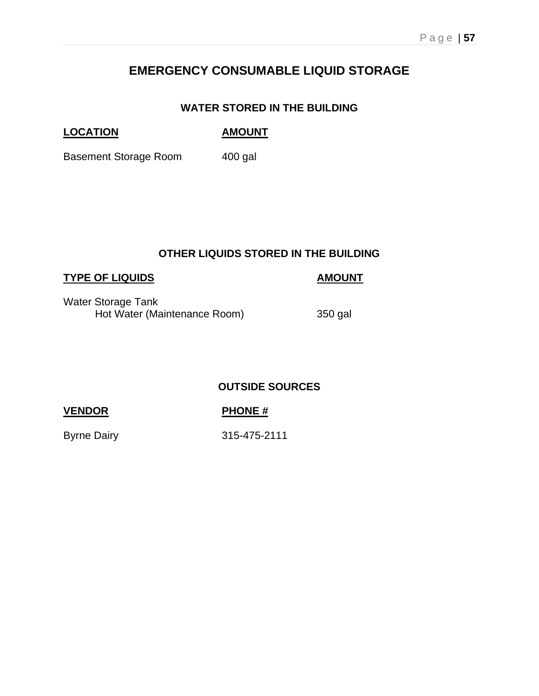# **EMERGENCY CONSUMABLE LIQUID STORAGE**

## **WATER STORED IN THE BUILDING**

## **LOCATION AMOUNT**

Basement Storage Room 400 gal

## **OTHER LIQUIDS STORED IN THE BUILDING**

## **TYPE OF LIQUIDS AMOUNT**

Water Storage Tank Hot Water (Maintenance Room) 350 gal

## **OUTSIDE SOURCES**

## **VENDOR PHONE #**

Byrne Dairy 315-475-2111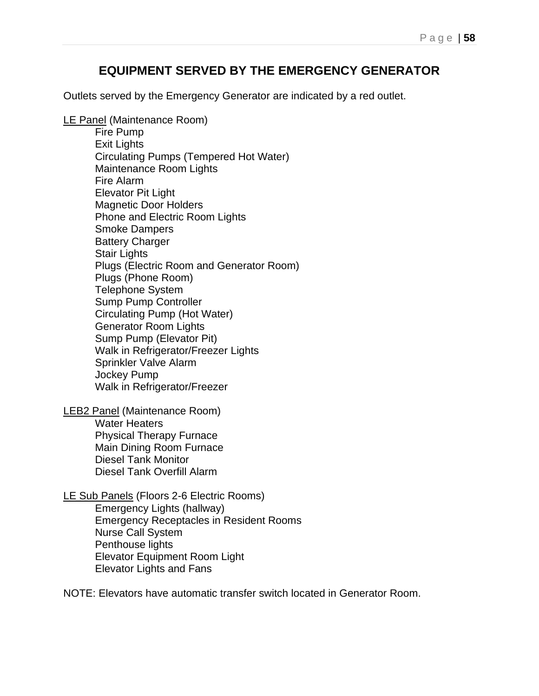# **EQUIPMENT SERVED BY THE EMERGENCY GENERATOR**

Outlets served by the Emergency Generator are indicated by a red outlet.

LE Panel (Maintenance Room)

Fire Pump Exit Lights Circulating Pumps (Tempered Hot Water) Maintenance Room Lights Fire Alarm Elevator Pit Light Magnetic Door Holders Phone and Electric Room Lights Smoke Dampers Battery Charger Stair Lights Plugs (Electric Room and Generator Room) Plugs (Phone Room) Telephone System Sump Pump Controller Circulating Pump (Hot Water) Generator Room Lights Sump Pump (Elevator Pit) Walk in Refrigerator/Freezer Lights Sprinkler Valve Alarm Jockey Pump Walk in Refrigerator/Freezer

LEB2 Panel (Maintenance Room) Water Heaters Physical Therapy Furnace Main Dining Room Furnace Diesel Tank Monitor Diesel Tank Overfill Alarm

LE Sub Panels (Floors 2-6 Electric Rooms) Emergency Lights (hallway) Emergency Receptacles in Resident Rooms Nurse Call System Penthouse lights Elevator Equipment Room Light Elevator Lights and Fans

NOTE: Elevators have automatic transfer switch located in Generator Room.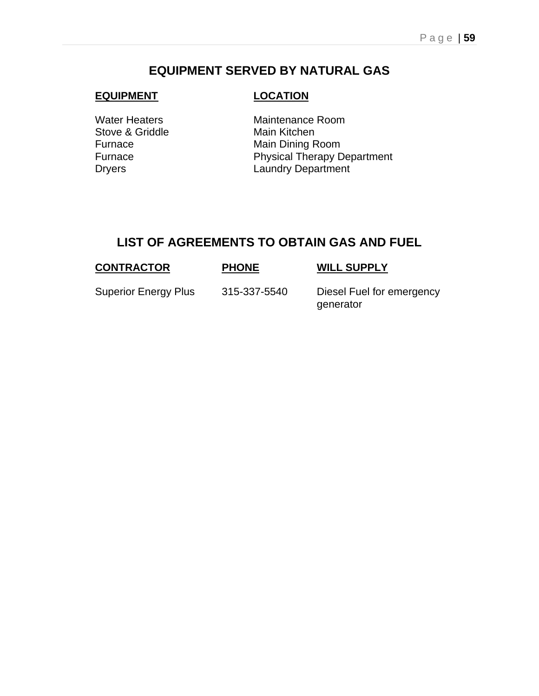# **EQUIPMENT SERVED BY NATURAL GAS**

#### **EQUIPMENT LOCATION**

Stove & Griddle Main Kitchen

Water Heaters Maintenance Room Furnace Main Dining Room Furnace **Physical Therapy Department** Dryers **Laundry Department** 

# **LIST OF AGREEMENTS TO OBTAIN GAS AND FUEL**

| <b>CONTRACTOR</b>           | <b>PHONE</b> | <b>WILL SUPPLY</b>                     |
|-----------------------------|--------------|----------------------------------------|
| <b>Superior Energy Plus</b> | 315-337-5540 | Diesel Fuel for emergency<br>generator |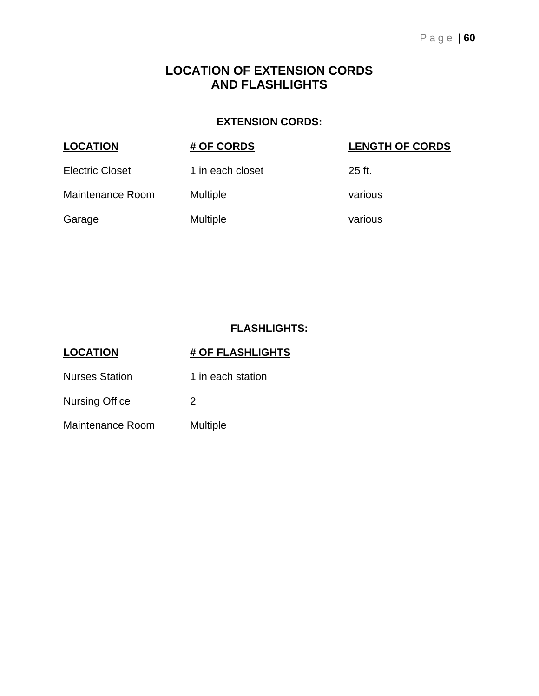# **LOCATION OF EXTENSION CORDS AND FLASHLIGHTS**

## **EXTENSION CORDS:**

| <b>LOCATION</b>        | # OF CORDS       | <b>LENGTH OF CORDS</b> |
|------------------------|------------------|------------------------|
| <b>Electric Closet</b> | 1 in each closet | $25$ ft.               |
| Maintenance Room       | <b>Multiple</b>  | various                |
| Garage                 | <b>Multiple</b>  | various                |

## **FLASHLIGHTS:**

| <b>LOCATION</b>       | # OF FLASHLIGHTS  |
|-----------------------|-------------------|
| <b>Nurses Station</b> | 1 in each station |
| <b>Nursing Office</b> | 2                 |
| Maintenance Room      | Multiple          |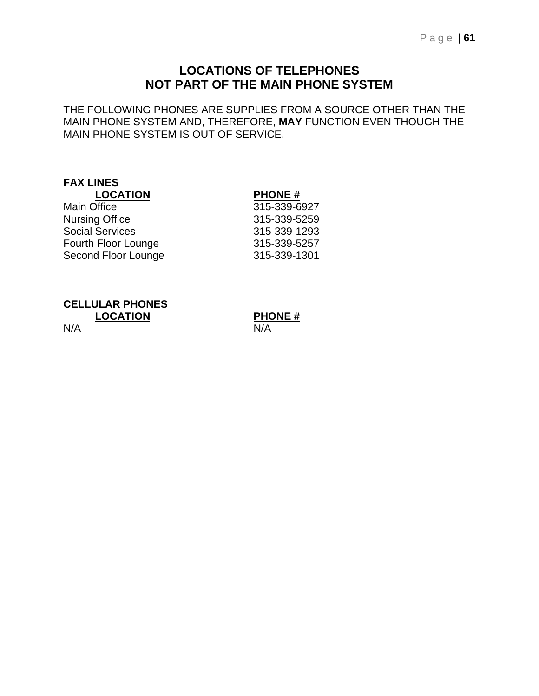# **LOCATIONS OF TELEPHONES NOT PART OF THE MAIN PHONE SYSTEM**

THE FOLLOWING PHONES ARE SUPPLIES FROM A SOURCE OTHER THAN THE MAIN PHONE SYSTEM AND, THEREFORE, **MAY** FUNCTION EVEN THOUGH THE MAIN PHONE SYSTEM IS OUT OF SERVICE.

# **FAX LINES**

# **LOCATION PHONE #**

| <b>Main Office</b>     | 315-339-6927 |
|------------------------|--------------|
| <b>Nursing Office</b>  | 315-339-5259 |
| <b>Social Services</b> | 315-339-1293 |
| Fourth Floor Lounge    | 315-339-5257 |
| Second Floor Lounge    | 315-339-1301 |
|                        |              |

**CELLULAR PHONES**

N/A N/A

**LOCATION PHONE #**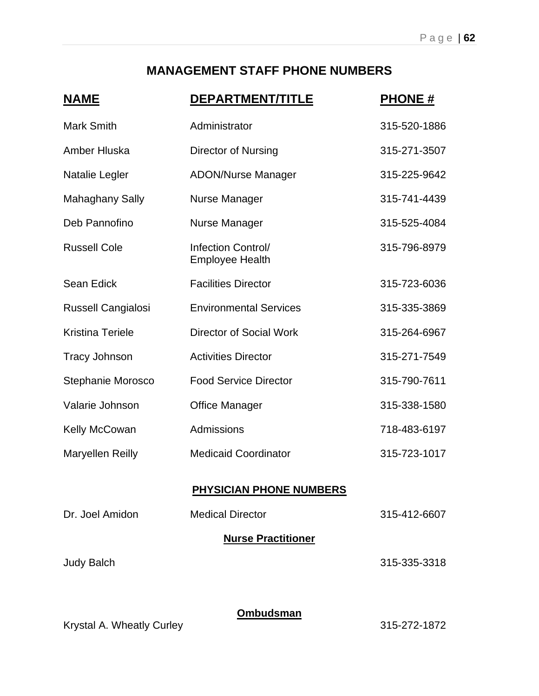# **MANAGEMENT STAFF PHONE NUMBERS**

| <u>NAME</u>               | <u>DEPARTMENT/TITLE</u>                      | <b>PHONE#</b> |
|---------------------------|----------------------------------------------|---------------|
| <b>Mark Smith</b>         | Administrator                                | 315-520-1886  |
| Amber Hluska              | <b>Director of Nursing</b>                   | 315-271-3507  |
| Natalie Legler            | <b>ADON/Nurse Manager</b>                    | 315-225-9642  |
| <b>Mahaghany Sally</b>    | <b>Nurse Manager</b>                         | 315-741-4439  |
| Deb Pannofino             | <b>Nurse Manager</b>                         | 315-525-4084  |
| <b>Russell Cole</b>       | Infection Control/<br><b>Employee Health</b> | 315-796-8979  |
| <b>Sean Edick</b>         | <b>Facilities Director</b>                   | 315-723-6036  |
| <b>Russell Cangialosi</b> | <b>Environmental Services</b>                | 315-335-3869  |
| <b>Kristina Teriele</b>   | <b>Director of Social Work</b>               | 315-264-6967  |
| <b>Tracy Johnson</b>      | <b>Activities Director</b>                   | 315-271-7549  |
| Stephanie Morosco         | <b>Food Service Director</b>                 | 315-790-7611  |
| Valarie Johnson           | <b>Office Manager</b>                        | 315-338-1580  |
| Kelly McCowan             | Admissions                                   | 718-483-6197  |
| <b>Maryellen Reilly</b>   | <b>Medicaid Coordinator</b>                  | 315-723-1017  |
|                           | <b>PHYSICIAN PHONE NUMBERS</b>               |               |
| Dr. Joel Amidon           | <b>Medical Director</b>                      | 315-412-6607  |
|                           | <b>Nurse Practitioner</b>                    |               |
| <b>Judy Balch</b>         |                                              | 315-335-3318  |
|                           |                                              |               |
|                           | Ombudsman                                    |               |

Krystal A. Wheatly Curley **315-272-1872**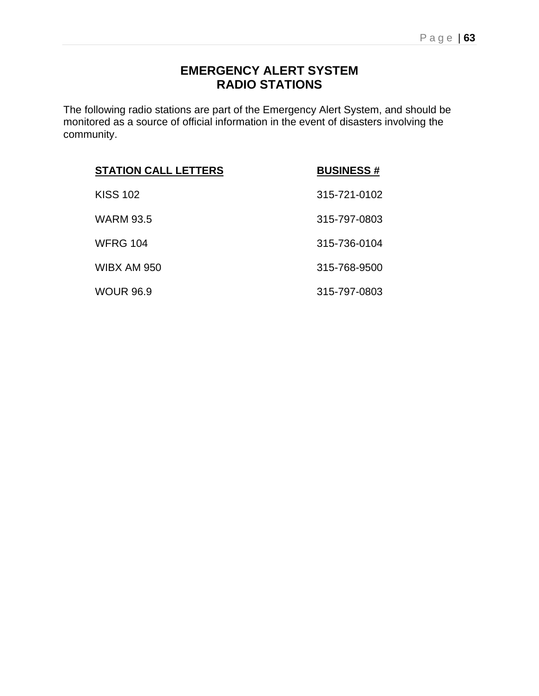# **EMERGENCY ALERT SYSTEM RADIO STATIONS**

The following radio stations are part of the Emergency Alert System, and should be monitored as a source of official information in the event of disasters involving the community.

| <b>STATION CALL LETTERS</b> | <b>BUSINESS#</b> |
|-----------------------------|------------------|
| <b>KISS 102</b>             | 315-721-0102     |
| <b>WARM 93.5</b>            | 315-797-0803     |
| <b>WFRG 104</b>             | 315-736-0104     |
| WIBX AM 950                 | 315-768-9500     |
| <b>WOUR 96.9</b>            | 315-797-0803     |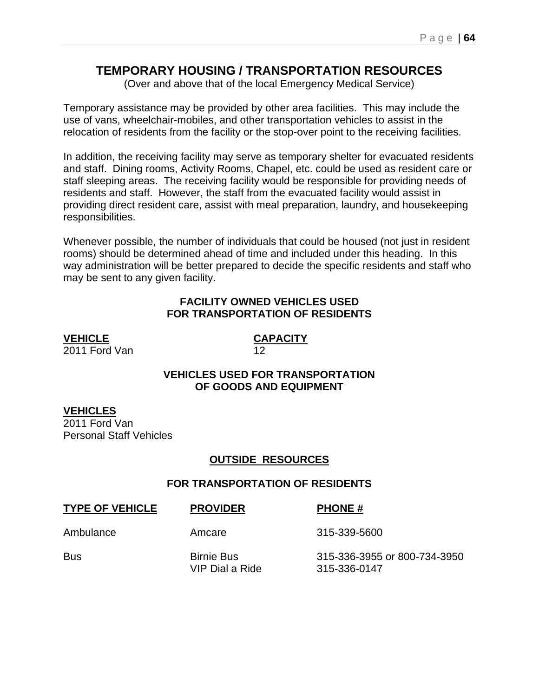# **TEMPORARY HOUSING / TRANSPORTATION RESOURCES**

(Over and above that of the local Emergency Medical Service)

Temporary assistance may be provided by other area facilities. This may include the use of vans, wheelchair-mobiles, and other transportation vehicles to assist in the relocation of residents from the facility or the stop-over point to the receiving facilities.

In addition, the receiving facility may serve as temporary shelter for evacuated residents and staff. Dining rooms, Activity Rooms, Chapel, etc. could be used as resident care or staff sleeping areas. The receiving facility would be responsible for providing needs of residents and staff. However, the staff from the evacuated facility would assist in providing direct resident care, assist with meal preparation, laundry, and housekeeping responsibilities.

Whenever possible, the number of individuals that could be housed (not just in resident rooms) should be determined ahead of time and included under this heading. In this way administration will be better prepared to decide the specific residents and staff who may be sent to any given facility.

### **FACILITY OWNED VEHICLES USED FOR TRANSPORTATION OF RESIDENTS**

**VEHICLE CAPACITY**  $\overline{2011}$  Ford Van

## **VEHICLES USED FOR TRANSPORTATION OF GOODS AND EQUIPMENT**

## **VEHICLES**

2011 Ford Van Personal Staff Vehicles

## **OUTSIDE RESOURCES**

### **FOR TRANSPORTATION OF RESIDENTS**

| <b>TYPE OF VEHICLE</b> | <b>PROVIDER</b>                      | <b>PHONE#</b>                                |
|------------------------|--------------------------------------|----------------------------------------------|
| Ambulance              | Amcare                               | 315-339-5600                                 |
| Bus                    | <b>Birnie Bus</b><br>VIP Dial a Ride | 315-336-3955 or 800-734-3950<br>315-336-0147 |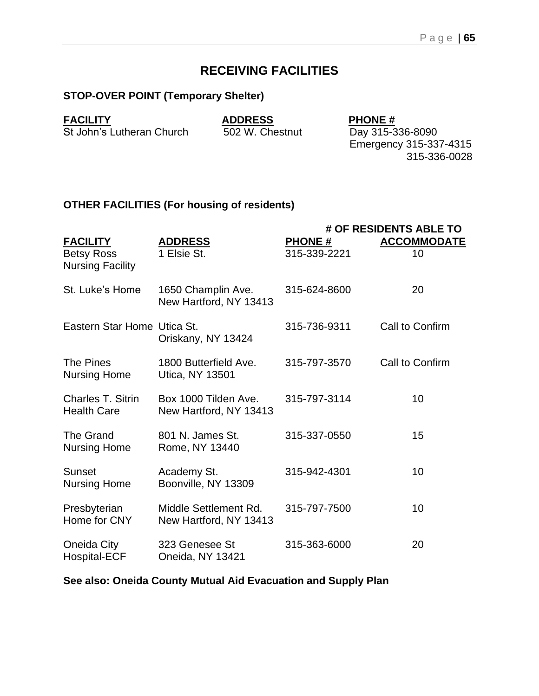# **RECEIVING FACILITIES**

## **STOP-OVER POINT (Temporary Shelter)**

**FACILITY**<br> **St John's Lutheran Church ADDRESS**<br> **ADDRESS**<br>
502 W. Chestnut<br> **Day 315-336-8090** St John's Lutheran Church

Emergency 315-337-4315 315-336-0028

## **OTHER FACILITIES (For housing of residents)**

|                                                |                                                 |               | # OF RESIDENTS ABLE TO |
|------------------------------------------------|-------------------------------------------------|---------------|------------------------|
| <b>FACILITY</b>                                | <b>ADDRESS</b>                                  | <b>PHONE#</b> | <b>ACCOMMODATE</b>     |
| <b>Betsy Ross</b><br><b>Nursing Facility</b>   | 1 Elsie St.                                     | 315-339-2221  | 10                     |
| St. Luke's Home                                | 1650 Champlin Ave.<br>New Hartford, NY 13413    | 315-624-8600  | 20                     |
| Eastern Star Home Utica St.                    | Oriskany, NY 13424                              | 315-736-9311  | Call to Confirm        |
| The Pines<br><b>Nursing Home</b>               | 1800 Butterfield Ave.<br>Utica, NY 13501        | 315-797-3570  | Call to Confirm        |
| <b>Charles T. Sitrin</b><br><b>Health Care</b> | Box 1000 Tilden Ave.<br>New Hartford, NY 13413  | 315-797-3114  | 10                     |
| The Grand<br><b>Nursing Home</b>               | 801 N. James St.<br>Rome, NY 13440              | 315-337-0550  | 15                     |
| Sunset<br><b>Nursing Home</b>                  | Academy St.<br>Boonville, NY 13309              | 315-942-4301  | 10                     |
| Presbyterian<br>Home for CNY                   | Middle Settlement Rd.<br>New Hartford, NY 13413 | 315-797-7500  | 10                     |
| Oneida City<br><b>Hospital-ECF</b>             | 323 Genesee St<br>Oneida, NY 13421              | 315-363-6000  | 20                     |

**See also: Oneida County Mutual Aid Evacuation and Supply Plan**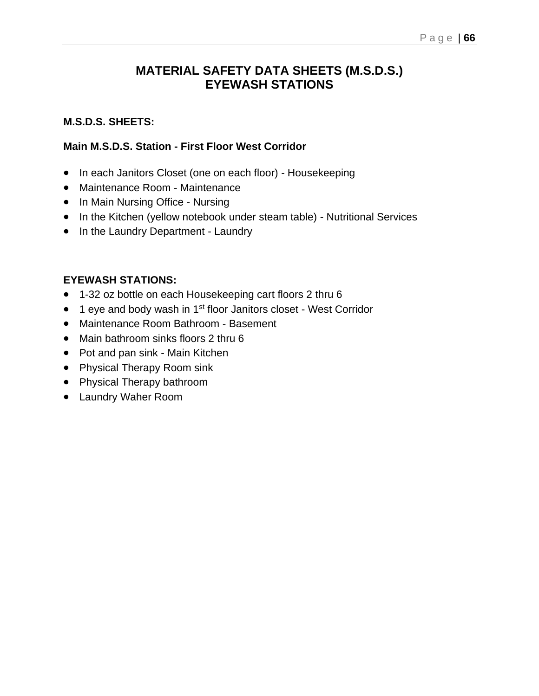# **MATERIAL SAFETY DATA SHEETS (M.S.D.S.) EYEWASH STATIONS**

## **M.S.D.S. SHEETS:**

## **Main M.S.D.S. Station - First Floor West Corridor**

- In each Janitors Closet (one on each floor) Housekeeping
- Maintenance Room Maintenance
- In Main Nursing Office Nursing
- In the Kitchen (yellow notebook under steam table) Nutritional Services
- In the Laundry Department Laundry

## **EYEWASH STATIONS:**

- 1-32 oz bottle on each Housekeeping cart floors 2 thru 6
- 1 eye and body wash in 1<sup>st</sup> floor Janitors closet West Corridor
- Maintenance Room Bathroom Basement
- Main bathroom sinks floors 2 thru 6
- Pot and pan sink Main Kitchen
- Physical Therapy Room sink
- Physical Therapy bathroom
- Laundry Waher Room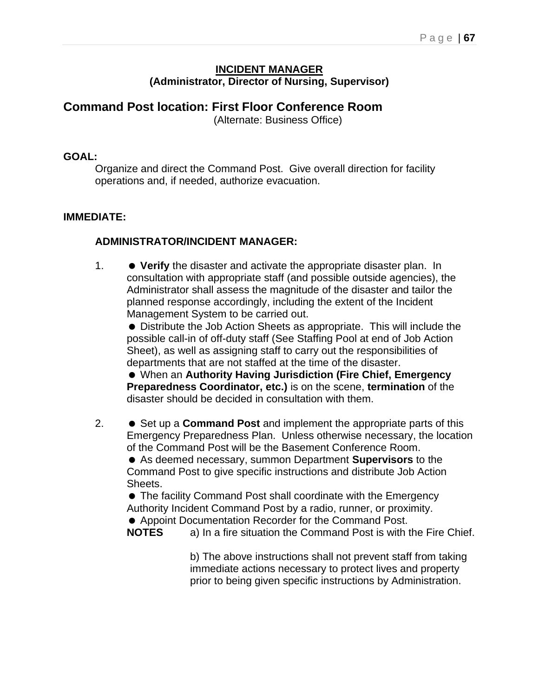### **INCIDENT MANAGER (Administrator, Director of Nursing, Supervisor)**

# **Command Post location: First Floor Conference Room**

(Alternate: Business Office)

## **GOAL:**

Organize and direct the Command Post. Give overall direction for facility operations and, if needed, authorize evacuation.

## **IMMEDIATE:**

## **ADMINISTRATOR/INCIDENT MANAGER:**

1. **Verify** the disaster and activate the appropriate disaster plan. In consultation with appropriate staff (and possible outside agencies), the Administrator shall assess the magnitude of the disaster and tailor the planned response accordingly, including the extent of the Incident Management System to be carried out.

 Distribute the Job Action Sheets as appropriate. This will include the possible call-in of off-duty staff (See Staffing Pool at end of Job Action Sheet), as well as assigning staff to carry out the responsibilities of departments that are not staffed at the time of the disaster.

 When an **Authority Having Jurisdiction (Fire Chief, Emergency Preparedness Coordinator, etc.)** is on the scene, **termination** of the disaster should be decided in consultation with them.

2. ● Set up a **Command Post** and implement the appropriate parts of this Emergency Preparedness Plan. Unless otherwise necessary, the location of the Command Post will be the Basement Conference Room. As deemed necessary, summon Department **Supervisors** to the

Command Post to give specific instructions and distribute Job Action Sheets.

 The facility Command Post shall coordinate with the Emergency Authority Incident Command Post by a radio, runner, or proximity. Appoint Documentation Recorder for the Command Post.

**NOTES** a) In a fire situation the Command Post is with the Fire Chief.

b) The above instructions shall not prevent staff from taking immediate actions necessary to protect lives and property prior to being given specific instructions by Administration.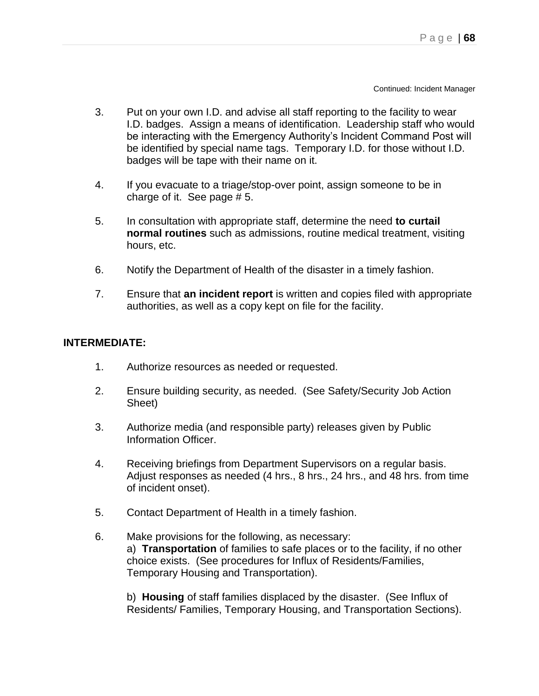Continued: Incident Manager

- 3. Put on your own I.D. and advise all staff reporting to the facility to wear I.D. badges. Assign a means of identification. Leadership staff who would be interacting with the Emergency Authority's Incident Command Post will be identified by special name tags. Temporary I.D. for those without I.D. badges will be tape with their name on it.
- 4. If you evacuate to a triage/stop-over point, assign someone to be in charge of it. See page  $# 5$ .
- 5. In consultation with appropriate staff, determine the need **to curtail normal routines** such as admissions, routine medical treatment, visiting hours, etc.
- 6. Notify the Department of Health of the disaster in a timely fashion.
- 7. Ensure that **an incident report** is written and copies filed with appropriate authorities, as well as a copy kept on file for the facility.

### **INTERMEDIATE:**

- 1. Authorize resources as needed or requested.
- 2. Ensure building security, as needed. (See Safety/Security Job Action Sheet)
- 3. Authorize media (and responsible party) releases given by Public Information Officer.
- 4. Receiving briefings from Department Supervisors on a regular basis. Adjust responses as needed (4 hrs., 8 hrs., 24 hrs., and 48 hrs. from time of incident onset).
- 5. Contact Department of Health in a timely fashion.
- 6. Make provisions for the following, as necessary: a) **Transportation** of families to safe places or to the facility, if no other choice exists. (See procedures for Influx of Residents/Families, Temporary Housing and Transportation).

b) **Housing** of staff families displaced by the disaster. (See Influx of Residents/ Families, Temporary Housing, and Transportation Sections).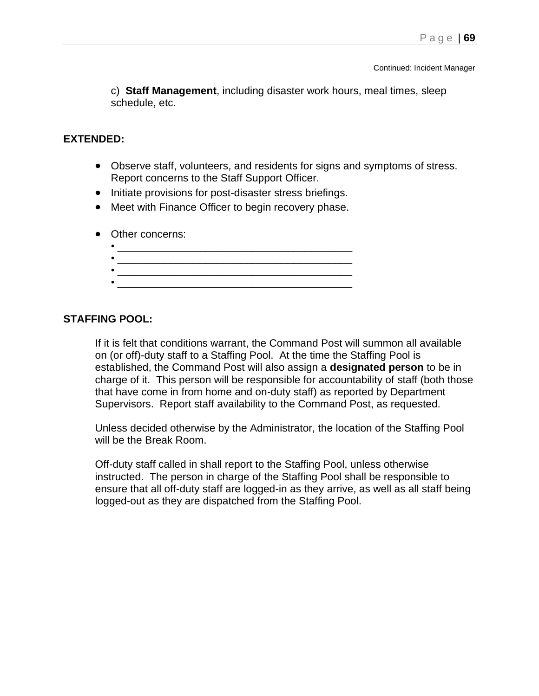c) **Staff Management**, including disaster work hours, meal times, sleep schedule, etc.

#### **EXTENDED:**

- Observe staff, volunteers, and residents for signs and symptoms of stress. Report concerns to the Staff Support Officer.
- Initiate provisions for post-disaster stress briefings.
- Meet with Finance Officer to begin recovery phase.
- Other concerns:

#### **STAFFING POOL:**

If it is felt that conditions warrant, the Command Post will summon all available on (or off)-duty staff to a Staffing Pool. At the time the Staffing Pool is established, the Command Post will also assign a **designated person** to be in charge of it. This person will be responsible for accountability of staff (both those that have come in from home and on-duty staff) as reported by Department Supervisors. Report staff availability to the Command Post, as requested.

Unless decided otherwise by the Administrator, the location of the Staffing Pool will be the Break Room.

Off-duty staff called in shall report to the Staffing Pool, unless otherwise instructed. The person in charge of the Staffing Pool shall be responsible to ensure that all off-duty staff are logged-in as they arrive, as well as all staff being logged-out as they are dispatched from the Staffing Pool.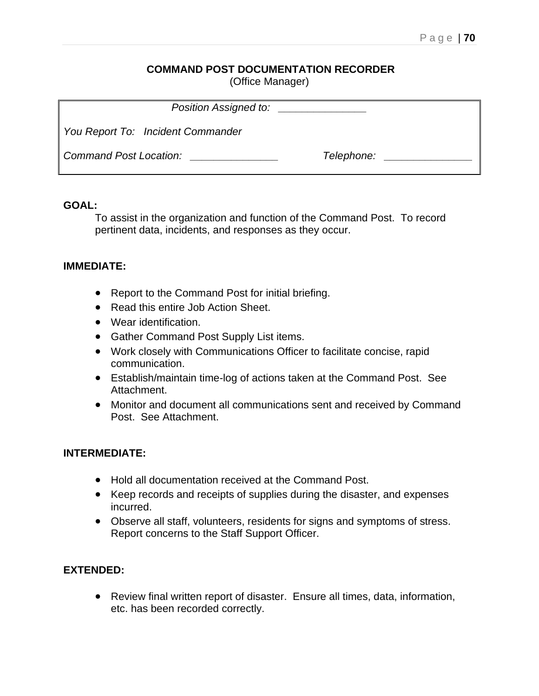## **COMMAND POST DOCUMENTATION RECORDER**

(Office Manager)

| Position Assigned to:             | <u> 1980 - Jan Alexandro III, prima postala prima prima prima prima prima prima prima prima prima prima prima pri</u> |
|-----------------------------------|-----------------------------------------------------------------------------------------------------------------------|
| You Report To: Incident Commander |                                                                                                                       |
| Command Post Location:            | Telephone:                                                                                                            |

#### **GOAL:**

To assist in the organization and function of the Command Post. To record pertinent data, incidents, and responses as they occur.

### **IMMEDIATE:**

- Report to the Command Post for initial briefing.
- Read this entire Job Action Sheet.
- Wear identification.
- Gather Command Post Supply List items.
- Work closely with Communications Officer to facilitate concise, rapid communication.
- Establish/maintain time-log of actions taken at the Command Post. See Attachment.
- Monitor and document all communications sent and received by Command Post. See Attachment.

### **INTERMEDIATE:**

- Hold all documentation received at the Command Post.
- Keep records and receipts of supplies during the disaster, and expenses incurred.
- Observe all staff, volunteers, residents for signs and symptoms of stress. Report concerns to the Staff Support Officer.

### **EXTENDED:**

• Review final written report of disaster. Ensure all times, data, information, etc. has been recorded correctly.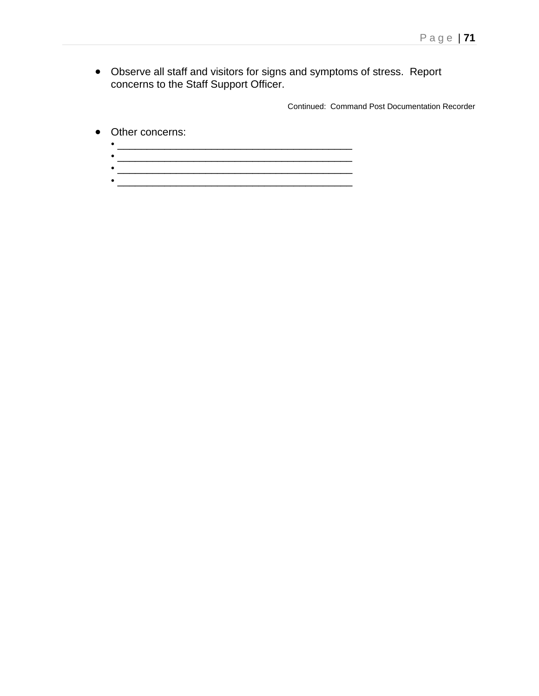• Observe all staff and visitors for signs and symptoms of stress. Report concerns to the Staff Support Officer.

Continued: Command Post Documentation Recorder

• Other concerns:

 $\bullet$  . The contract of the contract of the contract of the contract of the contract of the contract of the contract of the contract of the contract of the contract of the contract of the contract of the contract of the co • \_\_\_\_\_\_\_\_\_\_\_\_\_\_\_\_\_\_\_\_\_\_\_\_\_\_\_\_\_\_\_\_\_\_\_\_\_\_\_\_ •  $\overline{\phantom{a}}$  ,  $\overline{\phantom{a}}$  ,  $\overline{\phantom{a}}$  ,  $\overline{\phantom{a}}$  ,  $\overline{\phantom{a}}$  ,  $\overline{\phantom{a}}$  ,  $\overline{\phantom{a}}$  ,  $\overline{\phantom{a}}$  ,  $\overline{\phantom{a}}$  ,  $\overline{\phantom{a}}$  ,  $\overline{\phantom{a}}$  ,  $\overline{\phantom{a}}$  ,  $\overline{\phantom{a}}$  ,  $\overline{\phantom{a}}$  ,  $\overline{\phantom{a}}$  ,  $\overline{\phantom{a$ 

• \_\_\_\_\_\_\_\_\_\_\_\_\_\_\_\_\_\_\_\_\_\_\_\_\_\_\_\_\_\_\_\_\_\_\_\_\_\_\_\_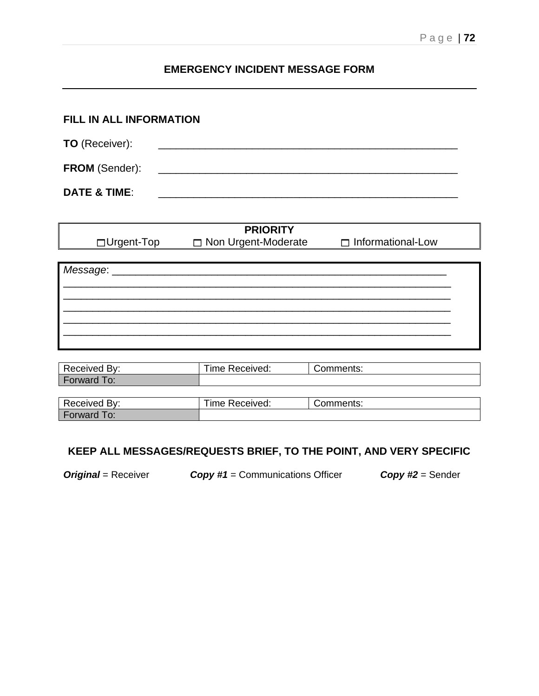# **EMERGENCY INCIDENT MESSAGE FORM**

| FILL IN ALL INFORMATION |  |  |
|-------------------------|--|--|
| <b>TO</b> (Receiver):   |  |  |
| <b>FROM (Sender):</b>   |  |  |
| <b>DATE &amp; TIME:</b> |  |  |

|             | <b>PRIORITY</b>       |                          |
|-------------|-----------------------|--------------------------|
| □Urgent-Top | □ Non Urgent-Moderate | $\Box$ Informational-Low |
|             |                       |                          |
| Message: __ |                       |                          |
|             |                       |                          |
|             |                       |                          |
|             |                       |                          |
|             |                       |                          |
|             |                       |                          |
|             |                       |                          |

| Received By: | Time Received: | Comments: |
|--------------|----------------|-----------|
| Forward To:  |                |           |
|              |                |           |
| Received By: | Time Received: | Comments: |
| Forward To:  |                |           |

# **KEEP ALL MESSAGES/REQUESTS BRIEF, TO THE POINT, AND VERY SPECIFIC**

*Original* = Receiver *Copy #1* = Communications Officer *Copy #2* = Sender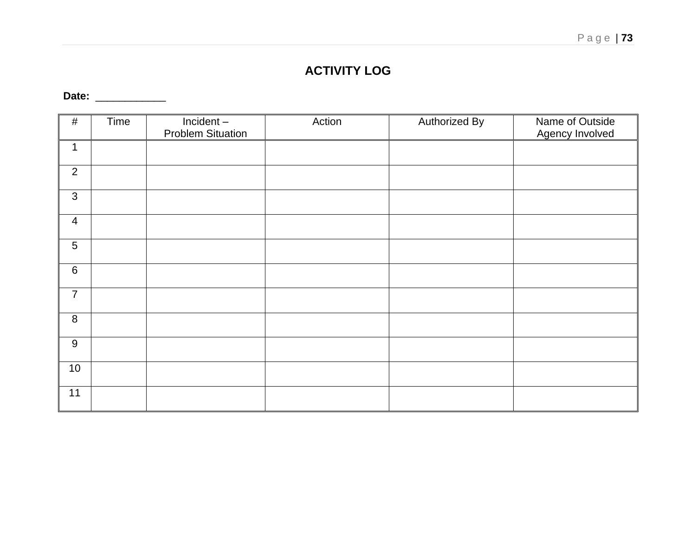# P a g e | **73**

# **ACTIVITY LOG**

**Date:** \_\_\_\_\_\_\_\_\_\_\_\_

| #                | Time | Incident-<br><b>Problem Situation</b> | Action | <b>Authorized By</b> | Name of Outside<br><b>Agency Involved</b> |
|------------------|------|---------------------------------------|--------|----------------------|-------------------------------------------|
| $\mathbf 1$      |      |                                       |        |                      |                                           |
| $\overline{2}$   |      |                                       |        |                      |                                           |
| $\mathfrak{S}$   |      |                                       |        |                      |                                           |
| $\overline{4}$   |      |                                       |        |                      |                                           |
| $\sqrt{5}$       |      |                                       |        |                      |                                           |
| $\,6\,$          |      |                                       |        |                      |                                           |
| $\overline{7}$   |      |                                       |        |                      |                                           |
| $\,8\,$          |      |                                       |        |                      |                                           |
| $\boldsymbol{9}$ |      |                                       |        |                      |                                           |
| 10               |      |                                       |        |                      |                                           |
| 11               |      |                                       |        |                      |                                           |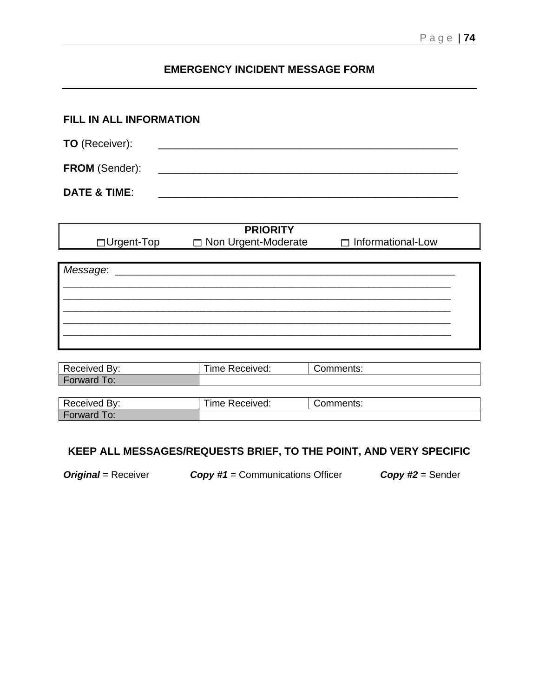## **EMERGENCY INCIDENT MESSAGE FORM**

| FILL IN ALL INFORMATION |                                                                    |  |  |  |
|-------------------------|--------------------------------------------------------------------|--|--|--|
| <b>TO</b> (Receiver):   | <u> 1980 - Jan Berlin, margaret eta biztanleria (h. 1982).</u>     |  |  |  |
| <b>FROM (Sender):</b>   | <u> 1980 - Jan Barbarat, martin da shekara tshirilgan ma'lumot</u> |  |  |  |
| <b>DATE &amp; TIME:</b> |                                                                    |  |  |  |

| <b>PRIORITY</b> |  |                       |                          |  |  |
|-----------------|--|-----------------------|--------------------------|--|--|
| □Urgent-Top     |  | □ Non Urgent-Moderate | $\Box$ Informational-Low |  |  |
|                 |  |                       |                          |  |  |
| Message:        |  |                       |                          |  |  |
|                 |  |                       |                          |  |  |
|                 |  |                       |                          |  |  |
|                 |  |                       |                          |  |  |
|                 |  |                       |                          |  |  |
|                 |  |                       |                          |  |  |
|                 |  |                       |                          |  |  |

| Received By:       | Time Received: | Comments: |
|--------------------|----------------|-----------|
| Forward To:        |                |           |
|                    |                |           |
| Received By:       | Time Received: | Comments: |
| <b>Forward To:</b> |                |           |

## **KEEP ALL MESSAGES/REQUESTS BRIEF, TO THE POINT, AND VERY SPECIFIC**

*Original* = Receiver *Copy #1* = Communications Officer *Copy #2* = Sender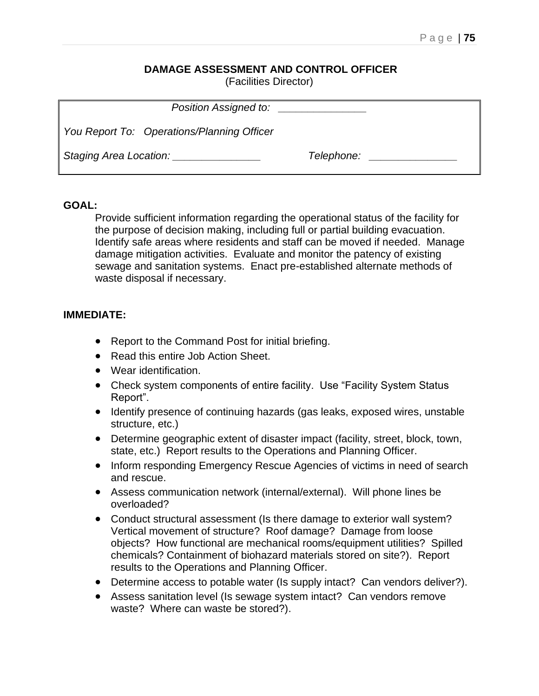## **DAMAGE ASSESSMENT AND CONTROL OFFICER**

(Facilities Director)

| Position Assigned to:                         |            |  |
|-----------------------------------------------|------------|--|
| You Report To: Operations/Planning Officer    |            |  |
| Staging Area Location: Staging Area Location: | Telephone: |  |

#### **GOAL:**

Provide sufficient information regarding the operational status of the facility for the purpose of decision making, including full or partial building evacuation. Identify safe areas where residents and staff can be moved if needed. Manage damage mitigation activities. Evaluate and monitor the patency of existing sewage and sanitation systems. Enact pre-established alternate methods of waste disposal if necessary.

#### **IMMEDIATE:**

- Report to the Command Post for initial briefing.
- Read this entire Job Action Sheet.
- Wear identification.
- Check system components of entire facility. Use "Facility System Status Report".
- Identify presence of continuing hazards (gas leaks, exposed wires, unstable structure, etc.)
- Determine geographic extent of disaster impact (facility, street, block, town, state, etc.) Report results to the Operations and Planning Officer.
- Inform responding Emergency Rescue Agencies of victims in need of search and rescue.
- Assess communication network (internal/external). Will phone lines be overloaded?
- Conduct structural assessment (Is there damage to exterior wall system? Vertical movement of structure? Roof damage? Damage from loose objects? How functional are mechanical rooms/equipment utilities? Spilled chemicals? Containment of biohazard materials stored on site?). Report results to the Operations and Planning Officer.
- Determine access to potable water (Is supply intact? Can vendors deliver?).
- Assess sanitation level (Is sewage system intact? Can vendors remove waste? Where can waste be stored?).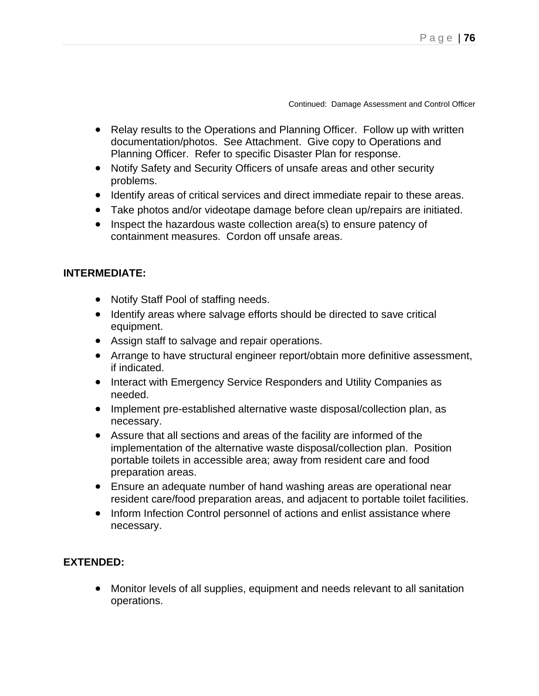Continued: Damage Assessment and Control Officer

- Relay results to the Operations and Planning Officer. Follow up with written documentation/photos. See Attachment. Give copy to Operations and Planning Officer. Refer to specific Disaster Plan for response.
- Notify Safety and Security Officers of unsafe areas and other security problems.
- Identify areas of critical services and direct immediate repair to these areas.
- Take photos and/or videotape damage before clean up/repairs are initiated.
- Inspect the hazardous waste collection area(s) to ensure patency of containment measures. Cordon off unsafe areas.

## **INTERMEDIATE:**

- Notify Staff Pool of staffing needs.
- Identify areas where salvage efforts should be directed to save critical equipment.
- Assign staff to salvage and repair operations.
- Arrange to have structural engineer report/obtain more definitive assessment, if indicated.
- Interact with Emergency Service Responders and Utility Companies as needed.
- Implement pre-established alternative waste disposal/collection plan, as necessary.
- Assure that all sections and areas of the facility are informed of the implementation of the alternative waste disposal/collection plan. Position portable toilets in accessible area; away from resident care and food preparation areas.
- Ensure an adequate number of hand washing areas are operational near resident care/food preparation areas, and adjacent to portable toilet facilities.
- Inform Infection Control personnel of actions and enlist assistance where necessary.

## **EXTENDED:**

• Monitor levels of all supplies, equipment and needs relevant to all sanitation operations.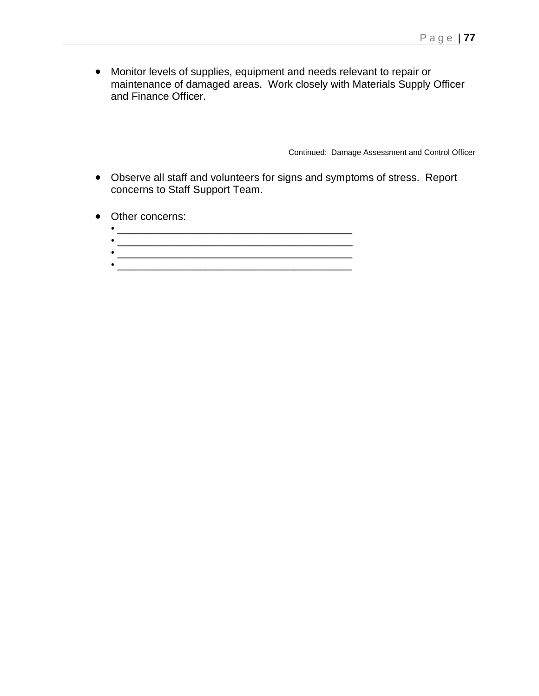• Monitor levels of supplies, equipment and needs relevant to repair or maintenance of damaged areas. Work closely with Materials Supply Officer and Finance Officer.

Continued: Damage Assessment and Control Officer

- Observe all staff and volunteers for signs and symptoms of stress. Report concerns to Staff Support Team.
- Other concerns:
	- \_\_\_\_\_\_\_\_\_\_\_\_\_\_\_\_\_\_\_\_\_\_\_\_\_\_\_\_\_\_\_\_\_\_\_\_\_\_\_\_ • \_\_\_\_\_\_\_\_\_\_\_\_\_\_\_\_\_\_\_\_\_\_\_\_\_\_\_\_\_\_\_\_\_\_\_\_\_\_\_\_ • \_\_\_\_\_\_\_\_\_\_\_\_\_\_\_\_\_\_\_\_\_\_\_\_\_\_\_\_\_\_\_\_\_\_\_\_\_\_\_\_
	-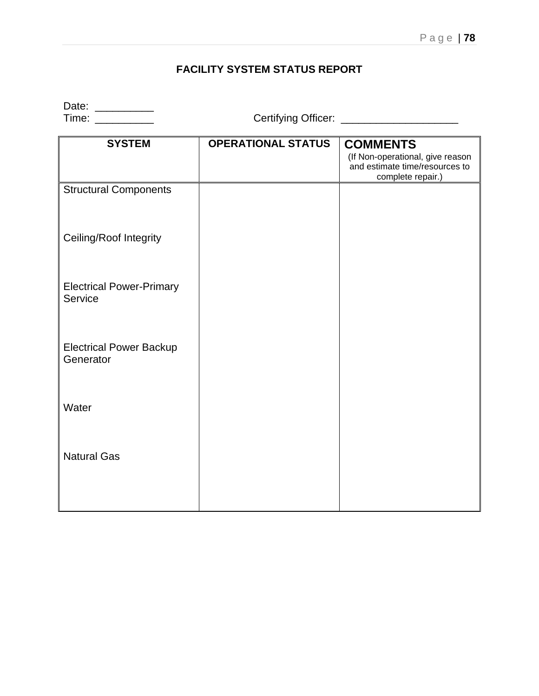## **FACILITY SYSTEM STATUS REPORT**

Date: \_\_\_\_\_\_\_\_\_\_

Time: \_\_\_\_\_\_\_\_\_\_ Certifying Officer: \_\_\_\_\_\_\_\_\_\_\_\_\_\_\_\_\_\_\_\_

| <b>SYSTEM</b>                               | <b>OPERATIONAL STATUS</b> | <b>COMMENTS</b>                                                                         |
|---------------------------------------------|---------------------------|-----------------------------------------------------------------------------------------|
|                                             |                           | (If Non-operational, give reason<br>and estimate time/resources to<br>complete repair.) |
| <b>Structural Components</b>                |                           |                                                                                         |
| Ceiling/Roof Integrity                      |                           |                                                                                         |
| <b>Electrical Power-Primary</b><br>Service  |                           |                                                                                         |
| <b>Electrical Power Backup</b><br>Generator |                           |                                                                                         |
| Water                                       |                           |                                                                                         |
| <b>Natural Gas</b>                          |                           |                                                                                         |
|                                             |                           |                                                                                         |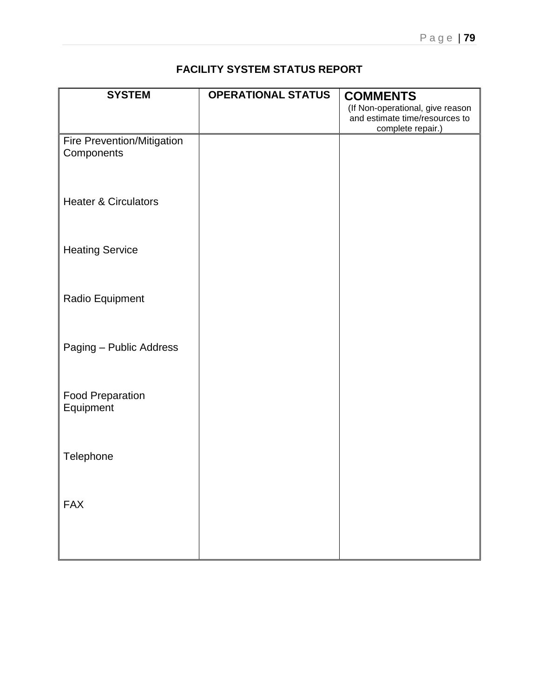## **FACILITY SYSTEM STATUS REPORT**

| <b>SYSTEM</b>                   | <b>OPERATIONAL STATUS</b> | <b>COMMENTS</b>                                                    |
|---------------------------------|---------------------------|--------------------------------------------------------------------|
|                                 |                           | (If Non-operational, give reason<br>and estimate time/resources to |
|                                 |                           | complete repair.)                                                  |
| Fire Prevention/Mitigation      |                           |                                                                    |
| Components                      |                           |                                                                    |
|                                 |                           |                                                                    |
|                                 |                           |                                                                    |
|                                 |                           |                                                                    |
| <b>Heater &amp; Circulators</b> |                           |                                                                    |
|                                 |                           |                                                                    |
|                                 |                           |                                                                    |
| <b>Heating Service</b>          |                           |                                                                    |
|                                 |                           |                                                                    |
|                                 |                           |                                                                    |
|                                 |                           |                                                                    |
| Radio Equipment                 |                           |                                                                    |
|                                 |                           |                                                                    |
|                                 |                           |                                                                    |
| Paging - Public Address         |                           |                                                                    |
|                                 |                           |                                                                    |
|                                 |                           |                                                                    |
|                                 |                           |                                                                    |
| <b>Food Preparation</b>         |                           |                                                                    |
| Equipment                       |                           |                                                                    |
|                                 |                           |                                                                    |
|                                 |                           |                                                                    |
| Telephone                       |                           |                                                                    |
|                                 |                           |                                                                    |
|                                 |                           |                                                                    |
|                                 |                           |                                                                    |
| <b>FAX</b>                      |                           |                                                                    |
|                                 |                           |                                                                    |
|                                 |                           |                                                                    |
|                                 |                           |                                                                    |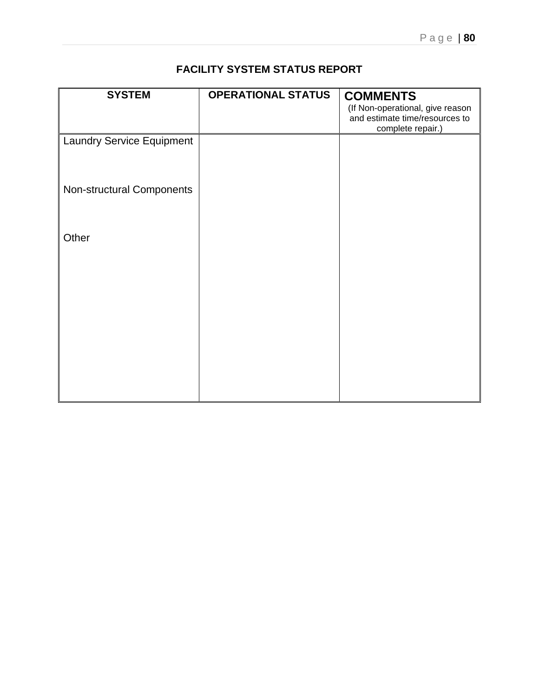## **FACILITY SYSTEM STATUS REPORT**

| <b>SYSTEM</b>                    | <b>OPERATIONAL STATUS</b> | <b>COMMENTS</b>                                                    |
|----------------------------------|---------------------------|--------------------------------------------------------------------|
|                                  |                           | (If Non-operational, give reason<br>and estimate time/resources to |
|                                  |                           | complete repair.)                                                  |
| <b>Laundry Service Equipment</b> |                           |                                                                    |
|                                  |                           |                                                                    |
|                                  |                           |                                                                    |
|                                  |                           |                                                                    |
| Non-structural Components        |                           |                                                                    |
|                                  |                           |                                                                    |
|                                  |                           |                                                                    |
| Other                            |                           |                                                                    |
|                                  |                           |                                                                    |
|                                  |                           |                                                                    |
|                                  |                           |                                                                    |
|                                  |                           |                                                                    |
|                                  |                           |                                                                    |
|                                  |                           |                                                                    |
|                                  |                           |                                                                    |
|                                  |                           |                                                                    |
|                                  |                           |                                                                    |
|                                  |                           |                                                                    |
|                                  |                           |                                                                    |
|                                  |                           |                                                                    |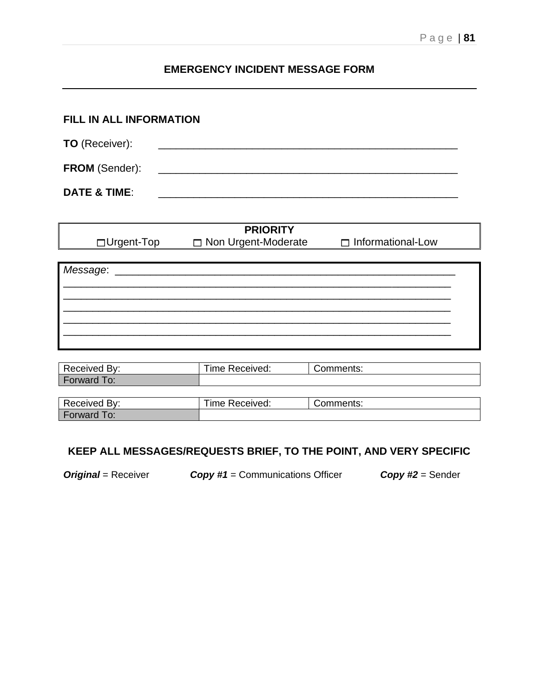## **EMERGENCY INCIDENT MESSAGE FORM**

| FILL IN ALL INFORMATION |                                                                                                                      |  |  |  |
|-------------------------|----------------------------------------------------------------------------------------------------------------------|--|--|--|
| <b>TO</b> (Receiver):   | <u> 1980 - Jan Barbara, mandatar basar basa da shekara 1980 - Andrea Barbara, masar basa da shekara 1980 - Andre</u> |  |  |  |
| <b>FROM (Sender):</b>   | <u> 1980 - Jan Barbarat, martin da shekara tshirilgan ma'lumot</u>                                                   |  |  |  |
| <b>DATE &amp; TIME:</b> |                                                                                                                      |  |  |  |

| <b>PRIORITY</b> |                       |                          |  |  |  |
|-----------------|-----------------------|--------------------------|--|--|--|
| □Urgent-Top     | □ Non Urgent-Moderate | $\Box$ Informational-Low |  |  |  |
|                 |                       |                          |  |  |  |
| Message:        |                       |                          |  |  |  |
|                 |                       |                          |  |  |  |
|                 |                       |                          |  |  |  |
|                 |                       |                          |  |  |  |
|                 |                       |                          |  |  |  |
|                 |                       |                          |  |  |  |
|                 |                       |                          |  |  |  |

| Received By:       | Time Received: | Comments: |
|--------------------|----------------|-----------|
| Forward To:        |                |           |
|                    |                |           |
| Received By:       | Time Received: | Comments: |
| <b>Forward To:</b> |                |           |

## **KEEP ALL MESSAGES/REQUESTS BRIEF, TO THE POINT, AND VERY SPECIFIC**

*Original* = Receiver *Copy #1* = Communications Officer *Copy #2* = Sender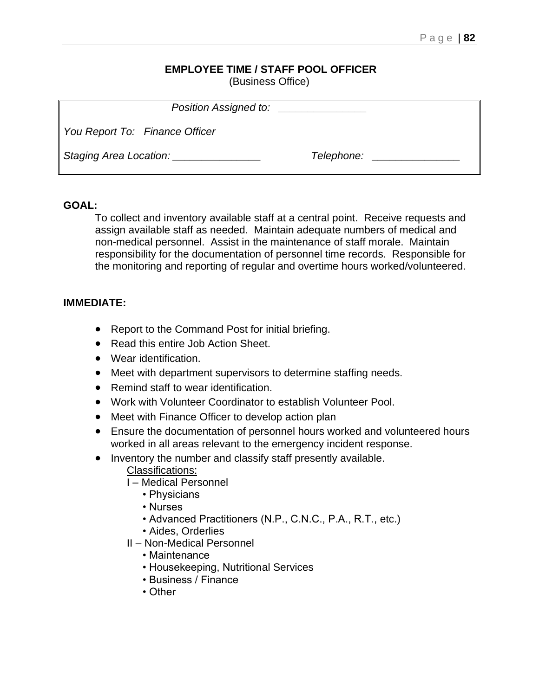#### **EMPLOYEE TIME / STAFF POOL OFFICER** (Business Office)

| Position Assigned to:          |            |  |
|--------------------------------|------------|--|
| You Report To: Finance Officer |            |  |
| Staging Area Location:         | Telephone: |  |

## **GOAL:**

To collect and inventory available staff at a central point. Receive requests and assign available staff as needed. Maintain adequate numbers of medical and non-medical personnel. Assist in the maintenance of staff morale. Maintain responsibility for the documentation of personnel time records. Responsible for the monitoring and reporting of regular and overtime hours worked/volunteered.

## **IMMEDIATE:**

- Report to the Command Post for initial briefing.
- Read this entire Job Action Sheet.
- Wear identification.
- Meet with department supervisors to determine staffing needs.
- Remind staff to wear identification.
- Work with Volunteer Coordinator to establish Volunteer Pool.
- Meet with Finance Officer to develop action plan
- Ensure the documentation of personnel hours worked and volunteered hours worked in all areas relevant to the emergency incident response.
- Inventory the number and classify staff presently available.
	- Classifications:
	- I Medical Personnel
		- Physicians
		- Nurses
		- Advanced Practitioners (N.P., C.N.C., P.A., R.T., etc.)
		- Aides, Orderlies
	- II Non-Medical Personnel
		- Maintenance
		- Housekeeping, Nutritional Services
		- Business / Finance
		- Other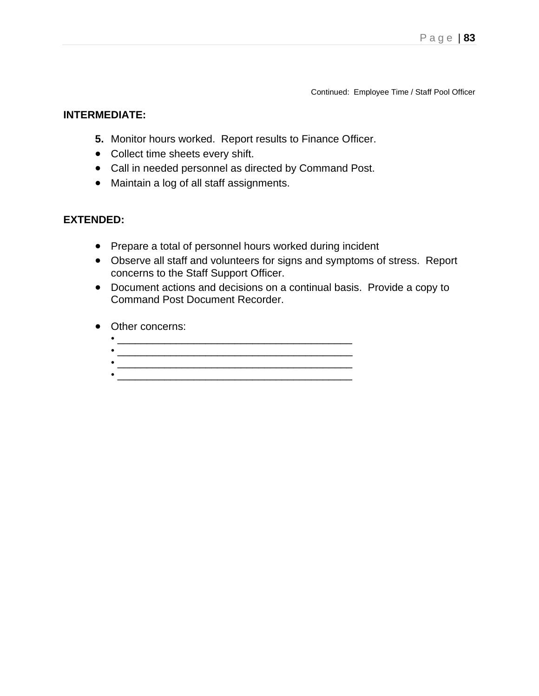Continued: Employee Time / Staff Pool Officer

#### **INTERMEDIATE:**

- **5.** Monitor hours worked. Report results to Finance Officer.
- Collect time sheets every shift.
- Call in needed personnel as directed by Command Post.
- Maintain a log of all staff assignments.

- Prepare a total of personnel hours worked during incident
- Observe all staff and volunteers for signs and symptoms of stress. Report concerns to the Staff Support Officer.
- Document actions and decisions on a continual basis. Provide a copy to Command Post Document Recorder.
- Other concerns:
	- \_\_\_\_\_\_\_\_\_\_\_\_\_\_\_\_\_\_\_\_\_\_\_\_\_\_\_\_\_\_\_\_\_\_\_\_\_\_\_\_ • \_\_\_\_\_\_\_\_\_\_\_\_\_\_\_\_\_\_\_\_\_\_\_\_\_\_\_\_\_\_\_\_\_\_\_\_\_\_\_\_
	- \_\_\_\_\_\_\_\_\_\_\_\_\_\_\_\_\_\_\_\_\_\_\_\_\_\_\_\_\_\_\_\_\_\_\_\_\_\_\_\_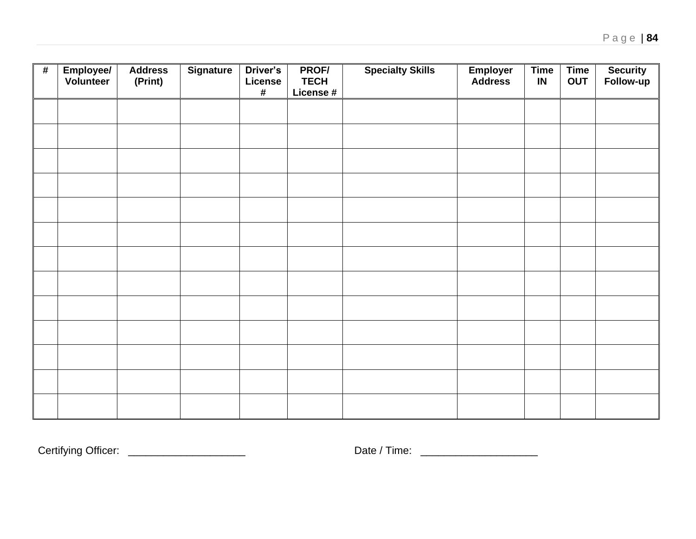| # | Employee/<br>Volunteer | <b>Address</b><br>(Print) | <b>Signature</b> | Driver's<br>License<br>$\pmb{\#}$ | PROF/<br><b>TECH</b><br>License # | <b>Specialty Skills</b> | <b>Employer</b><br>Address | <b>Time</b><br>IN | Time<br>OUT | <b>Security</b><br>Follow-up |
|---|------------------------|---------------------------|------------------|-----------------------------------|-----------------------------------|-------------------------|----------------------------|-------------------|-------------|------------------------------|
|   |                        |                           |                  |                                   |                                   |                         |                            |                   |             |                              |
|   |                        |                           |                  |                                   |                                   |                         |                            |                   |             |                              |
|   |                        |                           |                  |                                   |                                   |                         |                            |                   |             |                              |
|   |                        |                           |                  |                                   |                                   |                         |                            |                   |             |                              |
|   |                        |                           |                  |                                   |                                   |                         |                            |                   |             |                              |
|   |                        |                           |                  |                                   |                                   |                         |                            |                   |             |                              |
|   |                        |                           |                  |                                   |                                   |                         |                            |                   |             |                              |
|   |                        |                           |                  |                                   |                                   |                         |                            |                   |             |                              |
|   |                        |                           |                  |                                   |                                   |                         |                            |                   |             |                              |
|   |                        |                           |                  |                                   |                                   |                         |                            |                   |             |                              |
|   |                        |                           |                  |                                   |                                   |                         |                            |                   |             |                              |
|   |                        |                           |                  |                                   |                                   |                         |                            |                   |             |                              |
|   |                        |                           |                  |                                   |                                   |                         |                            |                   |             |                              |

Certifying Officer: \_\_\_\_\_\_\_\_\_\_\_\_\_\_\_\_\_\_\_\_ Date / Time: \_\_\_\_\_\_\_\_\_\_\_\_\_\_\_\_\_\_\_\_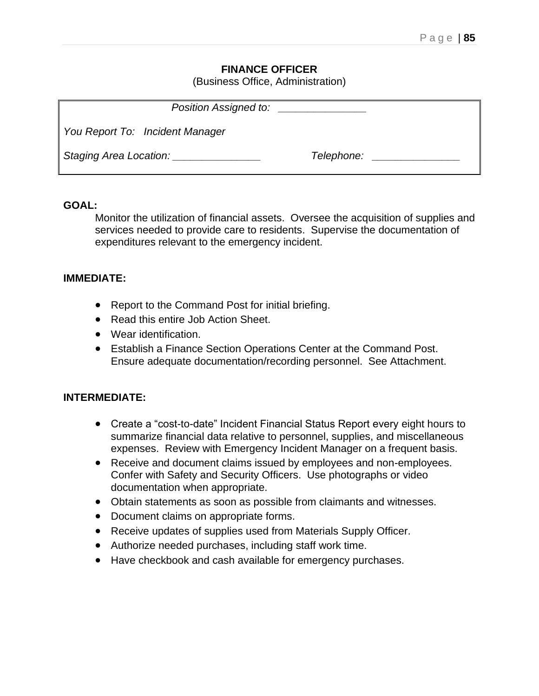## **FINANCE OFFICER**

(Business Office, Administration)

| Position Assigned to:                            |            |
|--------------------------------------------------|------------|
| You Report To: Incident Manager                  |            |
| Staging Area Location: National Charles Contains | Telephone: |

#### **GOAL:**

Monitor the utilization of financial assets. Oversee the acquisition of supplies and services needed to provide care to residents. Supervise the documentation of expenditures relevant to the emergency incident.

#### **IMMEDIATE:**

- Report to the Command Post for initial briefing.
- Read this entire Job Action Sheet.
- Wear identification.
- Establish a Finance Section Operations Center at the Command Post. Ensure adequate documentation/recording personnel. See Attachment.

#### **INTERMEDIATE:**

- Create a "cost-to-date" Incident Financial Status Report every eight hours to summarize financial data relative to personnel, supplies, and miscellaneous expenses. Review with Emergency Incident Manager on a frequent basis.
- Receive and document claims issued by employees and non-employees. Confer with Safety and Security Officers. Use photographs or video documentation when appropriate.
- Obtain statements as soon as possible from claimants and witnesses.
- Document claims on appropriate forms.
- Receive updates of supplies used from Materials Supply Officer.
- Authorize needed purchases, including staff work time.
- Have checkbook and cash available for emergency purchases.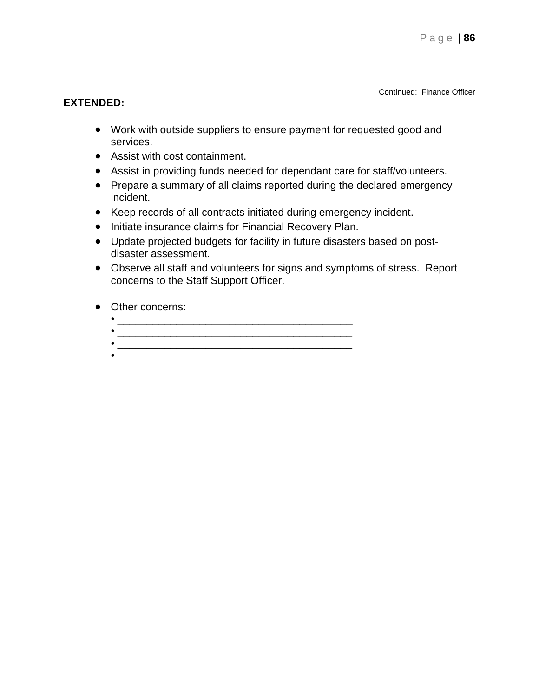Continued: Finance Officer

- Work with outside suppliers to ensure payment for requested good and services.
- Assist with cost containment.
- Assist in providing funds needed for dependant care for staff/volunteers.
- Prepare a summary of all claims reported during the declared emergency incident.
- Keep records of all contracts initiated during emergency incident.
- Initiate insurance claims for Financial Recovery Plan.
- Update projected budgets for facility in future disasters based on postdisaster assessment.
- Observe all staff and volunteers for signs and symptoms of stress. Report concerns to the Staff Support Officer.
- Other concerns:
	- \_\_\_\_\_\_\_\_\_\_\_\_\_\_\_\_\_\_\_\_\_\_\_\_\_\_\_\_\_\_\_\_\_\_\_\_\_\_\_\_
	- \_\_\_\_\_\_\_\_\_\_\_\_\_\_\_\_\_\_\_\_\_\_\_\_\_\_\_\_\_\_\_\_\_\_\_\_\_\_\_\_ • \_\_\_\_\_\_\_\_\_\_\_\_\_\_\_\_\_\_\_\_\_\_\_\_\_\_\_\_\_\_\_\_\_\_\_\_\_\_\_\_
	-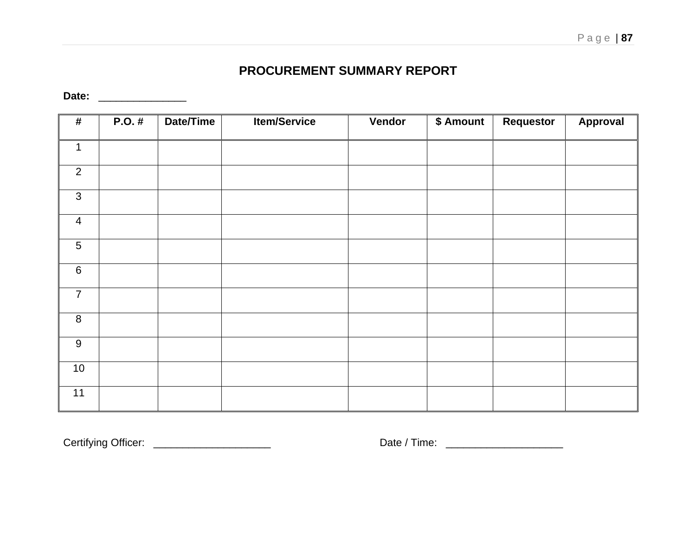## **PROCUREMENT SUMMARY REPORT**

**Date:** \_\_\_\_\_\_\_\_\_\_\_\_\_\_\_

| $\pmb{\#}$     | $P.O.$ # | Date/Time | <b>Item/Service</b> | Vendor | \$ Amount | Requestor | Approval |
|----------------|----------|-----------|---------------------|--------|-----------|-----------|----------|
| $\mathbf{1}$   |          |           |                     |        |           |           |          |
| $\overline{2}$ |          |           |                     |        |           |           |          |
| $\mathfrak{S}$ |          |           |                     |        |           |           |          |
| $\overline{4}$ |          |           |                     |        |           |           |          |
| 5              |          |           |                     |        |           |           |          |
| $\,6\,$        |          |           |                     |        |           |           |          |
| $\overline{7}$ |          |           |                     |        |           |           |          |
| 8              |          |           |                     |        |           |           |          |
| 9              |          |           |                     |        |           |           |          |
| 10             |          |           |                     |        |           |           |          |
| 11             |          |           |                     |        |           |           |          |

Certifying Officer: \_\_\_\_\_\_\_\_\_\_\_\_\_\_\_\_\_\_\_\_ Date / Time: \_\_\_\_\_\_\_\_\_\_\_\_\_\_\_\_\_\_\_\_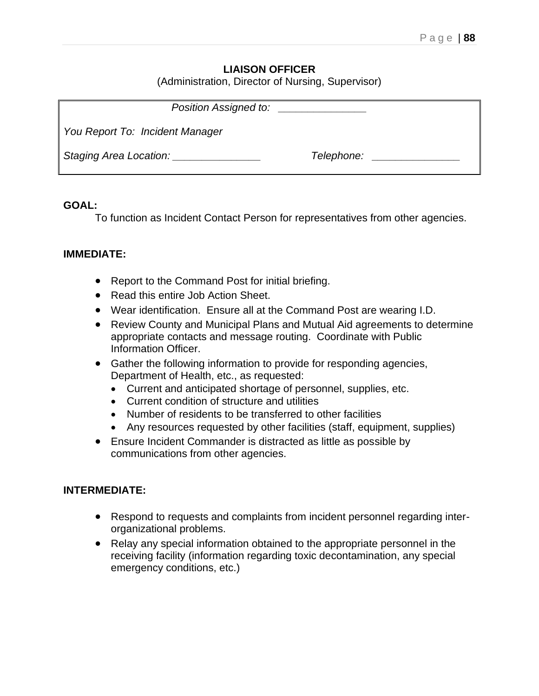## **LIAISON OFFICER**

(Administration, Director of Nursing, Supervisor)

| Position Assigned to:                         |                      |
|-----------------------------------------------|----------------------|
| You Report To: Incident Manager               |                      |
| Staging Area Location: Staging Area Location: | Telephone: Telephone |

#### **GOAL:**

To function as Incident Contact Person for representatives from other agencies.

#### **IMMEDIATE:**

- Report to the Command Post for initial briefing.
- Read this entire Job Action Sheet.
- Wear identification. Ensure all at the Command Post are wearing I.D.
- Review County and Municipal Plans and Mutual Aid agreements to determine appropriate contacts and message routing. Coordinate with Public Information Officer.
- Gather the following information to provide for responding agencies, Department of Health, etc., as requested:
	- Current and anticipated shortage of personnel, supplies, etc.
	- Current condition of structure and utilities
	- Number of residents to be transferred to other facilities
	- Any resources requested by other facilities (staff, equipment, supplies)
- Ensure Incident Commander is distracted as little as possible by communications from other agencies.

### **INTERMEDIATE:**

- Respond to requests and complaints from incident personnel regarding interorganizational problems.
- Relay any special information obtained to the appropriate personnel in the receiving facility (information regarding toxic decontamination, any special emergency conditions, etc.)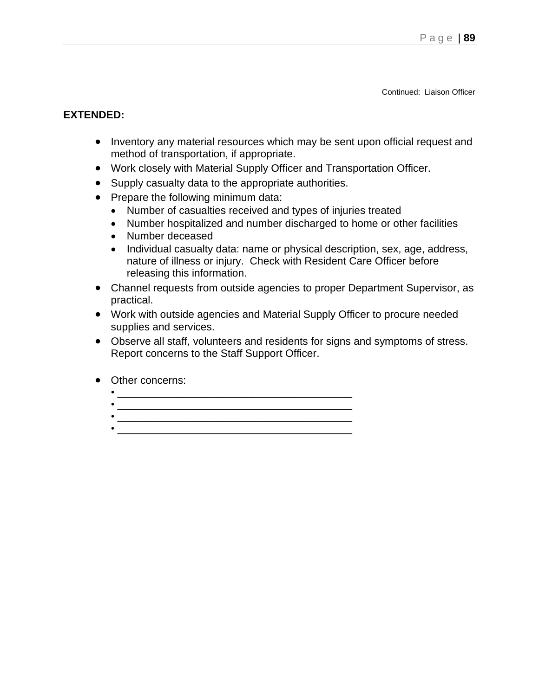Continued: Liaison Officer

- Inventory any material resources which may be sent upon official request and method of transportation, if appropriate.
- Work closely with Material Supply Officer and Transportation Officer.
- Supply casualty data to the appropriate authorities.
- Prepare the following minimum data:
	- Number of casualties received and types of injuries treated
	- Number hospitalized and number discharged to home or other facilities
	- Number deceased
	- Individual casualty data: name or physical description, sex, age, address, nature of illness or injury. Check with Resident Care Officer before releasing this information.
- Channel requests from outside agencies to proper Department Supervisor, as practical.
- Work with outside agencies and Material Supply Officer to procure needed supplies and services.
- Observe all staff, volunteers and residents for signs and symptoms of stress. Report concerns to the Staff Support Officer.
- Other concerns:
	- $\frac{1}{2}$  ,  $\frac{1}{2}$  ,  $\frac{1}{2}$  ,  $\frac{1}{2}$  ,  $\frac{1}{2}$  ,  $\frac{1}{2}$  ,  $\frac{1}{2}$  ,  $\frac{1}{2}$  ,  $\frac{1}{2}$  ,  $\frac{1}{2}$  ,  $\frac{1}{2}$  ,  $\frac{1}{2}$  ,  $\frac{1}{2}$  ,  $\frac{1}{2}$  ,  $\frac{1}{2}$  ,  $\frac{1}{2}$  ,  $\frac{1}{2}$  ,  $\frac{1}{2}$  ,  $\frac{1$
	- \_\_\_\_\_\_\_\_\_\_\_\_\_\_\_\_\_\_\_\_\_\_\_\_\_\_\_\_\_\_\_\_\_\_\_\_\_\_\_\_
	-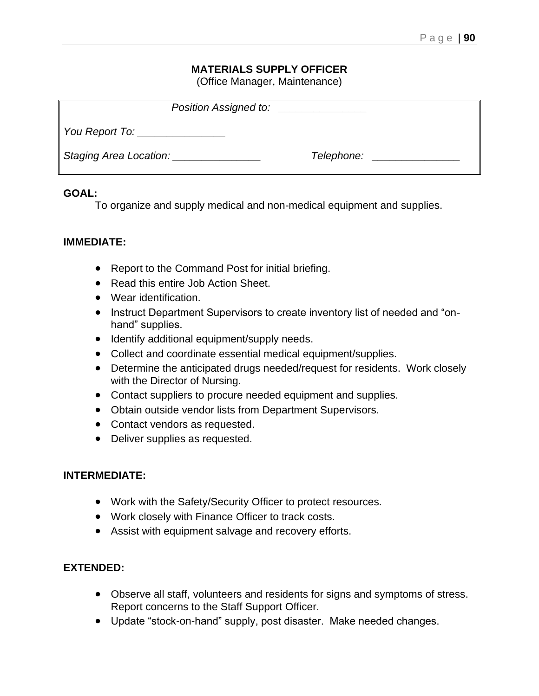## **MATERIALS SUPPLY OFFICER**

(Office Manager, Maintenance)

| Position Assigned to:         | <u> 1980 - Andrea State Barbara, amerikan per</u> |  |
|-------------------------------|---------------------------------------------------|--|
| You Report To: ______________ |                                                   |  |
|                               | Telephone: _____________                          |  |

#### **GOAL:**

To organize and supply medical and non-medical equipment and supplies.

#### **IMMEDIATE:**

- Report to the Command Post for initial briefing.
- Read this entire Job Action Sheet.
- Wear identification.
- Instruct Department Supervisors to create inventory list of needed and "onhand" supplies.
- Identify additional equipment/supply needs.
- Collect and coordinate essential medical equipment/supplies.
- Determine the anticipated drugs needed/request for residents. Work closely with the Director of Nursing.
- Contact suppliers to procure needed equipment and supplies.
- Obtain outside vendor lists from Department Supervisors.
- Contact vendors as requested.
- Deliver supplies as requested.

## **INTERMEDIATE:**

- Work with the Safety/Security Officer to protect resources.
- Work closely with Finance Officer to track costs.
- Assist with equipment salvage and recovery efforts.

- Observe all staff, volunteers and residents for signs and symptoms of stress. Report concerns to the Staff Support Officer.
- Update "stock-on-hand" supply, post disaster. Make needed changes.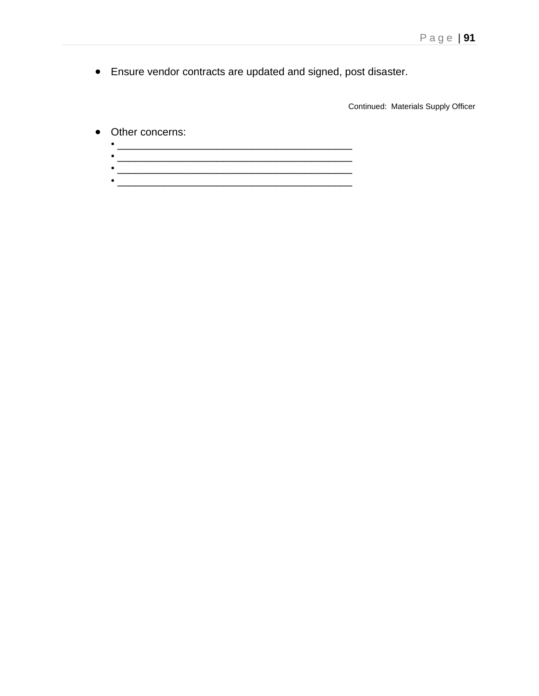• Ensure vendor contracts are updated and signed, post disaster.

Continued: Materials Supply Officer

- Other concerns:
	- $\bullet$   $\overline{\phantom{a}}$   $\overline{\phantom{a}}$   $\overline{\phantom{a}}$   $\overline{\phantom{a}}$   $\overline{\phantom{a}}$   $\overline{\phantom{a}}$   $\overline{\phantom{a}}$   $\overline{\phantom{a}}$   $\overline{\phantom{a}}$   $\overline{\phantom{a}}$   $\overline{\phantom{a}}$   $\overline{\phantom{a}}$   $\overline{\phantom{a}}$   $\overline{\phantom{a}}$   $\overline{\phantom{a}}$   $\overline{\phantom{a}}$   $\overline{\phantom{a}}$   $\overline{\phantom{a}}$  •  $\overline{\phantom{a}}$
	- $\overline{\phantom{a}}$  ,  $\overline{\phantom{a}}$  ,  $\overline{\phantom{a}}$  ,  $\overline{\phantom{a}}$  ,  $\overline{\phantom{a}}$  ,  $\overline{\phantom{a}}$  ,  $\overline{\phantom{a}}$  ,  $\overline{\phantom{a}}$  ,  $\overline{\phantom{a}}$  ,  $\overline{\phantom{a}}$  ,  $\overline{\phantom{a}}$  ,  $\overline{\phantom{a}}$  ,  $\overline{\phantom{a}}$  ,  $\overline{\phantom{a}}$  ,  $\overline{\phantom{a}}$  ,  $\overline{\phantom{a$ • \_\_\_\_\_\_\_\_\_\_\_\_\_\_\_\_\_\_\_\_\_\_\_\_\_\_\_\_\_\_\_\_\_\_\_\_\_\_\_\_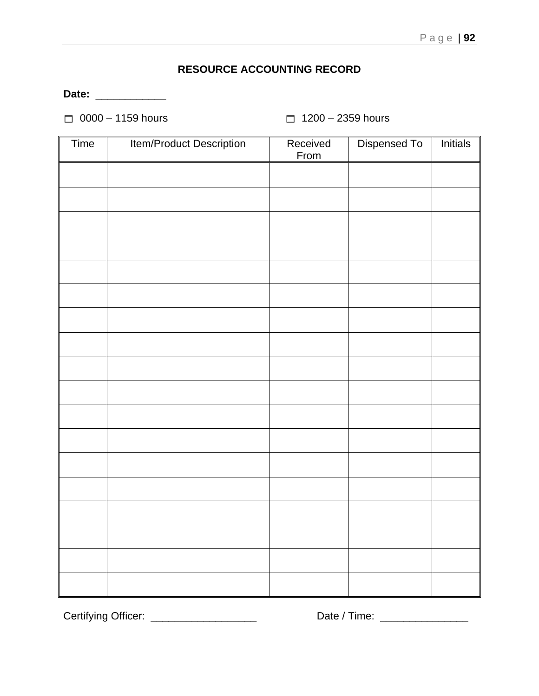## **RESOURCE ACCOUNTING RECORD**

**Date:** \_\_\_\_\_\_\_\_\_\_\_\_

 $\Box$  0000 – 1159 hours  $\Box$  1200 – 2359 hours

| Time | Item/Product Description | Received<br>From | Dispensed To | Initials |
|------|--------------------------|------------------|--------------|----------|
|      |                          |                  |              |          |
|      |                          |                  |              |          |
|      |                          |                  |              |          |
|      |                          |                  |              |          |
|      |                          |                  |              |          |
|      |                          |                  |              |          |
|      |                          |                  |              |          |
|      |                          |                  |              |          |
|      |                          |                  |              |          |
|      |                          |                  |              |          |
|      |                          |                  |              |          |
|      |                          |                  |              |          |
|      |                          |                  |              |          |
|      |                          |                  |              |          |
|      |                          |                  |              |          |
|      |                          |                  |              |          |
|      |                          |                  |              |          |
|      |                          |                  |              |          |

Certifying Officer: \_\_\_\_\_\_\_\_\_\_\_\_\_\_\_\_\_\_ Date / Time: \_\_\_\_\_\_\_\_\_\_\_\_\_\_\_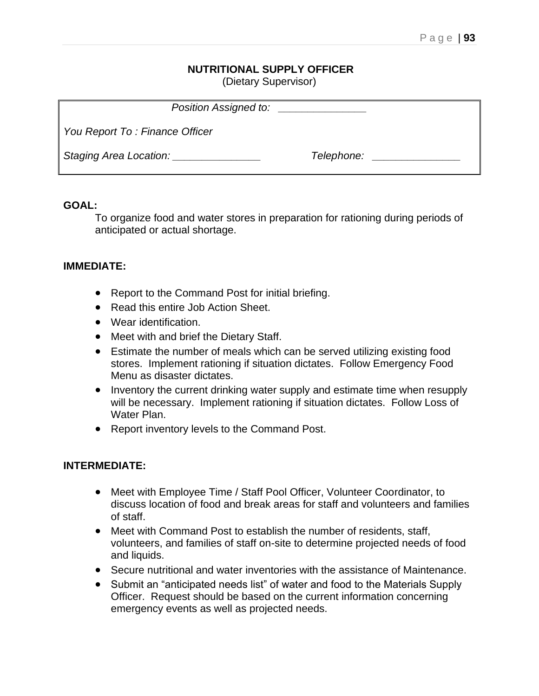# **NUTRITIONAL SUPPLY OFFICER**

(Dietary Supervisor)

| Position Assigned to:                     |            |  |
|-------------------------------------------|------------|--|
| ∥ You Report To : Finance Officer         |            |  |
| Staging Area Location: Staging Management | Telephone: |  |

#### **GOAL:**

To organize food and water stores in preparation for rationing during periods of anticipated or actual shortage.

## **IMMEDIATE:**

- Report to the Command Post for initial briefing.
- Read this entire Job Action Sheet.
- Wear identification.
- Meet with and brief the Dietary Staff.
- Estimate the number of meals which can be served utilizing existing food stores. Implement rationing if situation dictates. Follow Emergency Food Menu as disaster dictates.
- Inventory the current drinking water supply and estimate time when resupply will be necessary. Implement rationing if situation dictates. Follow Loss of Water Plan.
- Report inventory levels to the Command Post.

## **INTERMEDIATE:**

- Meet with Employee Time / Staff Pool Officer, Volunteer Coordinator, to discuss location of food and break areas for staff and volunteers and families of staff.
- Meet with Command Post to establish the number of residents, staff, volunteers, and families of staff on-site to determine projected needs of food and liquids.
- Secure nutritional and water inventories with the assistance of Maintenance.
- Submit an "anticipated needs list" of water and food to the Materials Supply Officer. Request should be based on the current information concerning emergency events as well as projected needs.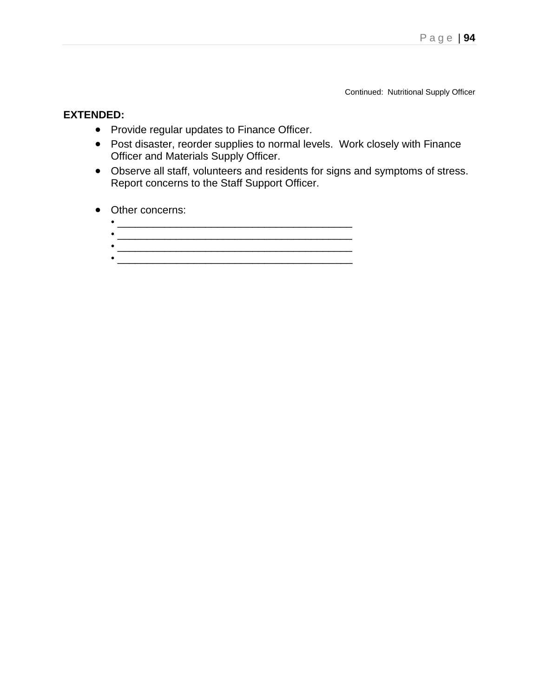Continued: Nutritional Supply Officer

- Provide regular updates to Finance Officer.
- Post disaster, reorder supplies to normal levels. Work closely with Finance Officer and Materials Supply Officer.
- Observe all staff, volunteers and residents for signs and symptoms of stress. Report concerns to the Staff Support Officer.
- Other concerns:
	- \_\_\_\_\_\_\_\_\_\_\_\_\_\_\_\_\_\_\_\_\_\_\_\_\_\_\_\_\_\_\_\_\_\_\_\_\_\_\_\_ • \_\_\_\_\_\_\_\_\_\_\_\_\_\_\_\_\_\_\_\_\_\_\_\_\_\_\_\_\_\_\_\_\_\_\_\_\_\_\_\_
	- \_\_\_\_\_\_\_\_\_\_\_\_\_\_\_\_\_\_\_\_\_\_\_\_\_\_\_\_\_\_\_\_\_\_\_\_\_\_\_\_ • \_\_\_\_\_\_\_\_\_\_\_\_\_\_\_\_\_\_\_\_\_\_\_\_\_\_\_\_\_\_\_\_\_\_\_\_\_\_\_\_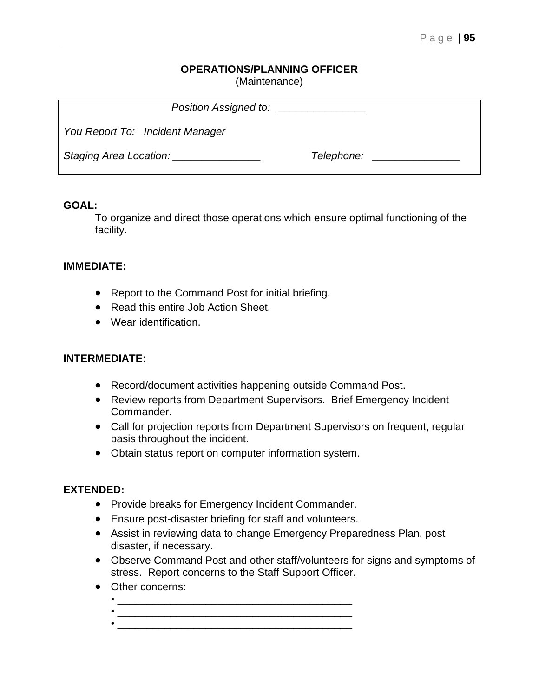## **OPERATIONS/PLANNING OFFICER**

(Maintenance)

| Position Assigned to:            |            |  |
|----------------------------------|------------|--|
| You Report To: Incident Manager  |            |  |
| Staging Area Location: _________ | Telephone: |  |

#### **GOAL:**

To organize and direct those operations which ensure optimal functioning of the facility.

## **IMMEDIATE:**

- Report to the Command Post for initial briefing.
- Read this entire Job Action Sheet.
- Wear identification.

## **INTERMEDIATE:**

- Record/document activities happening outside Command Post.
- Review reports from Department Supervisors. Brief Emergency Incident Commander.
- Call for projection reports from Department Supervisors on frequent, regular basis throughout the incident.
- Obtain status report on computer information system.

- Provide breaks for Emergency Incident Commander.
- Ensure post-disaster briefing for staff and volunteers.
- Assist in reviewing data to change Emergency Preparedness Plan, post disaster, if necessary.
- Observe Command Post and other staff/volunteers for signs and symptoms of stress. Report concerns to the Staff Support Officer.
- Other concerns:
	- $\bullet$   $\overline{\phantom{a}}$   $\overline{\phantom{a}}$   $\overline{\phantom{a}}$   $\overline{\phantom{a}}$   $\overline{\phantom{a}}$   $\overline{\phantom{a}}$   $\overline{\phantom{a}}$   $\overline{\phantom{a}}$   $\overline{\phantom{a}}$   $\overline{\phantom{a}}$   $\overline{\phantom{a}}$   $\overline{\phantom{a}}$   $\overline{\phantom{a}}$   $\overline{\phantom{a}}$   $\overline{\phantom{a}}$   $\overline{\phantom{a}}$   $\overline{\phantom{a}}$   $\overline{\phantom{a}}$  • \_\_\_\_\_\_\_\_\_\_\_\_\_\_\_\_\_\_\_\_\_\_\_\_\_\_\_\_\_\_\_\_\_\_\_\_\_\_\_\_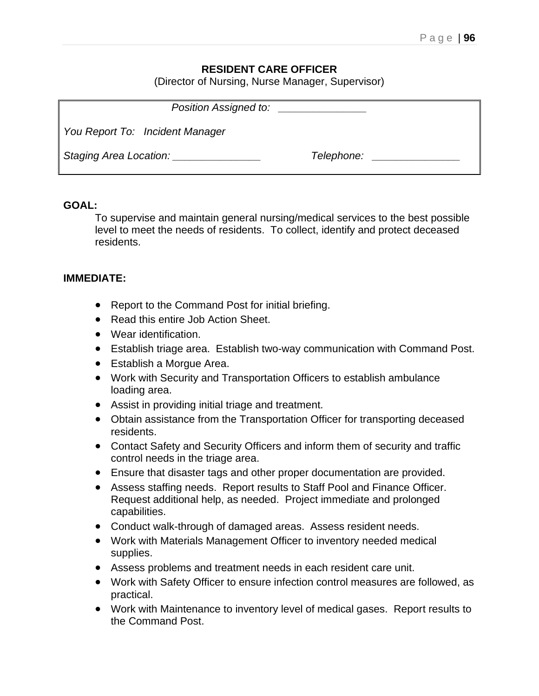## **RESIDENT CARE OFFICER**

(Director of Nursing, Nurse Manager, Supervisor)

| Position Assigned to:                         |            |  |
|-----------------------------------------------|------------|--|
| You Report To: Incident Manager               |            |  |
| Staging Area Location: Staging Area Location: | Telephone: |  |

#### **GOAL:**

To supervise and maintain general nursing/medical services to the best possible level to meet the needs of residents. To collect, identify and protect deceased residents.

#### **IMMEDIATE:**

- Report to the Command Post for initial briefing.
- Read this entire Job Action Sheet.
- Wear identification.
- Establish triage area. Establish two-way communication with Command Post.
- Establish a Morgue Area.
- Work with Security and Transportation Officers to establish ambulance loading area.
- Assist in providing initial triage and treatment.
- Obtain assistance from the Transportation Officer for transporting deceased residents.
- Contact Safety and Security Officers and inform them of security and traffic control needs in the triage area.
- Ensure that disaster tags and other proper documentation are provided.
- Assess staffing needs. Report results to Staff Pool and Finance Officer. Request additional help, as needed. Project immediate and prolonged capabilities.
- Conduct walk-through of damaged areas. Assess resident needs.
- Work with Materials Management Officer to inventory needed medical supplies.
- Assess problems and treatment needs in each resident care unit.
- Work with Safety Officer to ensure infection control measures are followed, as practical.
- Work with Maintenance to inventory level of medical gases. Report results to the Command Post.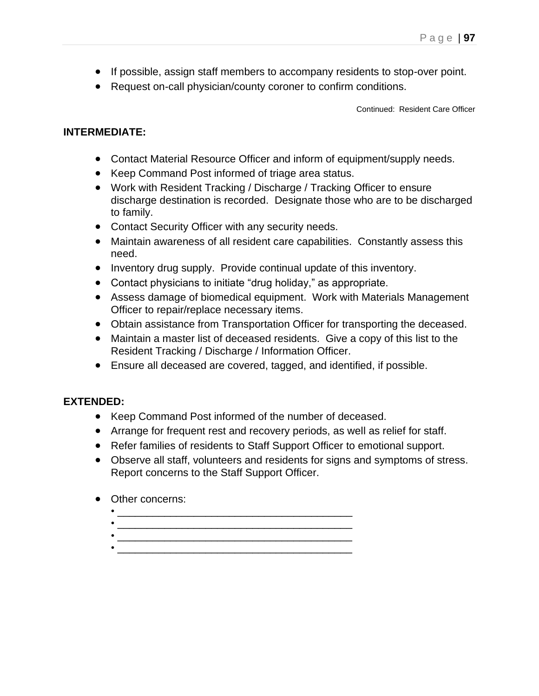- If possible, assign staff members to accompany residents to stop-over point.
- Request on-call physician/county coroner to confirm conditions.

Continued: Resident Care Officer

## **INTERMEDIATE:**

- Contact Material Resource Officer and inform of equipment/supply needs.
- Keep Command Post informed of triage area status.
- Work with Resident Tracking / Discharge / Tracking Officer to ensure discharge destination is recorded. Designate those who are to be discharged to family.
- Contact Security Officer with any security needs.
- Maintain awareness of all resident care capabilities. Constantly assess this need.
- Inventory drug supply. Provide continual update of this inventory.
- Contact physicians to initiate "drug holiday," as appropriate.
- Assess damage of biomedical equipment. Work with Materials Management Officer to repair/replace necessary items.
- Obtain assistance from Transportation Officer for transporting the deceased.
- Maintain a master list of deceased residents. Give a copy of this list to the Resident Tracking / Discharge / Information Officer.
- Ensure all deceased are covered, tagged, and identified, if possible.

- Keep Command Post informed of the number of deceased.
- Arrange for frequent rest and recovery periods, as well as relief for staff.
- Refer families of residents to Staff Support Officer to emotional support.
- Observe all staff, volunteers and residents for signs and symptoms of stress. Report concerns to the Staff Support Officer.
- Other concerns:
	- \_\_\_\_\_\_\_\_\_\_\_\_\_\_\_\_\_\_\_\_\_\_\_\_\_\_\_\_\_\_\_\_\_\_\_\_\_\_\_\_ • \_\_\_\_\_\_\_\_\_\_\_\_\_\_\_\_\_\_\_\_\_\_\_\_\_\_\_\_\_\_\_\_\_\_\_\_\_\_\_\_
	- \_\_\_\_\_\_\_\_\_\_\_\_\_\_\_\_\_\_\_\_\_\_\_\_\_\_\_\_\_\_\_\_\_\_\_\_\_\_\_\_  $\bullet$  . The contract of the contract of the contract of the contract of the contract of the contract of the contract of the contract of the contract of the contract of the contract of the contract of the contract of the co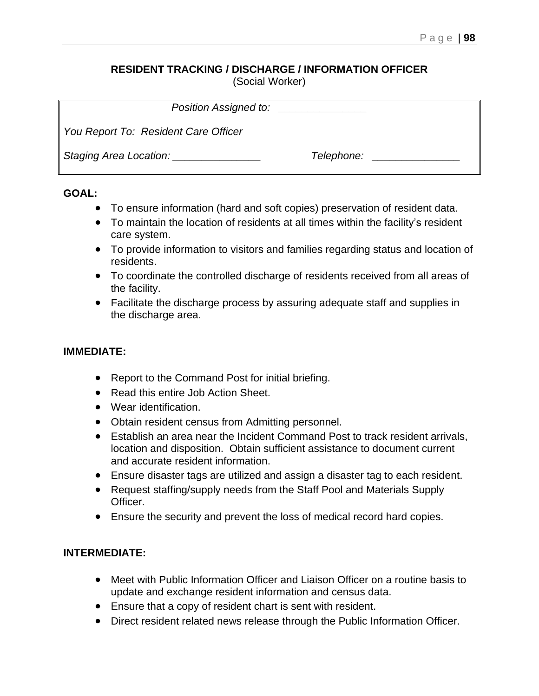## **RESIDENT TRACKING / DISCHARGE / INFORMATION OFFICER**

(Social Worker)

| Position Assigned to:                         | <u> 1980 - Jan Samuel Barbara, primeira española</u> |  |
|-----------------------------------------------|------------------------------------------------------|--|
| You Report To: Resident Care Officer          |                                                      |  |
| Staging Area Location: Staging Area Location: | Telephone:                                           |  |

## **GOAL:**

- To ensure information (hard and soft copies) preservation of resident data.
- To maintain the location of residents at all times within the facility's resident care system.
- To provide information to visitors and families regarding status and location of residents.
- To coordinate the controlled discharge of residents received from all areas of the facility.
- Facilitate the discharge process by assuring adequate staff and supplies in the discharge area.

## **IMMEDIATE:**

- Report to the Command Post for initial briefing.
- Read this entire Job Action Sheet.
- Wear identification.
- Obtain resident census from Admitting personnel.
- Establish an area near the Incident Command Post to track resident arrivals, location and disposition. Obtain sufficient assistance to document current and accurate resident information.
- Ensure disaster tags are utilized and assign a disaster tag to each resident.
- Request staffing/supply needs from the Staff Pool and Materials Supply Officer.
- Ensure the security and prevent the loss of medical record hard copies.

## **INTERMEDIATE:**

- Meet with Public Information Officer and Liaison Officer on a routine basis to update and exchange resident information and census data.
- Ensure that a copy of resident chart is sent with resident.
- Direct resident related news release through the Public Information Officer.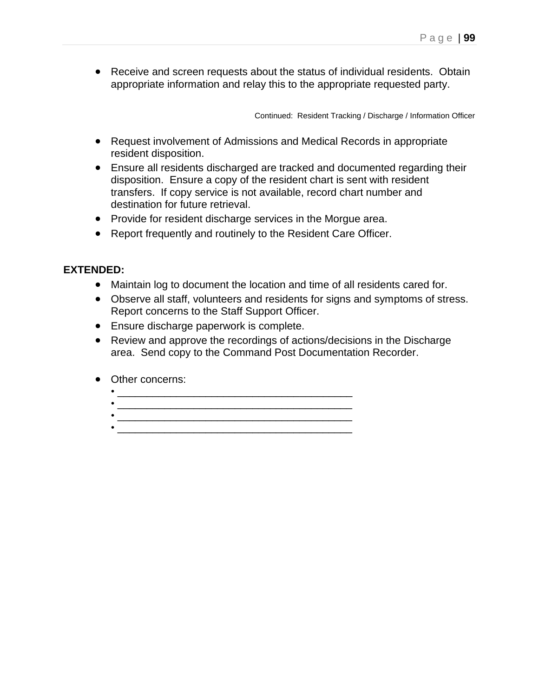• Receive and screen requests about the status of individual residents. Obtain appropriate information and relay this to the appropriate requested party.

Continued: Resident Tracking / Discharge / Information Officer

- Request involvement of Admissions and Medical Records in appropriate resident disposition.
- Ensure all residents discharged are tracked and documented regarding their disposition. Ensure a copy of the resident chart is sent with resident transfers. If copy service is not available, record chart number and destination for future retrieval.
- Provide for resident discharge services in the Morgue area.
- Report frequently and routinely to the Resident Care Officer.

- Maintain log to document the location and time of all residents cared for.
- Observe all staff, volunteers and residents for signs and symptoms of stress. Report concerns to the Staff Support Officer.
- Ensure discharge paperwork is complete.
- Review and approve the recordings of actions/decisions in the Discharge area. Send copy to the Command Post Documentation Recorder.
- Other concerns:
	- \_\_\_\_\_\_\_\_\_\_\_\_\_\_\_\_\_\_\_\_\_\_\_\_\_\_\_\_\_\_\_\_\_\_\_\_\_\_\_\_
	-
	-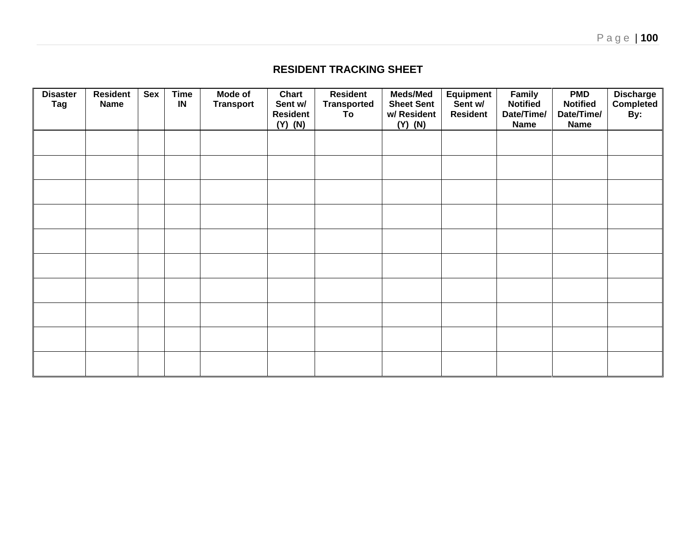**RESIDENT TRACKING SHEET**

| <b>Disaster</b><br><b>Tag</b> | <b>Resident</b><br><b>Name</b> | Sex | <b>Time</b><br>IN | Mode of<br><b>Transport</b> | Chart<br>Sent w/<br><b>Resident</b><br>$(Y)$ $(N)$ | <b>Resident</b><br><b>Transported</b><br>To | <b>Meds/Med</b><br><b>Sheet Sent</b><br>w/ Resident<br>$(Y)$ $(N)$ | <b>Equipment</b><br>Sent w/<br><b>Resident</b> | <b>Family</b><br><b>Notified</b><br>Date/Time/<br><b>Name</b> | <b>PMD</b><br><b>Notified</b><br>Date/Time/<br><b>Name</b> | Discharge<br>Completed<br>By: |
|-------------------------------|--------------------------------|-----|-------------------|-----------------------------|----------------------------------------------------|---------------------------------------------|--------------------------------------------------------------------|------------------------------------------------|---------------------------------------------------------------|------------------------------------------------------------|-------------------------------|
|                               |                                |     |                   |                             |                                                    |                                             |                                                                    |                                                |                                                               |                                                            |                               |
|                               |                                |     |                   |                             |                                                    |                                             |                                                                    |                                                |                                                               |                                                            |                               |
|                               |                                |     |                   |                             |                                                    |                                             |                                                                    |                                                |                                                               |                                                            |                               |
|                               |                                |     |                   |                             |                                                    |                                             |                                                                    |                                                |                                                               |                                                            |                               |
|                               |                                |     |                   |                             |                                                    |                                             |                                                                    |                                                |                                                               |                                                            |                               |
|                               |                                |     |                   |                             |                                                    |                                             |                                                                    |                                                |                                                               |                                                            |                               |
|                               |                                |     |                   |                             |                                                    |                                             |                                                                    |                                                |                                                               |                                                            |                               |
|                               |                                |     |                   |                             |                                                    |                                             |                                                                    |                                                |                                                               |                                                            |                               |
|                               |                                |     |                   |                             |                                                    |                                             |                                                                    |                                                |                                                               |                                                            |                               |
|                               |                                |     |                   |                             |                                                    |                                             |                                                                    |                                                |                                                               |                                                            |                               |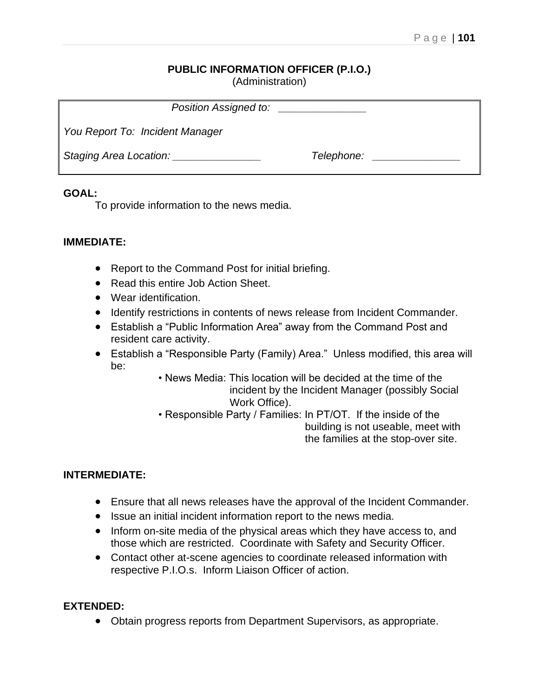## **PUBLIC INFORMATION OFFICER (P.I.O.)**

(Administration)

| Position Assigned to:           |            |  |
|---------------------------------|------------|--|
| You Report To: Incident Manager |            |  |
| Staging Area Location: ________ | Telephone: |  |

## **GOAL:**

To provide information to the news media.

## **IMMEDIATE:**

- Report to the Command Post for initial briefing.
- Read this entire Job Action Sheet.
- Wear identification.
- Identify restrictions in contents of news release from Incident Commander.
- Establish a "Public Information Area" away from the Command Post and resident care activity.
- Establish a "Responsible Party (Family) Area." Unless modified, this area will be:
	- News Media: This location will be decided at the time of the incident by the Incident Manager (possibly Social Work Office).
	- Responsible Party / Families: In PT/OT. If the inside of the building is not useable, meet with the families at the stop-over site.

## **INTERMEDIATE:**

- Ensure that all news releases have the approval of the Incident Commander.
- Issue an initial incident information report to the news media.
- Inform on-site media of the physical areas which they have access to, and those which are restricted. Coordinate with Safety and Security Officer.
- Contact other at-scene agencies to coordinate released information with respective P.I.O.s. Inform Liaison Officer of action.

## **EXTENDED:**

• Obtain progress reports from Department Supervisors, as appropriate.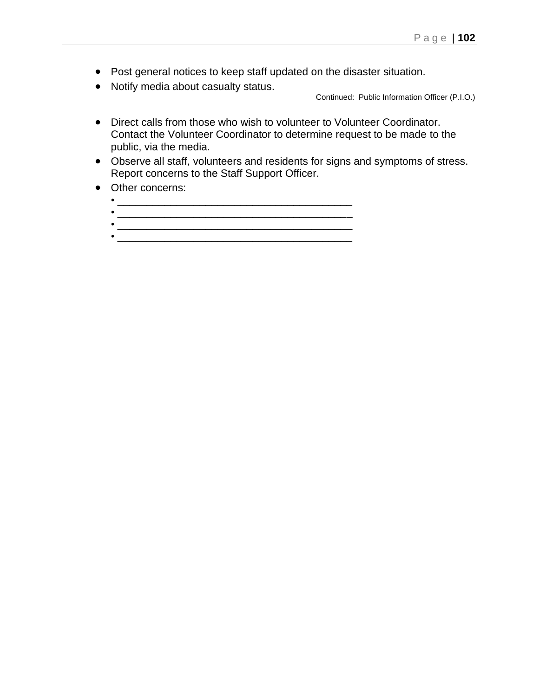- Post general notices to keep staff updated on the disaster situation.
- Notify media about casualty status.

Continued: Public Information Officer (P.I.O.)

- Direct calls from those who wish to volunteer to Volunteer Coordinator. Contact the Volunteer Coordinator to determine request to be made to the public, via the media.
- Observe all staff, volunteers and residents for signs and symptoms of stress. Report concerns to the Staff Support Officer.
- Other concerns:
	- \_\_\_\_\_\_\_\_\_\_\_\_\_\_\_\_\_\_\_\_\_\_\_\_\_\_\_\_\_\_\_\_\_\_\_\_\_\_\_\_
	- \_\_\_\_\_\_\_\_\_\_\_\_\_\_\_\_\_\_\_\_\_\_\_\_\_\_\_\_\_\_\_\_\_\_\_\_\_\_\_\_ • \_\_\_\_\_\_\_\_\_\_\_\_\_\_\_\_\_\_\_\_\_\_\_\_\_\_\_\_\_\_\_\_\_\_\_\_\_\_\_\_
	-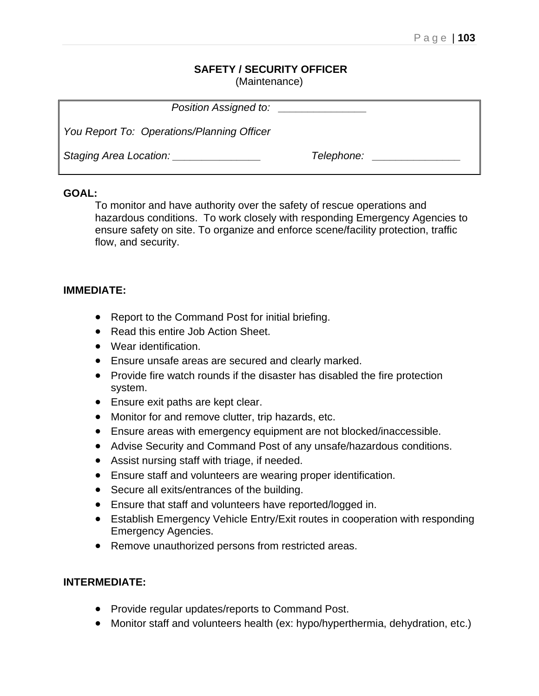#### **SAFETY / SECURITY OFFICER** (Maintenance)

| Position Assigned to:                      |            |
|--------------------------------------------|------------|
| You Report To: Operations/Planning Officer |            |
| Staging Area Location:                     | Telephone: |

## **GOAL:**

To monitor and have authority over the safety of rescue operations and hazardous conditions. To work closely with responding Emergency Agencies to ensure safety on site. To organize and enforce scene/facility protection, traffic flow, and security.

## **IMMEDIATE:**

- Report to the Command Post for initial briefing.
- Read this entire Job Action Sheet.
- Wear identification.
- Ensure unsafe areas are secured and clearly marked.
- Provide fire watch rounds if the disaster has disabled the fire protection system.
- Ensure exit paths are kept clear.
- Monitor for and remove clutter, trip hazards, etc.
- Ensure areas with emergency equipment are not blocked/inaccessible.
- Advise Security and Command Post of any unsafe/hazardous conditions.
- Assist nursing staff with triage, if needed.
- Ensure staff and volunteers are wearing proper identification.
- Secure all exits/entrances of the building.
- Ensure that staff and volunteers have reported/logged in.
- Establish Emergency Vehicle Entry/Exit routes in cooperation with responding Emergency Agencies.
- Remove unauthorized persons from restricted areas.

## **INTERMEDIATE:**

- Provide regular updates/reports to Command Post.
- Monitor staff and volunteers health (ex: hypo/hyperthermia, dehydration, etc.)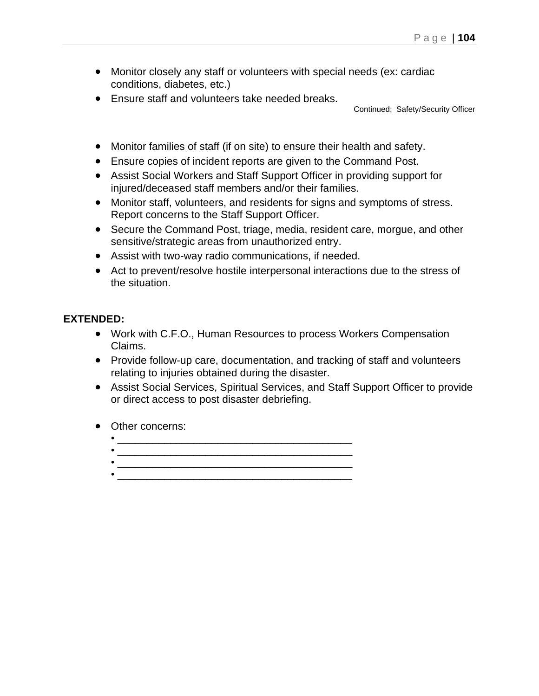- Monitor closely any staff or volunteers with special needs (ex: cardiac conditions, diabetes, etc.)
- Ensure staff and volunteers take needed breaks.

Continued: Safety/Security Officer

- Monitor families of staff (if on site) to ensure their health and safety.
- Ensure copies of incident reports are given to the Command Post.
- Assist Social Workers and Staff Support Officer in providing support for injured/deceased staff members and/or their families.
- Monitor staff, volunteers, and residents for signs and symptoms of stress. Report concerns to the Staff Support Officer.
- Secure the Command Post, triage, media, resident care, morgue, and other sensitive/strategic areas from unauthorized entry.
- Assist with two-way radio communications, if needed.
- Act to prevent/resolve hostile interpersonal interactions due to the stress of the situation.

- Work with C.F.O., Human Resources to process Workers Compensation Claims.
- Provide follow-up care, documentation, and tracking of staff and volunteers relating to injuries obtained during the disaster.
- Assist Social Services, Spiritual Services, and Staff Support Officer to provide or direct access to post disaster debriefing.
- Other concerns:
	- $\bullet$   $\overline{\phantom{a}}$   $\overline{\phantom{a}}$   $\overline{\phantom{a}}$   $\overline{\phantom{a}}$   $\overline{\phantom{a}}$   $\overline{\phantom{a}}$   $\overline{\phantom{a}}$   $\overline{\phantom{a}}$   $\overline{\phantom{a}}$   $\overline{\phantom{a}}$   $\overline{\phantom{a}}$   $\overline{\phantom{a}}$   $\overline{\phantom{a}}$   $\overline{\phantom{a}}$   $\overline{\phantom{a}}$   $\overline{\phantom{a}}$   $\overline{\phantom{a}}$   $\overline{\phantom{a}}$   $\mathcal{L} = \{ \mathcal{L} \mid \mathcal{L} \in \mathcal{L} \mid \mathcal{L} \in \mathcal{L} \}$  , where  $\mathcal{L} = \{ \mathcal{L} \mid \mathcal{L} \in \mathcal{L} \}$
	- $\frac{1}{2}$  ,  $\frac{1}{2}$  ,  $\frac{1}{2}$  ,  $\frac{1}{2}$  ,  $\frac{1}{2}$  ,  $\frac{1}{2}$  ,  $\frac{1}{2}$  ,  $\frac{1}{2}$  ,  $\frac{1}{2}$  ,  $\frac{1}{2}$  ,  $\frac{1}{2}$  ,  $\frac{1}{2}$  ,  $\frac{1}{2}$  ,  $\frac{1}{2}$  ,  $\frac{1}{2}$  ,  $\frac{1}{2}$  ,  $\frac{1}{2}$  ,  $\frac{1}{2}$  ,  $\frac{1$  $\bullet$   $\overline{\phantom{a}}$   $\overline{\phantom{a}}$   $\overline{\phantom{a}}$   $\overline{\phantom{a}}$   $\overline{\phantom{a}}$   $\overline{\phantom{a}}$   $\overline{\phantom{a}}$   $\overline{\phantom{a}}$   $\overline{\phantom{a}}$   $\overline{\phantom{a}}$   $\overline{\phantom{a}}$   $\overline{\phantom{a}}$   $\overline{\phantom{a}}$   $\overline{\phantom{a}}$   $\overline{\phantom{a}}$   $\overline{\phantom{a}}$   $\overline{\phantom{a}}$   $\overline{\phantom{a}}$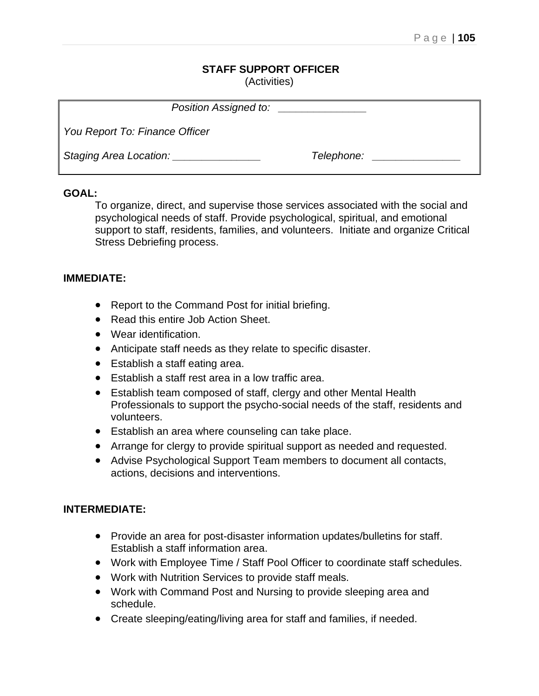#### **STAFF SUPPORT OFFICER** (Activities)

| Position Assigned to:          |            |  |  |  |  |
|--------------------------------|------------|--|--|--|--|
| You Report To: Finance Officer |            |  |  |  |  |
| Staging Area Location:         | Telephone: |  |  |  |  |

## **GOAL:**

To organize, direct, and supervise those services associated with the social and psychological needs of staff. Provide psychological, spiritual, and emotional support to staff, residents, families, and volunteers. Initiate and organize Critical Stress Debriefing process.

## **IMMEDIATE:**

- Report to the Command Post for initial briefing.
- Read this entire Job Action Sheet.
- Wear identification.
- Anticipate staff needs as they relate to specific disaster.
- Establish a staff eating area.
- Establish a staff rest area in a low traffic area.
- Establish team composed of staff, clergy and other Mental Health Professionals to support the psycho-social needs of the staff, residents and volunteers.
- Establish an area where counseling can take place.
- Arrange for clergy to provide spiritual support as needed and requested.
- Advise Psychological Support Team members to document all contacts, actions, decisions and interventions.

## **INTERMEDIATE:**

- Provide an area for post-disaster information updates/bulletins for staff. Establish a staff information area.
- Work with Employee Time / Staff Pool Officer to coordinate staff schedules.
- Work with Nutrition Services to provide staff meals.
- Work with Command Post and Nursing to provide sleeping area and schedule.
- Create sleeping/eating/living area for staff and families, if needed.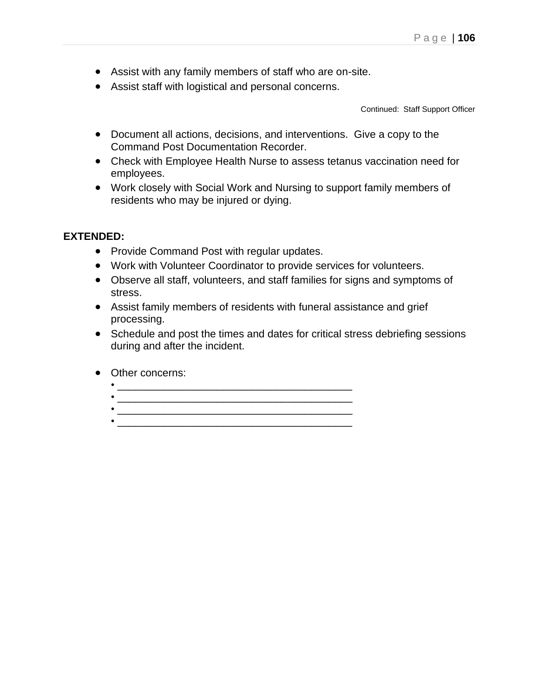- Assist with any family members of staff who are on-site.
- Assist staff with logistical and personal concerns.

Continued: Staff Support Officer

- Document all actions, decisions, and interventions. Give a copy to the Command Post Documentation Recorder.
- Check with Employee Health Nurse to assess tetanus vaccination need for employees.
- Work closely with Social Work and Nursing to support family members of residents who may be injured or dying.

- Provide Command Post with regular updates.
- Work with Volunteer Coordinator to provide services for volunteers.
- Observe all staff, volunteers, and staff families for signs and symptoms of stress.
- Assist family members of residents with funeral assistance and grief processing.
- Schedule and post the times and dates for critical stress debriefing sessions during and after the incident.
- Other concerns:
	- $\bullet$  . The contract of the contract of the contract of the contract of the contract of the contract of the contract of the contract of the contract of the contract of the contract of the contract of the contract of the co • \_\_\_\_\_\_\_\_\_\_\_\_\_\_\_\_\_\_\_\_\_\_\_\_\_\_\_\_\_\_\_\_\_\_\_\_\_\_\_\_  $\frac{1}{2}$  , and the set of  $\frac{1}{2}$  , and the set of  $\frac{1}{2}$  , and the set of  $\frac{1}{2}$
	- \_\_\_\_\_\_\_\_\_\_\_\_\_\_\_\_\_\_\_\_\_\_\_\_\_\_\_\_\_\_\_\_\_\_\_\_\_\_\_\_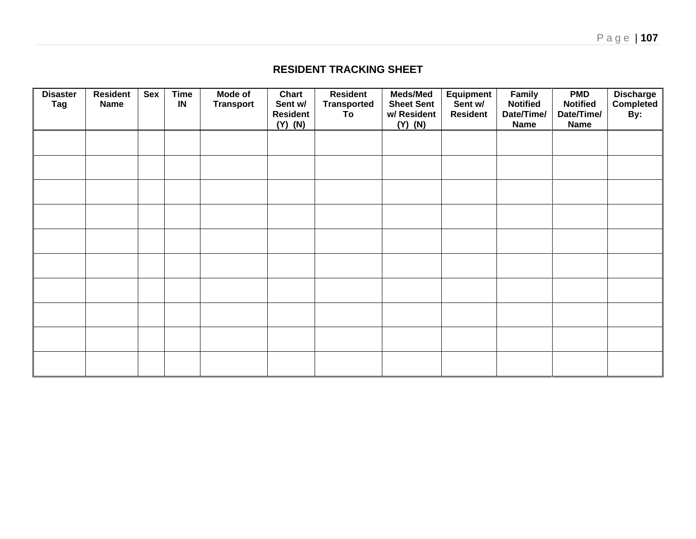## **RESIDENT TRACKING SHEET**

| <b>Disaster</b><br>Tag | <b>Resident</b><br><b>Name</b> | Sex | <b>Time</b><br>IN | <b>Mode of</b><br><b>Transport</b> | Chart<br>Sent w/<br><b>Resident</b><br>$(Y)$ $(N)$ | <b>Resident</b><br><b>Transported</b><br>To | <b>Meds/Med</b><br><b>Sheet Sent</b><br>w/ Resident<br>$(Y)$ $(N)$ | <b>Equipment</b><br>Sent w/<br><b>Resident</b> | Family<br><b>Notified</b><br>Date/Time/<br><b>Name</b> | <b>PMD</b><br><b>Notified</b><br>Date/Time/<br><b>Name</b> | Discharge<br>Completed<br>By: |
|------------------------|--------------------------------|-----|-------------------|------------------------------------|----------------------------------------------------|---------------------------------------------|--------------------------------------------------------------------|------------------------------------------------|--------------------------------------------------------|------------------------------------------------------------|-------------------------------|
|                        |                                |     |                   |                                    |                                                    |                                             |                                                                    |                                                |                                                        |                                                            |                               |
|                        |                                |     |                   |                                    |                                                    |                                             |                                                                    |                                                |                                                        |                                                            |                               |
|                        |                                |     |                   |                                    |                                                    |                                             |                                                                    |                                                |                                                        |                                                            |                               |
|                        |                                |     |                   |                                    |                                                    |                                             |                                                                    |                                                |                                                        |                                                            |                               |
|                        |                                |     |                   |                                    |                                                    |                                             |                                                                    |                                                |                                                        |                                                            |                               |
|                        |                                |     |                   |                                    |                                                    |                                             |                                                                    |                                                |                                                        |                                                            |                               |
|                        |                                |     |                   |                                    |                                                    |                                             |                                                                    |                                                |                                                        |                                                            |                               |
|                        |                                |     |                   |                                    |                                                    |                                             |                                                                    |                                                |                                                        |                                                            |                               |
|                        |                                |     |                   |                                    |                                                    |                                             |                                                                    |                                                |                                                        |                                                            |                               |
|                        |                                |     |                   |                                    |                                                    |                                             |                                                                    |                                                |                                                        |                                                            |                               |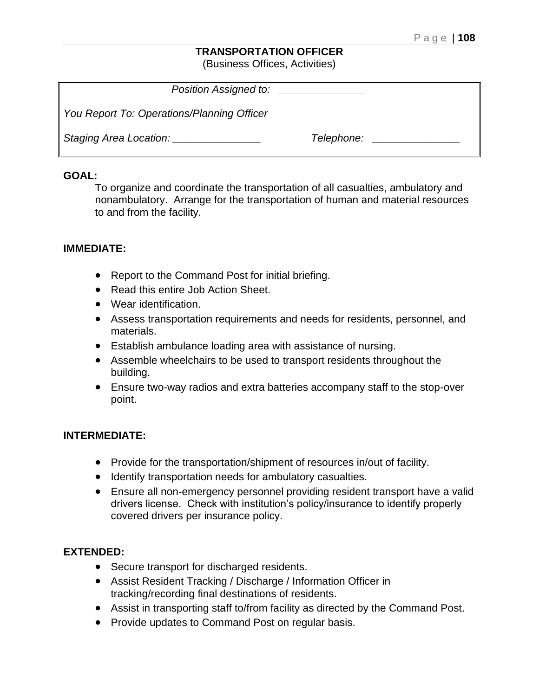#### **TRANSPORTATION OFFICER**

(Business Offices, Activities)

| Position Assigned to:                      |            |
|--------------------------------------------|------------|
| You Report To: Operations/Planning Officer |            |
| Staging Area Location:                     | Telephone: |

#### **GOAL:**

To organize and coordinate the transportation of all casualties, ambulatory and nonambulatory. Arrange for the transportation of human and material resources to and from the facility.

#### **IMMEDIATE:**

- Report to the Command Post for initial briefing.
- Read this entire Job Action Sheet.
- Wear identification.
- Assess transportation requirements and needs for residents, personnel, and materials.
- Establish ambulance loading area with assistance of nursing.
- Assemble wheelchairs to be used to transport residents throughout the building.
- Ensure two-way radios and extra batteries accompany staff to the stop-over point.

#### **INTERMEDIATE:**

- Provide for the transportation/shipment of resources in/out of facility.
- Identify transportation needs for ambulatory casualties.
- Ensure all non-emergency personnel providing resident transport have a valid drivers license. Check with institution's policy/insurance to identify properly covered drivers per insurance policy.

- Secure transport for discharged residents.
- Assist Resident Tracking / Discharge / Information Officer in tracking/recording final destinations of residents.
- Assist in transporting staff to/from facility as directed by the Command Post.
- Provide updates to Command Post on regular basis.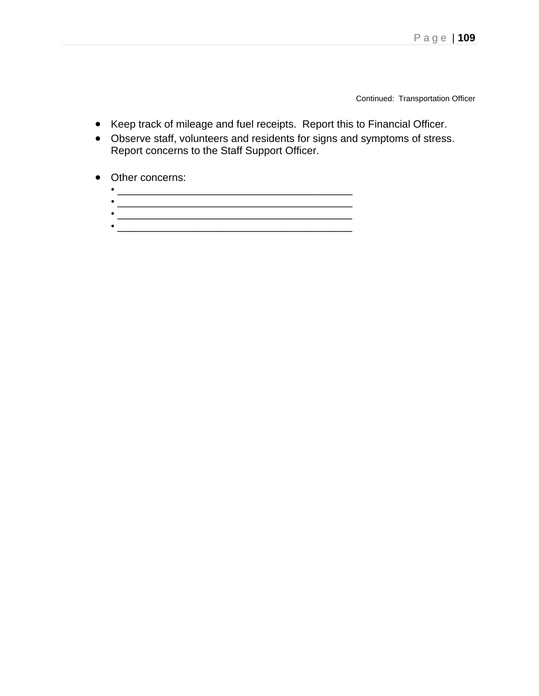Continued: Transportation Officer

- Keep track of mileage and fuel receipts. Report this to Financial Officer.
- Observe staff, volunteers and residents for signs and symptoms of stress. Report concerns to the Staff Support Officer.
- Other concerns:
	- \_\_\_\_\_\_\_\_\_\_\_\_\_\_\_\_\_\_\_\_\_\_\_\_\_\_\_\_\_\_\_\_\_\_\_\_\_\_\_\_ • \_\_\_\_\_\_\_\_\_\_\_\_\_\_\_\_\_\_\_\_\_\_\_\_\_\_\_\_\_\_\_\_\_\_\_\_\_\_\_\_
	- $\bullet$   $\overline{\phantom{a}}$   $\overline{\phantom{a}}$   $\overline{\phantom{a}}$   $\overline{\phantom{a}}$   $\overline{\phantom{a}}$   $\overline{\phantom{a}}$   $\overline{\phantom{a}}$   $\overline{\phantom{a}}$   $\overline{\phantom{a}}$   $\overline{\phantom{a}}$   $\overline{\phantom{a}}$   $\overline{\phantom{a}}$   $\overline{\phantom{a}}$   $\overline{\phantom{a}}$   $\overline{\phantom{a}}$   $\overline{\phantom{a}}$   $\overline{\phantom{a}}$   $\overline{\phantom{a}}$
	- \_\_\_\_\_\_\_\_\_\_\_\_\_\_\_\_\_\_\_\_\_\_\_\_\_\_\_\_\_\_\_\_\_\_\_\_\_\_\_\_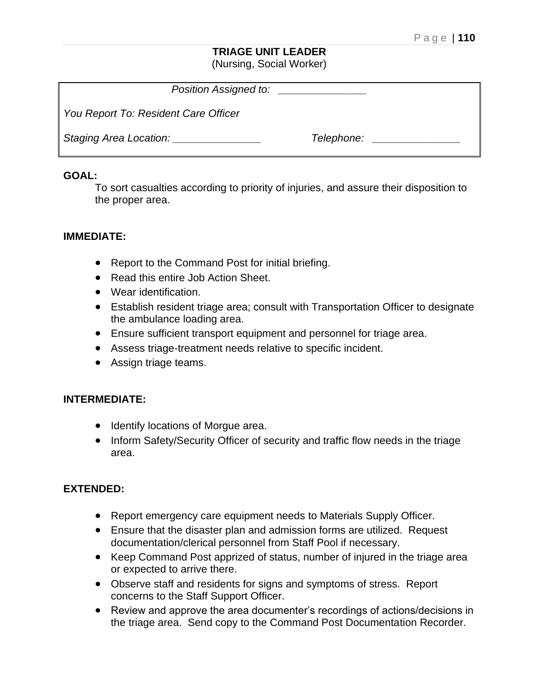#### **TRIAGE UNIT LEADER** (Nursing, Social Worker)

| Position Assigned to:                |            |  |
|--------------------------------------|------------|--|
| You Report To: Resident Care Officer |            |  |
| Staging Area Location:               | Telephone: |  |

### **GOAL:**

To sort casualties according to priority of injuries, and assure their disposition to the proper area.

## **IMMEDIATE:**

- Report to the Command Post for initial briefing.
- Read this entire Job Action Sheet.
- Wear identification.
- Establish resident triage area; consult with Transportation Officer to designate the ambulance loading area.
- Ensure sufficient transport equipment and personnel for triage area.
- Assess triage-treatment needs relative to specific incident.
- Assign triage teams.

## **INTERMEDIATE:**

- Identify locations of Morgue area.
- Inform Safety/Security Officer of security and traffic flow needs in the triage area.

## **EXTENDED:**

- Report emergency care equipment needs to Materials Supply Officer.
- Ensure that the disaster plan and admission forms are utilized. Request documentation/clerical personnel from Staff Pool if necessary.
- Keep Command Post apprized of status, number of injured in the triage area or expected to arrive there.
- Observe staff and residents for signs and symptoms of stress. Report concerns to the Staff Support Officer.
- Review and approve the area documenter's recordings of actions/decisions in the triage area. Send copy to the Command Post Documentation Recorder.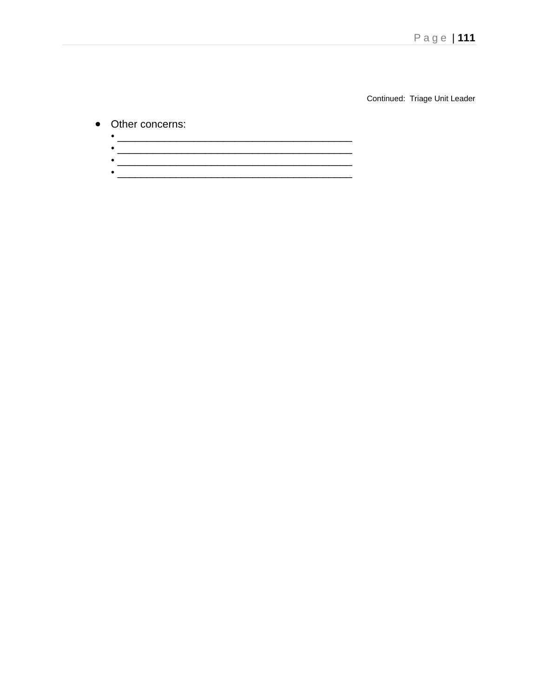Continued: Triage Unit Leader

## • Other concerns:

| ___ |
|-----|
| _   |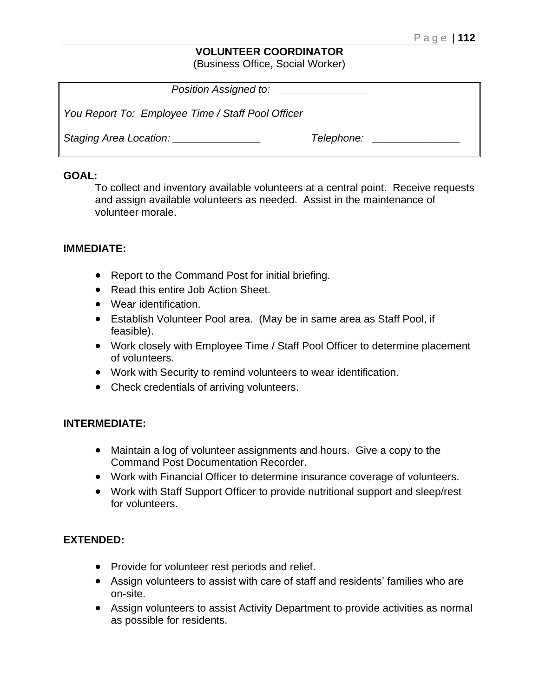#### **VOLUNTEER COORDINATOR**

(Business Office, Social Worker)

| Position Assigned to:                             |            |
|---------------------------------------------------|------------|
| You Report To: Employee Time / Staff Pool Officer |            |
| Staging Area Location:                            | Telephone: |

#### **GOAL:**

To collect and inventory available volunteers at a central point. Receive requests and assign available volunteers as needed. Assist in the maintenance of volunteer morale.

#### **IMMEDIATE:**

- Report to the Command Post for initial briefing.
- Read this entire Job Action Sheet.
- Wear identification.
- Establish Volunteer Pool area. (May be in same area as Staff Pool, if feasible).
- Work closely with Employee Time / Staff Pool Officer to determine placement of volunteers.
- Work with Security to remind volunteers to wear identification.
- Check credentials of arriving volunteers.

#### **INTERMEDIATE:**

- Maintain a log of volunteer assignments and hours. Give a copy to the Command Post Documentation Recorder.
- Work with Financial Officer to determine insurance coverage of volunteers.
- Work with Staff Support Officer to provide nutritional support and sleep/rest for volunteers.

#### **EXTENDED:**

- Provide for volunteer rest periods and relief.
- Assign volunteers to assist with care of staff and residents' families who are on-site.
- Assign volunteers to assist Activity Department to provide activities as normal as possible for residents.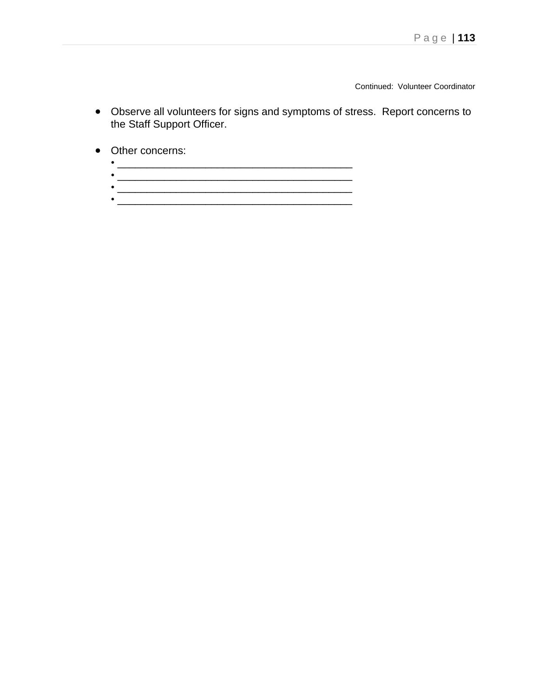Continued: Volunteer Coordinator

- Observe all volunteers for signs and symptoms of stress. Report concerns to the Staff Support Officer.
- Other concerns:
	- \_\_\_\_\_\_\_\_\_\_\_\_\_\_\_\_\_\_\_\_\_\_\_\_\_\_\_\_\_\_\_\_\_\_\_\_\_\_\_\_ • \_\_\_\_\_\_\_\_\_\_\_\_\_\_\_\_\_\_\_\_\_\_\_\_\_\_\_\_\_\_\_\_\_\_\_\_\_\_\_\_
	- $\bullet$  . The contract of the contract of the contract of the contract of the contract of the contract of the contract of the contract of the contract of the contract of the contract of the contract of the contract of the co  $\bullet$  . The contract of the contract of the contract of the contract of the contract of the contract of the contract of the contract of the contract of the contract of the contract of the contract of the contract of the co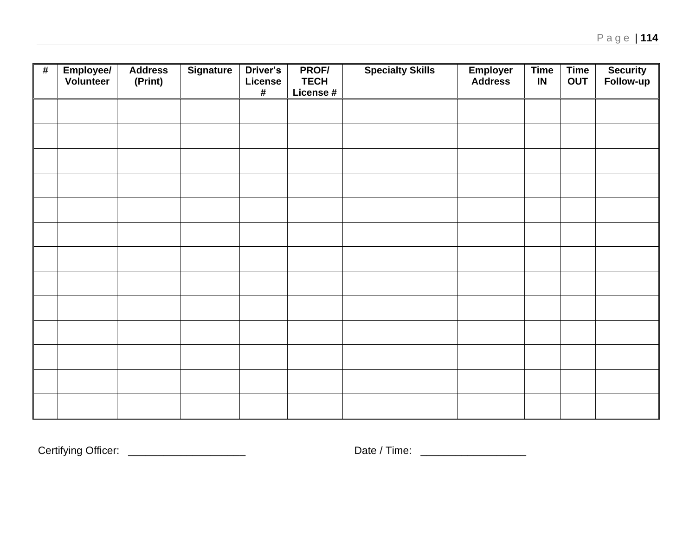| $\pmb{\#}$ | Employee/<br>Volunteer | <b>Address</b><br>(Print) | <b>Signature</b> | Driver's<br>License<br>$\#$ | PROF/<br><b>TECH</b><br>License # | <b>Specialty Skills</b> | <b>Employer</b><br><b>Address</b> | <b>Time</b><br>IN | <b>Time</b><br><b>OUT</b> | Security<br>Follow-up |
|------------|------------------------|---------------------------|------------------|-----------------------------|-----------------------------------|-------------------------|-----------------------------------|-------------------|---------------------------|-----------------------|
|            |                        |                           |                  |                             |                                   |                         |                                   |                   |                           |                       |
|            |                        |                           |                  |                             |                                   |                         |                                   |                   |                           |                       |
|            |                        |                           |                  |                             |                                   |                         |                                   |                   |                           |                       |
|            |                        |                           |                  |                             |                                   |                         |                                   |                   |                           |                       |
|            |                        |                           |                  |                             |                                   |                         |                                   |                   |                           |                       |
|            |                        |                           |                  |                             |                                   |                         |                                   |                   |                           |                       |
|            |                        |                           |                  |                             |                                   |                         |                                   |                   |                           |                       |
|            |                        |                           |                  |                             |                                   |                         |                                   |                   |                           |                       |
|            |                        |                           |                  |                             |                                   |                         |                                   |                   |                           |                       |
|            |                        |                           |                  |                             |                                   |                         |                                   |                   |                           |                       |
|            |                        |                           |                  |                             |                                   |                         |                                   |                   |                           |                       |
|            |                        |                           |                  |                             |                                   |                         |                                   |                   |                           |                       |
|            |                        |                           |                  |                             |                                   |                         |                                   |                   |                           |                       |

Certifying Officer: \_\_\_\_\_\_\_\_\_\_\_\_\_\_\_\_\_\_\_\_ Date / Time: \_\_\_\_\_\_\_\_\_\_\_\_\_\_\_\_\_\_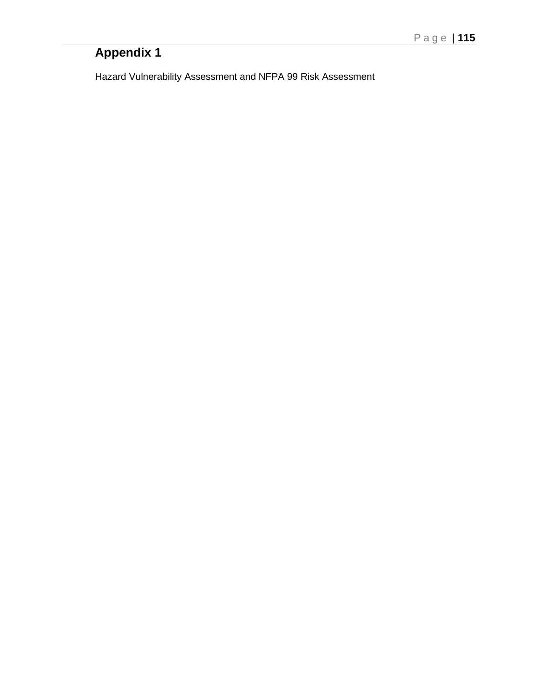Hazard Vulnerability Assessment and NFPA 99 Risk Assessment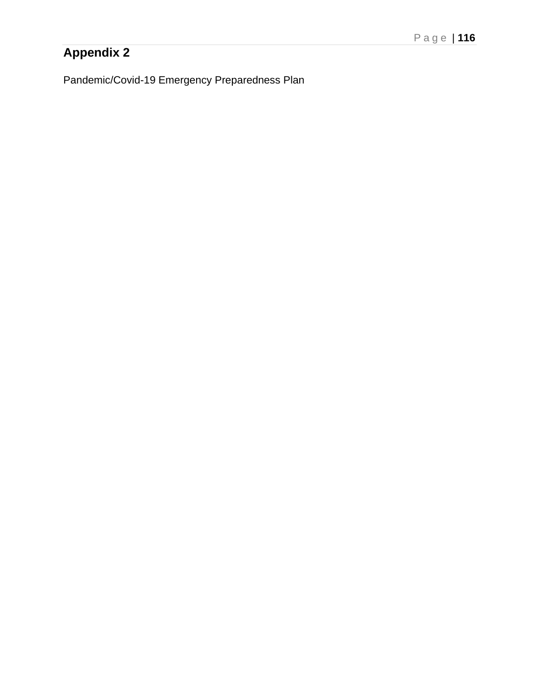Pandemic/Covid-19 Emergency Preparedness Plan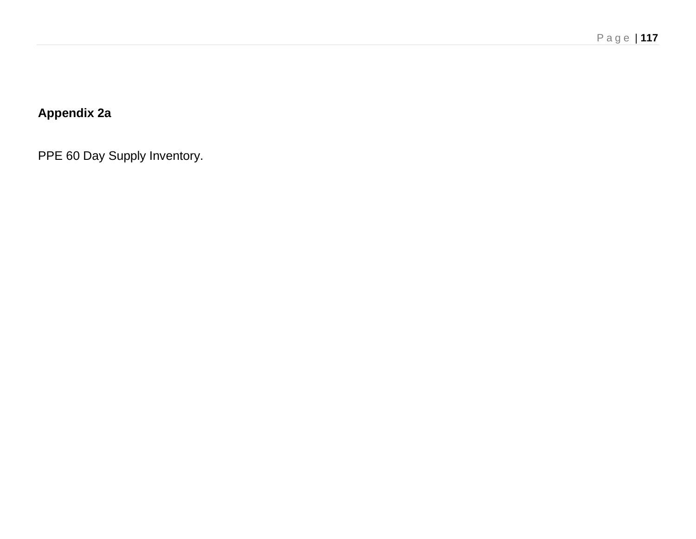# **Appendix 2a**

PPE 60 Day Supply Inventory.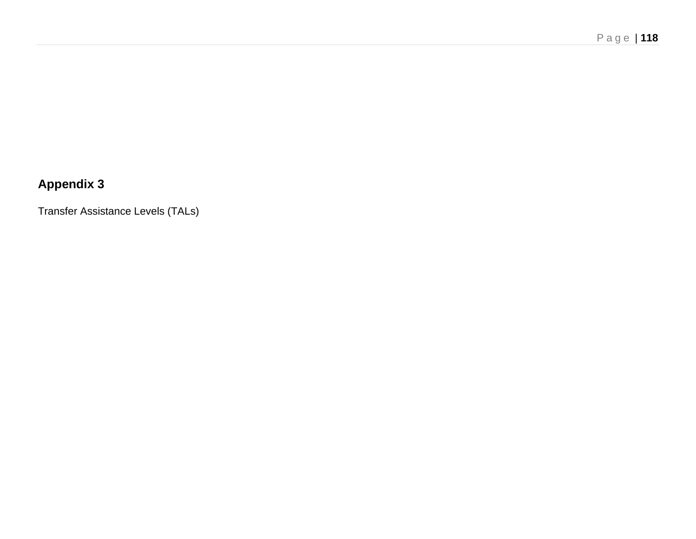Transfer Assistance Levels (TALs)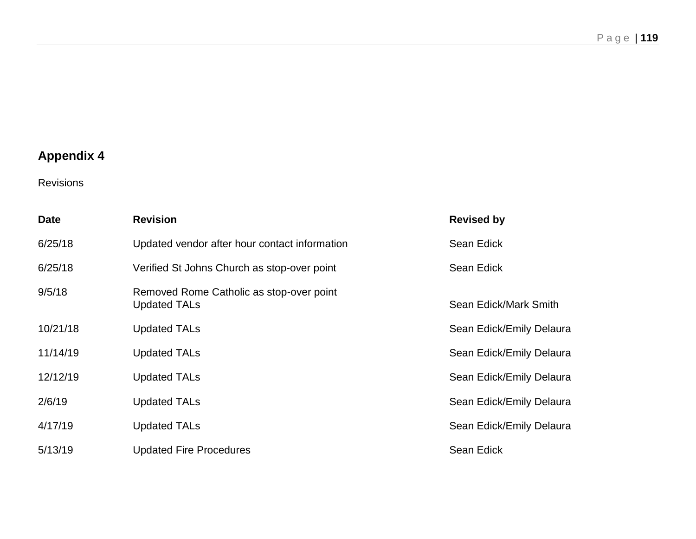Revisions

| <b>Date</b> | <b>Revision</b>                                                 | <b>Revised by</b>        |
|-------------|-----------------------------------------------------------------|--------------------------|
| 6/25/18     | Updated vendor after hour contact information                   | Sean Edick               |
| 6/25/18     | Verified St Johns Church as stop-over point                     | Sean Edick               |
| 9/5/18      | Removed Rome Catholic as stop-over point<br><b>Updated TALs</b> | Sean Edick/Mark Smith    |
| 10/21/18    | <b>Updated TALs</b>                                             | Sean Edick/Emily Delaura |
| 11/14/19    | <b>Updated TALs</b>                                             | Sean Edick/Emily Delaura |
| 12/12/19    | <b>Updated TALs</b>                                             | Sean Edick/Emily Delaura |
| 2/6/19      | <b>Updated TALs</b>                                             | Sean Edick/Emily Delaura |
| 4/17/19     | <b>Updated TALs</b>                                             | Sean Edick/Emily Delaura |
| 5/13/19     | <b>Updated Fire Procedures</b>                                  | <b>Sean Edick</b>        |